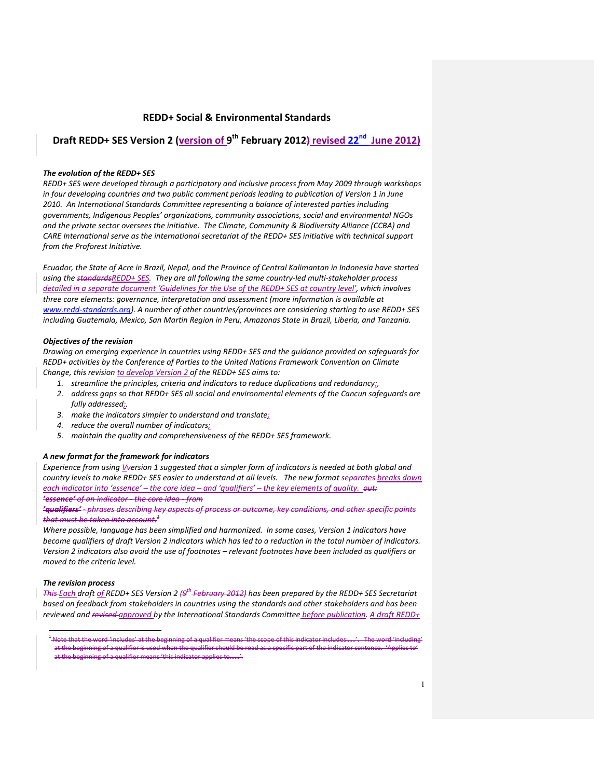### REDD+ Social & Environmental Standards

## Draft REDD+ SES Version 2 (version of 9<sup>th</sup> February 2012) revised 22<sup>nd</sup> June 2012)

#### The evolution of the REDD+ SES

REDD+ SES were developed through a participatory and inclusive process from May 2009 through workshops in four developing countries and two public comment periods leading to publication of Version 1 in June 2010. An International Standards Committee representing a balance of interested parties including governments, Indigenous Peoples' organizations, community associations, social and environmental NGOs and the private sector oversees the initiative. The Climate, Community & Biodiversity Alliance (CCBA) and CARE International serve as the international secretariat of the REDD+ SES initiative with technical support from the Proforest Initiative.

Ecuador, the State of Acre in Brazil, Nepal, and the Province of Central Kalimantan in Indonesia have started using the standardsREDD+ SES. They are all following the same country-led multi-stakeholder process detailed in a separate document 'Guidelines for the Use of the REDD+ SES at country level', which involves three core elements: governance, interpretation and assessment (more information is available at www.redd-standards.org). A number of other countries/provinces are considering starting to use REDD+ SES including Guatemala, Mexico, San Martin Region in Peru, Amazonas State in Brazil, Liberia, and Tanzania.

#### Objectives of the revision

Drawing on emerging experience in countries using REDD+ SES and the guidance provided on safeguards for REDD+ activities by the Conference of Parties to the United Nations Framework Convention on Climate Change, this revision to develop Version 2 of the REDD+ SES aims to:

- 1. streamline the principles, criteria and indicators to reduce duplications and redundancy;
	- 2. address gaps so that REDD+ SES all social and environmental elements of the Cancun safeguards are fully addressed;.
	- 3. make the indicators simpler to understand and translate;
	- 4. reduce the overall number of indicators;
	- 5. maintain the quality and comprehensiveness of the REDD+ SES framework.

#### A new format for the framework for indicators

Experience from using Vversion 1 suggested that a simpler form of indicators is needed at both global and country levels to make REDD+ SES easier to understand at all levels. The new format separates-breaks down each indicator into 'essence' – the core idea – and 'qualifiers' – the key elements of quality.  $e$ ut: 'essence' of an indicator - the core idea - from

'qualifiers' - phrases describing key aspects of process or outcome, key conditions, and other specific points that must be taken into account. $<sup>1</sup>$ </sup>

Where possible, language has been simplified and harmonized. In some cases, Version 1 indicators have become qualifiers of draft Version 2 indicators which has led to a reduction in the total number of indicators. Version 2 indicators also avoid the use of footnotes – relevant footnotes have been included as qualifiers or moved to the criteria level.

#### The revision process

 $\overline{a}$ 

This Each draft of REDD+ SES Version 2  $\beta$ <sup>th</sup> February 2012) has been prepared by the REDD+ SES Secretariat based on feedback from stakeholders in countries using the standards and other stakeholders and has been reviewed and revised approved by the International Standards Committee before publication. A draft REDD+

<sup>&</sup>lt;sup>1</sup> Note that the word 'includes' at the beginning of a qualifier means 'the scope of this indicator includes……'. The word 'including' at the beginning of a qualifier is used when the qualifier should be read as a specific part of the indicator sentence. 'Applies to' at the beginning of a qualifier means 'this indicator applies to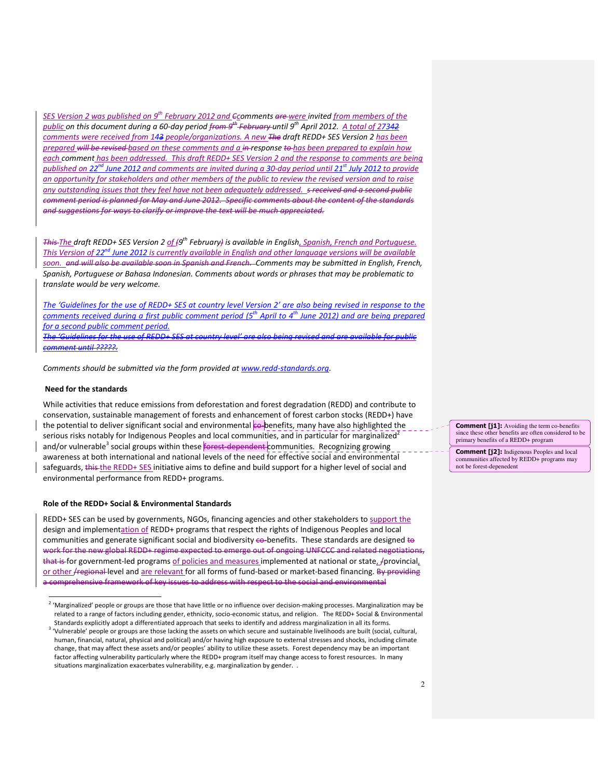SES Version 2 was published on 9<sup>th</sup> February 2012 and <del>C</del>comments are were invited from members of the public on this document during a 60-day period <del>from 9<sup>th</sup> February </del>until 9<sup>th</sup> April 2012. <u>A total of 2734<del>2</del></u> comments were received from 143 people/organizations. A new The draft REDD+ SES Version 2 has been prepared will be revised based on these comments and a in response to has been prepared to explain how each comment has been addressed. This draft REDD+ SES Version 2 and the response to comments are being published on 22<sup>nd</sup> June 2012 and comments are invited during a 30-day period until 21<sup>st</sup> July 2012 to provide an opportunity for stakeholders and other members of the public to review the revised version and to raise any outstanding issues that they feel have not been adequately addressed. s received and a second public comment period is planned for May and June 2012. Specific comments about the content of the standards and suggestions for ways to clarify or improve the text will be much appreciated.

This <u>The</u> draft REDD+ SES Version 2 <u>of (</u>9<sup>th</sup> February) is available in English<u>, Spanish, French and Portuquese.</u> This Version of  $22<sup>nd</sup>$  June 2012 is currently available in English and other language versions will be available soon. and will also be available soon in Spanish and French. Comments may be submitted in English, French, Spanish, Portuguese or Bahasa Indonesian. Comments about words or phrases that may be problematic to translate would be very welcome.

The 'Guidelines for the use of REDD+ SES at country level Version 2' are also being revised in response to the comments received during a first public comment period ( $5<sup>th</sup>$  April to  $4<sup>th</sup>$  June 2012) and are being prepared for a second public comment period. The 'Guidelines for the use of REDD+ SES at country level' are also being revised and are available for public

comment until ?????.

Comments should be submitted via the form provided at www.redd-standards.org.

### Need for the standards

While activities that reduce emissions from deforestation and forest degradation (REDD) and contribute to conservation, sustainable management of forests and enhancement of forest carbon stocks (REDD+) have the potential to deliver significant social and environmental co-benefits, many have also highlighted the serious risks notably for Indigenous Peoples and local communities, and in particular for marginalized<sup>2</sup> and/or vulnerable<sup>3</sup> social groups within these **forest-dependent** communities. Recognizing growing awareness at both international and national levels of the need for effective social and environmental safeguards, this the REDD+ SES initiative aims to define and build support for a higher level of social and environmental performance from REDD+ programs.

#### Role of the REDD+ Social & Environmental Standards

REDD+ SES can be used by governments, NGOs, financing agencies and other stakeholders to support the design and implementation of REDD+ programs that respect the rights of Indigenous Peoples and local communities and generate significant social and biodiversity  $\epsilon_{0}$ -benefits. These standards are designed  $\epsilon_{0}$ work for the new global REDD+ regime expected to emerge out of ongoing UNFCCC and related negotiations, that is for government-led programs of policies and measures implemented at national or state, */provincial*, or other **/regional level and are relevant for all forms of fund-based or market-based financing.** By providing a comprehensive framework of key issues to address with respect to the social and environmental

**Comment [i1]:** Avoiding the term co-benefits since these other benefits are often considered to be primary benefits of a REDD+ program

Comment [j2]: Indigenous Peoples and local communities affected by REDD+ programs may not be forest-depenedent

 2 'Marginalized' people or groups are those that have little or no influence over decision-making processes. Marginalization may be related to a range of factors including gender, ethnicity, socio-economic status, and religion. The REDD+ Social & Environmental Standards explicitly adopt a differentiated approach that seeks to identify and address marginalization in all its forms.

<sup>&</sup>lt;sup>3</sup> 'Vulnerable' people or groups are those lacking the assets on which secure and sustainable livelihoods are built (social, cultural, human, financial, natural, physical and political) and/or having high exposure to external stresses and shocks, including climate change, that may affect these assets and/or peoples' ability to utilize these assets. Forest dependency may be an important factor affecting vulnerability particularly where the REDD+ program itself may change access to forest resources. In many situations marginalization exacerbates vulnerability, e.g. marginalization by gender. .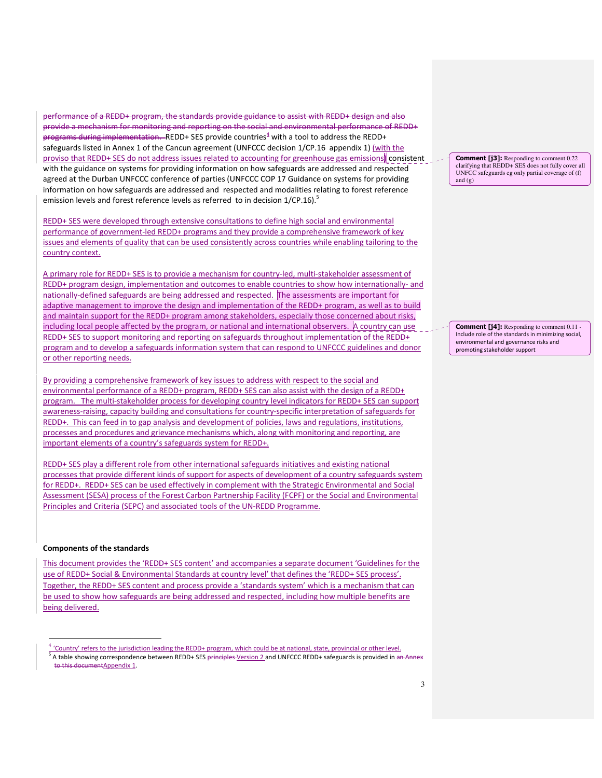performance of a REDD+ program, the standards provide guidance to assist with REDD+ design and also provide a mechanism for monitoring and reporting on the social and environmental performance of REDD+ programs during implementation. REDD+ SES provide countries<sup>4</sup> with a tool to address the REDD+ safeguards listed in Annex 1 of the Cancun agreement (UNFCCC decision 1/CP.16 appendix 1) (with the proviso that REDD+ SES do not address issues related to accounting for greenhouse gas emissions) consistent with the guidance on systems for providing information on how safeguards are addressed and respected agreed at the Durban UNFCCC conference of parties (UNFCCC COP 17 Guidance on systems for providing information on how safeguards are addressed and respected and modalities relating to forest reference emission levels and forest reference levels as referred to in decision  $1/CP.16$ ).<sup>5</sup>

REDD+ SES were developed through extensive consultations to define high social and environmental performance of government-led REDD+ programs and they provide a comprehensive framework of key issues and elements of quality that can be used consistently across countries while enabling tailoring to the country context.

A primary role for REDD+ SES is to provide a mechanism for country-led, multi-stakeholder assessment of REDD+ program design, implementation and outcomes to enable countries to show how internationally- and nationally-defined safeguards are being addressed and respected. The assessments are important for adaptive management to improve the design and implementation of the REDD+ program, as well as to build and maintain support for the REDD+ program among stakeholders, especially those concerned about risks, including local people affected by the program, or national and international observers. A country can use REDD+ SES to support monitoring and reporting on safeguards throughout implementation of the REDD+ program and to develop a safeguards information system that can respond to UNFCCC guidelines and donor or other reporting needs.

By providing a comprehensive framework of key issues to address with respect to the social and environmental performance of a REDD+ program, REDD+ SES can also assist with the design of a REDD+ program. The multi-stakeholder process for developing country level indicators for REDD+ SES can support awareness-raising, capacity building and consultations for country-specific interpretation of safeguards for REDD+. This can feed in to gap analysis and development of policies, laws and regulations, institutions, processes and procedures and grievance mechanisms which, along with monitoring and reporting, are important elements of a country's safeguards system for REDD+.

REDD+ SES play a different role from other international safeguards initiatives and existing national processes that provide different kinds of support for aspects of development of a country safeguards system for REDD+. REDD+ SES can be used effectively in complement with the Strategic Environmental and Social Assessment (SESA) process of the Forest Carbon Partnership Facility (FCPF) or the Social and Environmental Principles and Criteria (SEPC) and associated tools of the UN-REDD Programme.

#### Components of the standards

 $\overline{\phantom{0}}$ 

This document provides the 'REDD+ SES content' and accompanies a separate document 'Guidelines for the use of REDD+ Social & Environmental Standards at country level' that defines the 'REDD+ SES process'. Together, the REDD+ SES content and process provide a 'standards system' which is a mechanism that can be used to show how safeguards are being addressed and respected, including how multiple benefits are being delivered.

Comment [j3]: Responding to comment 0.22 clarifying that REDD+ SES does not fully cover all UNFCC safeguards eg only partial coverage of (f) and  $(g)$ 

Comment [j4]: Responding to comment 0.11 -Include role of the standards in minimizing social, environmental and governance risks and promoting stakeholder support

<sup>4</sup> 'Country' refers to the jurisdiction leading the REDD+ program, which could be at national, state, provincial or other level. <sup>5</sup> A table showing correspondence between REDD+ SES <del>principles V</del>ersion 2 and UNFCCC REDD+ safeguards is provided in an Annex his documentAppendix 1.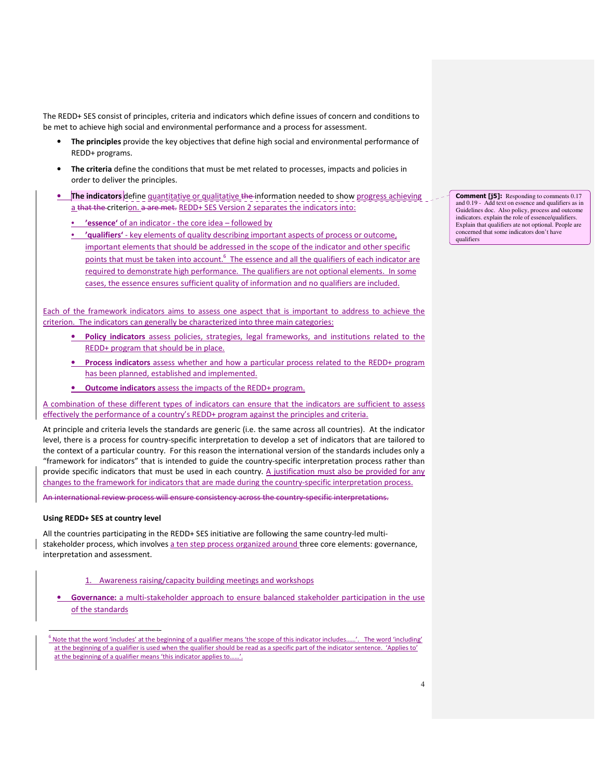The REDD+ SES consist of principles, criteria and indicators which define issues of concern and conditions to be met to achieve high social and environmental performance and a process for assessment.

- The principles provide the key objectives that define high social and environmental performance of REDD+ programs.
- The criteria define the conditions that must be met related to processes, impacts and policies in order to deliver the principles.
- The indicators define quantitative or qualitative the information needed to show progress achieving a that the criterion. a are met. REDD+ SES Version 2 separates the indicators into:
	- **'essence'** of an indicator the core idea followed by
	- 'qualifiers' key elements of quality describing important aspects of process or outcome, important elements that should be addressed in the scope of the indicator and other specific points that must be taken into account.<sup>6</sup> The essence and all the qualifiers of each indicator are required to demonstrate high performance. The qualifiers are not optional elements. In some cases, the essence ensures sufficient quality of information and no qualifiers are included.

Each of the framework indicators aims to assess one aspect that is important to address to achieve the criterion. The indicators can generally be characterized into three main categories:

- Policy indicators assess policies, strategies, legal frameworks, and institutions related to the REDD+ program that should be in place.
- Process indicators assess whether and how a particular process related to the REDD+ program has been planned, established and implemented.
- Outcome indicators assess the impacts of the REDD+ program.

A combination of these different types of indicators can ensure that the indicators are sufficient to assess effectively the performance of a country's REDD+ program against the principles and criteria.

At principle and criteria levels the standards are generic (i.e. the same across all countries). At the indicator level, there is a process for country-specific interpretation to develop a set of indicators that are tailored to the context of a particular country. For this reason the international version of the standards includes only a "framework for indicators" that is intended to guide the country-specific interpretation process rather than provide specific indicators that must be used in each country. A justification must also be provided for any changes to the framework for indicators that are made during the country-specific interpretation process.

An international review process will ensure consistency across the country-specific interpretations.

### Using REDD+ SES at country level

 $\overline{a}$ 

All the countries participating in the REDD+ SES initiative are following the same country-led multistakeholder process, which involves a ten step process organized around three core elements: governance, interpretation and assessment.

- 1. Awareness raising/capacity building meetings and workshops
- **Governance:** a multi-stakeholder approach to ensure balanced stakeholder participation in the use of the standards

**Comment [j5]:** Responding to comments 0.17 and 0.19 - Add text on essence and qualifiers as in Guidelines doc. Also policy, process and outcome indicators. explain the role of essence/qualifiers. Explain that qualifiers ate not optional. People are concerned that some indicators don't have qualifiers

 $6$  Note that the word 'includes' at the beginning of a qualifier means 'the scope of this indicator includes......'. The word 'including' at the beginning of a qualifier is used when the qualifier should be read as a specific part of the indicator sentence. 'Applies to' at the beginning of a qualifier means 'this indicator applies to......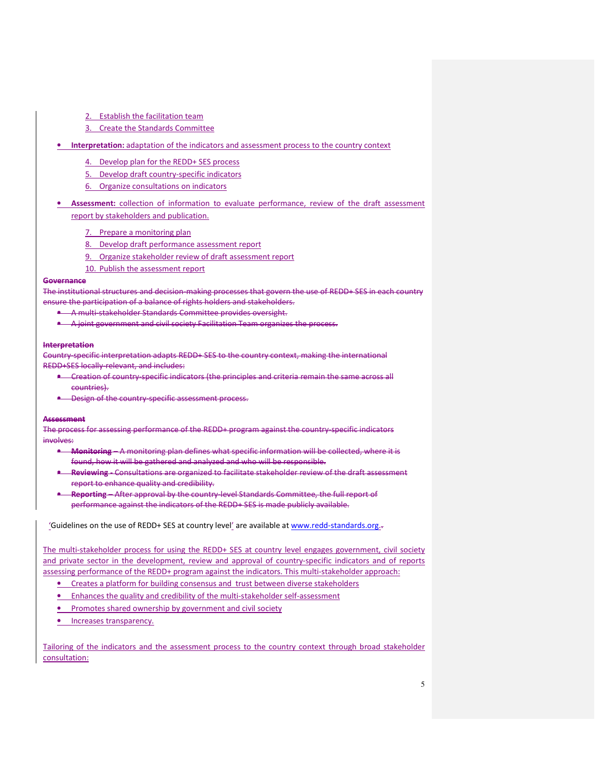- 2. Establish the facilitation team
- 3. Create the Standards Committee
- Interpretation: adaptation of the indicators and assessment process to the country context
	- 4. Develop plan for the REDD+ SES process
	- 5. Develop draft country-specific indicators
	- 6. Organize consultations on indicators
- Assessment: collection of information to evaluate performance, review of the draft assessment report by stakeholders and publication.
	- 7. Prepare a monitoring plan
	- 8. Develop draft performance assessment report
	- 9. Organize stakeholder review of draft assessment report
	- 10. Publish the assessment report

#### Governance

The institutional structures and decision-making processes that govern the use of REDD+ SES in each country ensure the participation of a balance of rights holders and stakeholders.

- A multi-stakeholder Standards Committee provides oversight.
- A joint government and civil society Facilitation Team organizes the process.

#### Interpretation

Country-specific interpretation adapts REDD+ SES to the country context, making the international REDD+SES locally-relevant, and includes:

- Creation of country-specific indicators (the principles and criteria remain the same across all countries).
- Design of the country-specific assessment process.

#### Assessment

The process for assessing performance of the REDD+ program against the country-specific indicators involves:

- Monitoring A monitoring plan defines what specific information will be collected, where it is found, how it will be gathered and analyzed and who will be responsible.
- \* Reviewing Consultations are organized to facilitate stakeholder review of the draft assessment report to enhance quality and credibility.
- **Reporting –** After approval by the country-level Standards Committee, the full report of performance against the indicators of the REDD+ SES is made publicly available.

'Guidelines on the use of REDD+ SES at country level' are available at www.redd-standards.org..

The multi-stakeholder process for using the REDD+ SES at country level engages government, civil society and private sector in the development, review and approval of country-specific indicators and of reports assessing performance of the REDD+ program against the indicators. This multi-stakeholder approach:

- Creates a platform for building consensus and trust between diverse stakeholders
- Enhances the quality and credibility of the multi-stakeholder self-assessment
- Promotes shared ownership by government and civil society
- Increases transparency.

Tailoring of the indicators and the assessment process to the country context through broad stakeholder consultation: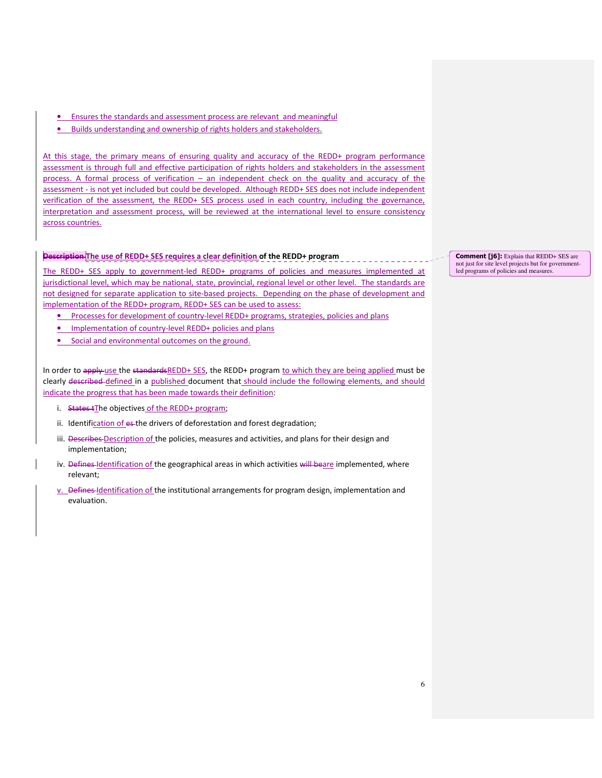- Ensures the standards and assessment process are relevant and meaningful
- Builds understanding and ownership of rights holders and stakeholders.

At this stage, the primary means of ensuring quality and accuracy of the REDD+ program performance assessment is through full and effective participation of rights holders and stakeholders in the assessment process. A formal process of verification – an independent check on the quality and accuracy of the assessment - is not yet included but could be developed. Although REDD+ SES does not include independent verification of the assessment, the REDD+ SES process used in each country, including the governance, interpretation and assessment process, will be reviewed at the international level to ensure consistency across countries.

### Description The use of REDD+ SES requires a clear definition of the REDD+ program

The REDD+ SES apply to government-led REDD+ programs of policies and measures implemented at jurisdictional level, which may be national, state, provincial, regional level or other level. The standards are not designed for separate application to site-based projects. Depending on the phase of development and implementation of the REDD+ program, REDD+ SES can be used to assess:

- Processes for development of country-level REDD+ programs, strategies, policies and plans
- Implementation of country-level REDD+ policies and plans
- Social and environmental outcomes on the ground.

In order to apply use the standardsREDD+ SES, the REDD+ program to which they are being applied must be clearly described defined in a published document that should include the following elements, and should indicate the progress that has been made towards their definition:

- i. States tThe objectives of the REDD+ program;
- ii. Identification of es-the drivers of deforestation and forest degradation;
- iii. Describes Description of the policies, measures and activities, and plans for their design and implementation;
- iv. Defines Identification of the geographical areas in which activities will beare implemented, where relevant;
- v. Defines Identification of the institutional arrangements for program design, implementation and evaluation.

Comment [j6]: Explain that REDD+ SES are not just for site level projects but for governmentled programs of policies and measures.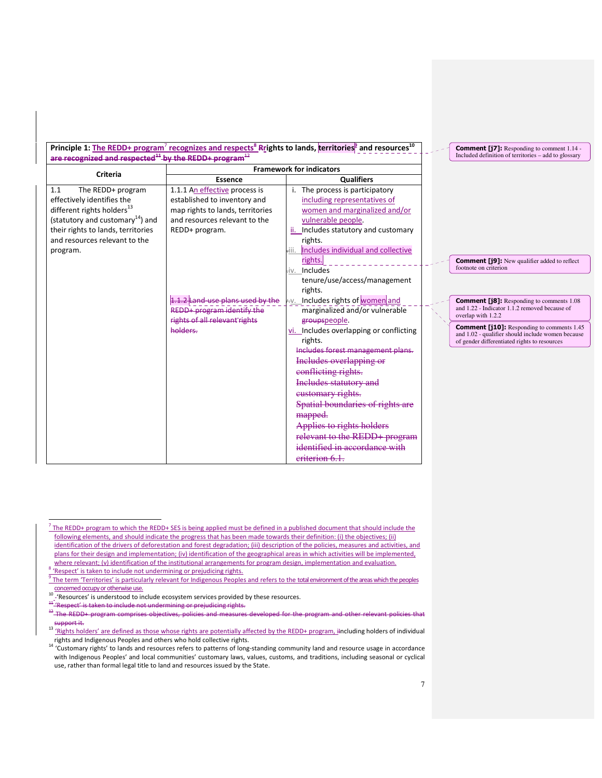Principle 1: The REDD+ program<sup>7</sup> recognizes and respects<sup>8</sup> Rrights to lands, territories<sup>9</sup> and resources<sup>10</sup> aired and recognized  $^{11}$  by the REDD+ program<sup>12</sup>

| are recognized and respected <sup>44</sup> by the REDD+ program <sup>42</sup> |                                  |                                             | Included definition of territories – add to glossary                |
|-------------------------------------------------------------------------------|----------------------------------|---------------------------------------------|---------------------------------------------------------------------|
| <b>Criteria</b>                                                               |                                  | <b>Framework for indicators</b>             |                                                                     |
|                                                                               | <b>Essence</b>                   | <b>Qualifiers</b>                           |                                                                     |
| The REDD+ program<br>1.1                                                      | 1.1.1 An effective process is    | The process is participatory                |                                                                     |
| effectively identifies the                                                    | established to inventory and     | including representatives of                |                                                                     |
| different rights holders <sup>13</sup>                                        | map rights to lands, territories | women and marginalized and/or               |                                                                     |
| (statutory and customary <sup>14</sup> ) and                                  | and resources relevant to the    | vulnerable people.                          |                                                                     |
| their rights to lands, territories                                            | REDD+ program.                   | Includes statutory and customary<br>ii.     |                                                                     |
| and resources relevant to the                                                 |                                  | rights.                                     |                                                                     |
| program.                                                                      |                                  | Includes individual and collective<br>-iii. |                                                                     |
|                                                                               |                                  | rights.                                     | <b>Comment [j9]:</b> New qualifier added to reflect                 |
|                                                                               |                                  | Includes<br>.iv.                            | footnote on criterion                                               |
|                                                                               |                                  | tenure/use/access/management                |                                                                     |
|                                                                               |                                  | rights.                                     |                                                                     |
|                                                                               | .2 Land-use plans used by the    | Includes rights of women and<br>HV.         | <b>Comment [j8]:</b> Responding to comments 1.08                    |
|                                                                               | REDD+ program identify the       | marginalized and/or vulnerable              | and 1.22 - Indicator 1.1.2 removed because of<br>overlap with 1.2.2 |
|                                                                               | rights of all relevant rights    | groupspeople.                               | <b>Comment [j10]:</b> Responding to comments 1.45                   |
|                                                                               | holders.                         | Includes overlapping or conflicting<br>vi.  | and 1.02 - qualifier should include women because                   |
|                                                                               |                                  | rights.                                     | of gender differentiated rights to resources                        |
|                                                                               |                                  | Includes forest management plans.           |                                                                     |
|                                                                               |                                  | Includes overlapping or                     |                                                                     |
|                                                                               |                                  | conflicting rights.                         |                                                                     |
|                                                                               |                                  | <b>Includes statutory and</b>               |                                                                     |
|                                                                               |                                  | eustomary rights.                           |                                                                     |
|                                                                               |                                  | Spatial boundaries of rights are            |                                                                     |
|                                                                               |                                  | mapped.                                     |                                                                     |
|                                                                               |                                  | Applies to rights holders                   |                                                                     |
|                                                                               |                                  | relevant to the REDD+ program               |                                                                     |
|                                                                               |                                  | identified in accordance with               |                                                                     |
|                                                                               |                                  | eriterion 6.1.                              |                                                                     |
|                                                                               |                                  |                                             |                                                                     |

 $^7$  The REDD+ program to which the REDD+ SES is being applied must be defined in a published document that should include the following elements, and should indicate the progress that has been made towards their definition: (i) the objectives; (ii) identification of the drivers of deforestation and forest degradation; (iii) description of the policies, measures and activities, and plans for their design and implementation; (iv) identification of the geographical areas in which activities will be implemented, where relevant; (v) identification of the institutional arrangements for program design, implementation and evaluation.

8 'Respect' is taken to include not undermining or prejudicing rights.

 $\overline{a}$ 

-'Resources' is understood to include ecosystem services provided by these resources.

Comment [j7]: Responding to comment 1.14 -

7

 $9$  The term 'Territories' is particularly relevant for Indigenous Peoples and refers to the total environment of the areas which the peoples concemed occupy or otherwise use.

<sup>11 &#</sup>x27;Respect' is taken to include not undermining or prejudicing rights.<br><sup>12</sup> The REDD+ program comprises objectives, policies and measure program comprises objectives, policies and support it.

<sup>&</sup>lt;sup>13</sup> 'Rights holders' are defined as those whose rights are potentially affected by the REDD+ program, including holders of individual

rights and Indigenous Peoples and others who hold collective rights.<br><sup>14</sup> 'Customary rights' to lands and resources refers to patterns of long-standing community land and resource usage in accordance with Indigenous Peoples' and local communities' customary laws, values, customs, and traditions, including seasonal or cyclical use, rather than formal legal title to land and resources issued by the State.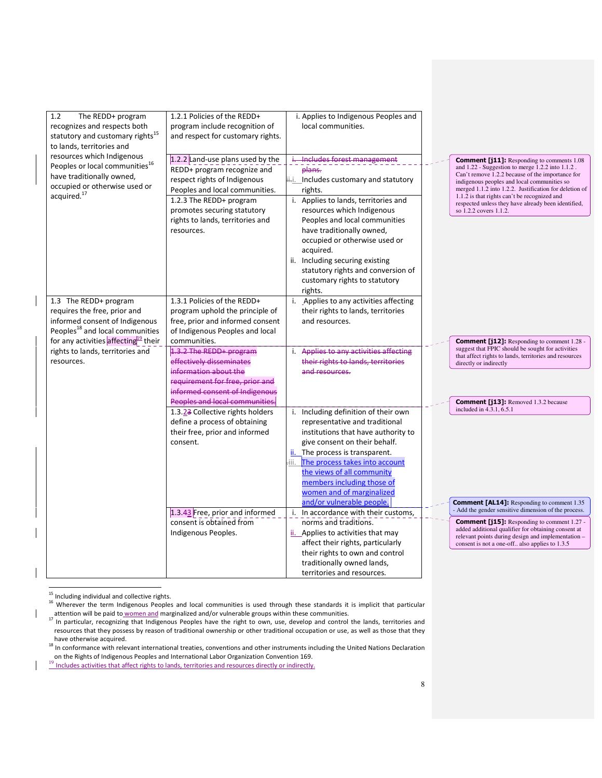| 1.2<br>The REDD+ program<br>recognizes and respects both<br>statutory and customary rights <sup>15</sup><br>to lands, territories and                             | 1.2.1 Policies of the REDD+<br>program include recognition of<br>and respect for customary rights.                                                                                                                                            | i. Applies to Indigenous Peoples and<br>local communities.                                                                                                                                                                                                                                                                                                                                          |                                                                                                                                                                                                                                                                                                                                                                                                     |  |  |
|-------------------------------------------------------------------------------------------------------------------------------------------------------------------|-----------------------------------------------------------------------------------------------------------------------------------------------------------------------------------------------------------------------------------------------|-----------------------------------------------------------------------------------------------------------------------------------------------------------------------------------------------------------------------------------------------------------------------------------------------------------------------------------------------------------------------------------------------------|-----------------------------------------------------------------------------------------------------------------------------------------------------------------------------------------------------------------------------------------------------------------------------------------------------------------------------------------------------------------------------------------------------|--|--|
| resources which Indigenous<br>Peoples or local communities <sup>16</sup><br>have traditionally owned,<br>occupied or otherwise used or<br>acquired. <sup>17</sup> | 1.2.2 Land-use plans used by the<br>REDD+ program recognize and<br>respect rights of Indigenous<br>Peoples and local communities.<br>1.2.3 The REDD+ program<br>promotes securing statutory<br>rights to lands, territories and<br>resources. | i. Includes forest management<br>plans.<br>ii-i. Includes customary and statutory<br>rights.<br>i. Applies to lands, territories and<br>resources which Indigenous<br>Peoples and local communities<br>have traditionally owned,<br>occupied or otherwise used or<br>acquired.<br>ii. Including securing existing<br>statutory rights and conversion of<br>customary rights to statutory<br>rights. | <b>Comment [j11]:</b> Responding to comments 1.08<br>and 1.22 - Suggestion to merge 1.2.2 into 1.1.2.<br>Can't remove 1.2.2 because of the importance for<br>indigenous peoples and local communities so<br>merged 1.1.2 into 1.2.2. Justification for deletion of<br>1.1.2 is that rights can't be recognized and<br>respected unless they have already been identified,<br>so 1.2.2 covers 1.1.2. |  |  |
| 1.3 The REDD+ program<br>requires the free, prior and<br>informed consent of Indigenous<br>Peoples <sup>18</sup> and local communities                            | 1.3.1 Policies of the REDD+<br>program uphold the principle of<br>free, prior and informed consent<br>of Indigenous Peoples and local                                                                                                         | i. Applies to any activities affecting<br>their rights to lands, territories<br>and resources.                                                                                                                                                                                                                                                                                                      |                                                                                                                                                                                                                                                                                                                                                                                                     |  |  |
| for any activities affecting <sup>19</sup> their<br>rights to lands, territories and<br>resources.                                                                | communities.<br>1.3.2 The REDD+ program<br>effectively disseminates<br>information about the<br>requirement for free, prior and<br>informed consent of Indigenous<br>Peoples and local communities.                                           | i. Applies to any activities affecting<br>their rights to lands, territories<br>and resources.                                                                                                                                                                                                                                                                                                      | <b>Comment [j12]:</b> Responding to comment 1.28 -<br>suggest that FPIC should be sought for activities<br>that affect rights to lands, territories and resources<br>directly or indirectly<br><b>Comment [j13]:</b> Removed 1.3.2 because                                                                                                                                                          |  |  |
|                                                                                                                                                                   | 1.3.23 Collective rights holders<br>define a process of obtaining<br>their free, prior and informed<br>consent.                                                                                                                               | i. Including definition of their own<br>representative and traditional<br>institutions that have authority to<br>give consent on their behalf.<br>ii. The process is transparent.<br>iii. The process takes into account<br>the views of all community<br>members including those of<br>women and of marginalized                                                                                   | included in 4.3.1, 6.5.1                                                                                                                                                                                                                                                                                                                                                                            |  |  |
|                                                                                                                                                                   | 1.3.43 Free, prior and informed<br>consent is obtained from<br>Indigenous Peoples.                                                                                                                                                            | and/or vulnerable people.<br>i. In accordance with their customs,<br>norms and traditions.<br>ii. Applies to activities that may<br>affect their rights, particularly<br>their rights to own and control<br>traditionally owned lands,<br>territories and resources.                                                                                                                                | <b>Comment [AL14]:</b> Responding to comment 1.35<br>- Add the gender sensitive dimension of the process.<br><b>Comment [j15]:</b> Responding to comment 1.27 -<br>added additional qualifier for obtaining consent at<br>relevant points during design and implementation -<br>consent is not a one-off also applies to 1.3.5                                                                      |  |  |

 $\overline{a}$  $15$  Including individual and collective rights.

 $\mathsf{l}$ 

<sup>16</sup> Wherever the term Indigenous Peoples and local communities is used through these standards it is implicit that particular attention will be paid to women and marginalized and/or vulnerable groups within these communities.<br><sup>17</sup> In particular, recognizing that Indigenous Peoples have the right to own, use, develop and control the lands, territo

resources that they possess by reason of traditional ownership or other traditional occupation or use, as well as those that they have otherwise acquired.<br><sup>18</sup> In conformance with relevant international treaties, conventions and other instruments including the United Nations Declaration

on the Rights of Indigenous Peoples and International Labor Organization Convention 169.

<sup>&</sup>lt;sup>19</sup> Includes activities that affect rights to lands, territories and resources directly or indirectly.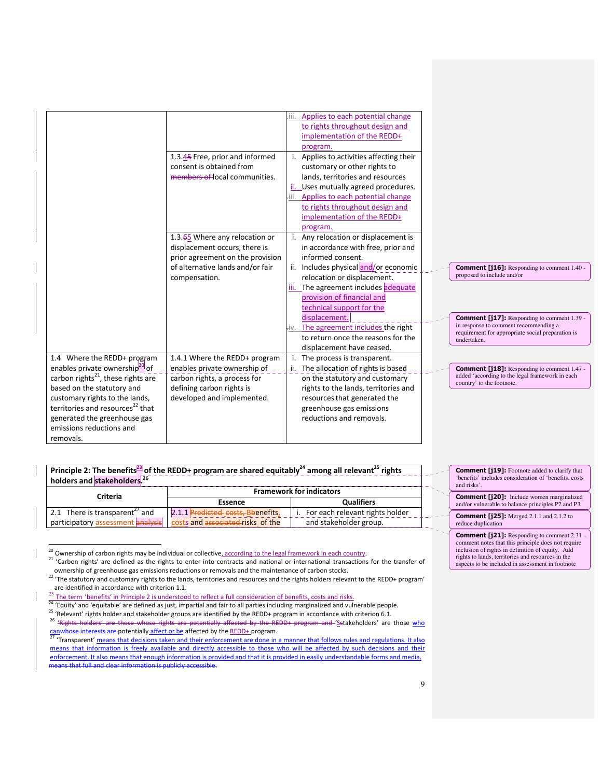|                                                |                                  | -iii. | Applies to each potential change      |  |                                                                                            |
|------------------------------------------------|----------------------------------|-------|---------------------------------------|--|--------------------------------------------------------------------------------------------|
|                                                |                                  |       | to rights throughout design and       |  |                                                                                            |
|                                                |                                  |       | implementation of the REDD+           |  |                                                                                            |
|                                                |                                  |       | program.                              |  |                                                                                            |
|                                                | 1.3.45 Free, prior and informed  |       | Applies to activities affecting their |  |                                                                                            |
|                                                | consent is obtained from         |       | customary or other rights to          |  |                                                                                            |
|                                                | members of local communities.    |       | lands, territories and resources      |  |                                                                                            |
|                                                |                                  |       | ii. Uses mutually agreed procedures.  |  |                                                                                            |
|                                                |                                  | -iii. | Applies to each potential change      |  |                                                                                            |
|                                                |                                  |       | to rights throughout design and       |  |                                                                                            |
|                                                |                                  |       | implementation of the REDD+           |  |                                                                                            |
|                                                |                                  |       | program.                              |  |                                                                                            |
|                                                | 1.3.65 Where any relocation or   |       | i. Any relocation or displacement is  |  |                                                                                            |
|                                                | displacement occurs, there is    |       | in accordance with free, prior and    |  |                                                                                            |
|                                                | prior agreement on the provision |       | informed consent.                     |  |                                                                                            |
|                                                | of alternative lands and/or fair |       | ii. Includes physical and/or economic |  | <b>Comment [j16]:</b> Responding to comment 1.40 -                                         |
|                                                | compensation.                    |       | relocation or displacement.           |  | proposed to include and/or                                                                 |
|                                                |                                  |       | iii. The agreement includes adequate  |  |                                                                                            |
|                                                |                                  |       | provision of financial and            |  |                                                                                            |
|                                                |                                  |       | technical support for the             |  |                                                                                            |
|                                                |                                  |       | displacement.                         |  | <b>Comment [j17]:</b> Responding to comment 1.39 -                                         |
|                                                |                                  | ÷i∨.  | The agreement includes the right      |  | in response to comment recommending a<br>requirement for appropriate social preparation is |
|                                                |                                  |       | to return once the reasons for the    |  | undertaken.                                                                                |
|                                                |                                  |       | displacement have ceased.             |  |                                                                                            |
| 1.4 Where the REDD+ program                    | 1.4.1 Where the REDD+ program    |       | The process is transparent.           |  |                                                                                            |
| enables private ownership <sup>20</sup> of     | enables private ownership of     |       | ii. The allocation of rights is based |  | <b>Comment [j18]:</b> Responding to comment 1.47 -                                         |
| carbon rights <sup>21</sup> , these rights are | carbon rights, a process for     |       | on the statutory and customary        |  | added 'according to the legal framework in each<br>country' to the footnote.               |
| based on the statutory and                     | defining carbon rights is        |       | rights to the lands, territories and  |  |                                                                                            |
| customary rights to the lands,                 | developed and implemented.       |       | resources that generated the          |  |                                                                                            |
| territories and resources <sup>22</sup> that   |                                  |       | greenhouse gas emissions              |  |                                                                                            |
| generated the greenhouse gas                   |                                  |       | reductions and removals.              |  |                                                                                            |
| emissions reductions and                       |                                  |       |                                       |  |                                                                                            |
| removals.                                      |                                  |       |                                       |  |                                                                                            |

# Principle 2: The benefits<sup>23</sup> of the REDD+ program are shared equitably<sup>24</sup> among all relevant<sup>25</sup> rights holders and stakeholders.<sup>26</sup>

| Criteria                                                              | <b>Framework for indicators</b>   |                                    |  |  |  |  |
|-----------------------------------------------------------------------|-----------------------------------|------------------------------------|--|--|--|--|
|                                                                       | Essence                           | <b>Qualifiers</b>                  |  |  |  |  |
| 2.1 There is transparent <sup>27</sup> and                            | 2.1.1 Predicted costs, Bbenefits, | i. For each relevant rights holder |  |  |  |  |
| participatory assessment analysis   costs and associated risks of the |                                   | and stakeholder group.             |  |  |  |  |

<sup>&</sup>lt;sup>20</sup> Ownership of carbon rights may be individual or collective, according to the legal framework in each country.

 $\overline{a}$ 

Comment [j19]: Footnote added to clarify that 'benefits' includes consideration of 'benefits, costs and risks'.

Comment [j20]: Include women marginalized and/or vulnerable to balance principles P2 and P3

Comment [j25]: Merged 2.1.1 and 2.1.2 to reduce duplication

**Comment [j21]:** Responding to comment 2.31 – comment notes that this principle does not require inclusion of rights in definition of equity. Add rights to lands, territories and resources in the aspects to be included in assessment in footnote

<sup>&</sup>lt;sup>21</sup> 'Carbon rights' are defined as the rights to enter into contracts and national or international transactions for the transfer of ownership of greenhouse gas emissions reductions or removals and the maintenance of carbon stocks.

<sup>&</sup>lt;sup>22</sup> The statutory and customary rights to the lands, territories and resources and the rights holders relevant to the REDD+ program'

are identified in accordance with criterion 1.1.<br><sup>23</sup> The term 'benefits' in Principle 2 is understood to reflect a full consideration of benefits, costs and risks.

Ine term benefits in Frinciple 213 understood to renew the conceptions including marginalized and vulnerable people.<br><sup>24</sup> 'Equity' and 'equitable' are defined as just, impartial and fair to all parties including marginaliz

<sup>&</sup>lt;sup>25</sup> 'Relevant' rights holder and stakeholder groups are identified by the REDD+ program in accordance with criterion 6.1.<br><sup>26</sup> 'Rights holders' are those whose rights are potentially affected by the REDD+ program and 'Ss rights are potentially affected by the REDD+ program and 'Sstakeholders' are those who

canwhose interests are potentially affect or be affected by the REDD+ program.

<sup>&#</sup>x27;Transparent' means that decisions taken and their enforcement are done in a manner that follows rules and regulations. It also means that information is freely available and directly accessible to those who will be affected by such decisions and their enforcement. It also means that enough information is provided and that it is provided in easily understandable forms and media. means that full and clear information is publicly accessible.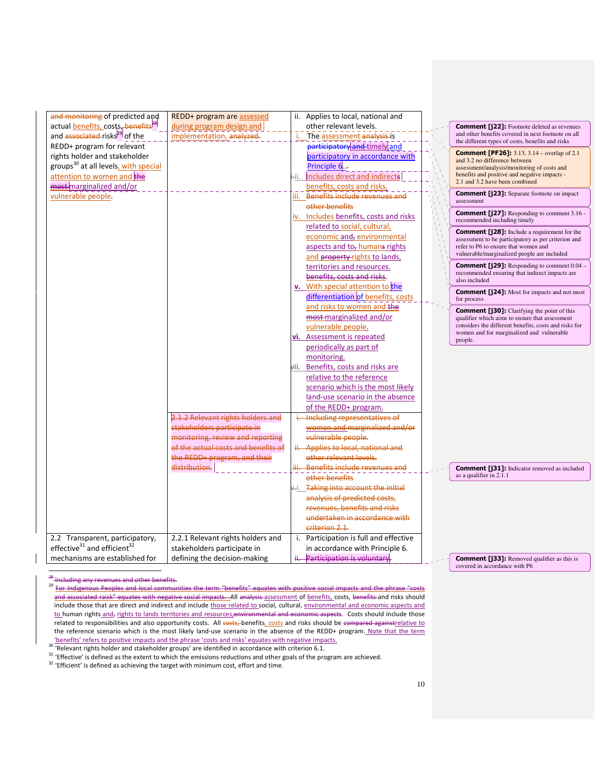| and monitoring of predicted and<br>actual <b>benefits</b> , costs, benefits <sup>P8</sup> | REDD+ program are assessed<br>during program design and |      | ii. Applies to local, national and<br>other relevant levels. |                                                                                                            |
|-------------------------------------------------------------------------------------------|---------------------------------------------------------|------|--------------------------------------------------------------|------------------------------------------------------------------------------------------------------------|
| and associated-risks <sup>29</sup> of the                                                 | implementation. analyzed.                               |      | The assessment analysis is                                   | <b>Comment [j22]:</b> Footnote deleted as revenues<br>and other benefits covered in next footnote on all   |
| REDD+ program for relevant                                                                |                                                         |      | participatory and timely and                                 | the different types of costs, benefits and risks                                                           |
| rights holder and stakeholder                                                             |                                                         |      | participatory in accordance with                             | <b>Comment [PF26]:</b> 3.13, 3.14 – overlap of 2.1                                                         |
| groups <sup>30</sup> at all levels, with special                                          |                                                         |      | Principle 6                                                  | and 3.2 no difference between                                                                              |
| attention to women and the                                                                |                                                         | ÷ii. | Includes direct and indirects                                | assessment/analysis/monitoring of costs and<br>benefits and positive and negative impacts -                |
| most-marginalized and/or                                                                  |                                                         |      | benefits, costs and risks.                                   | 2.1 and 3.2 have been combined                                                                             |
| vulnerable people.                                                                        |                                                         |      | iii. Benefits include revenues and                           | <b>Comment [j23]:</b> Separate footnote on impact                                                          |
|                                                                                           |                                                         |      | other benefits                                               | assessment                                                                                                 |
|                                                                                           |                                                         |      | iv. Includes benefits, costs and risks                       | <b>Comment [j27]:</b> Responding to comment 3.16 -<br>recommended including timely                         |
|                                                                                           |                                                         |      | related to social, cultural,                                 |                                                                                                            |
|                                                                                           |                                                         |      | economic and, environmental                                  | <b>Comment [j28]:</b> Include a requirement for the<br>assessment to be participatory as per criterion and |
|                                                                                           |                                                         |      | aspects and to, humans rights                                | refer to P6 to ensure that women and                                                                       |
|                                                                                           |                                                         |      | and property-rights to lands,                                | vulnerable/marginalized people are included                                                                |
|                                                                                           |                                                         |      | territories and resources.                                   | Comment [j29]: Responding to comment 0.04 -                                                                |
|                                                                                           |                                                         |      | benefits, costs and risks.                                   | recommended ensuring that indirect impacts are<br>also included                                            |
|                                                                                           |                                                         |      | v. With special attention to the                             |                                                                                                            |
|                                                                                           |                                                         |      | differentiation of benefits, costs                           | <b>Comment [j24]:</b> Most for impacts and not most<br>for process                                         |
|                                                                                           |                                                         |      | and risks to women and the                                   | <b>Comment [j30]:</b> Clarifying the point of this                                                         |
|                                                                                           |                                                         |      | most-marginalized and/or                                     | qualifier which aims to ensure that assessment                                                             |
|                                                                                           |                                                         |      | vulnerable people.                                           | considers the different benefits, costs and risks for<br>women and for marginalized and vulnerable         |
|                                                                                           |                                                         |      | vi. Assessment is repeated                                   | people.                                                                                                    |
|                                                                                           |                                                         |      | periodically as part of                                      |                                                                                                            |
|                                                                                           |                                                         |      | monitoring.                                                  |                                                                                                            |
|                                                                                           |                                                         |      | vii. Benefits, costs and risks are                           |                                                                                                            |
|                                                                                           |                                                         |      | relative to the reference                                    |                                                                                                            |
|                                                                                           |                                                         |      | scenario which is the most likely                            |                                                                                                            |
|                                                                                           |                                                         |      | land-use scenario in the absence                             |                                                                                                            |
|                                                                                           |                                                         |      | of the REDD+ program.                                        |                                                                                                            |
|                                                                                           | 2.1.2 Relevant rights holders and                       |      | i. Including representatives of                              |                                                                                                            |
|                                                                                           | stakeholders participate in                             |      | women and marginalized and/or                                |                                                                                                            |
|                                                                                           | monitoring, review and reporting                        |      | vulnerable people.                                           |                                                                                                            |
|                                                                                           | of the actual costs and benefits of                     |      | ii. Applies to local, national and                           |                                                                                                            |
|                                                                                           | the REDD+ program, and their                            |      | other relevant levels.                                       |                                                                                                            |
|                                                                                           | distribution.                                           |      | iii. Benefits include revenues and                           | <b>Comment [j31]:</b> Indicator removed as included                                                        |
|                                                                                           |                                                         |      | other benefits                                               | as a qualifier in 2.1.1                                                                                    |
|                                                                                           |                                                         |      | Taking into account the initial                              |                                                                                                            |
|                                                                                           |                                                         |      | analysis of predicted costs,                                 |                                                                                                            |
|                                                                                           |                                                         |      | revenues, benefits and risks                                 |                                                                                                            |
|                                                                                           |                                                         |      | undertaken in accordance with                                |                                                                                                            |
|                                                                                           |                                                         |      | criterion 2.1.                                               |                                                                                                            |
| 2.2 Transparent, participatory,                                                           | 2.2.1 Relevant rights holders and                       |      | i. Participation is full and effective                       |                                                                                                            |
| effective <sup>31</sup> and efficient <sup>32</sup>                                       | stakeholders participate in                             |      | in accordance with Principle 6.                              |                                                                                                            |
| mechanisms are established for                                                            | defining the decision-making                            |      | ii. Participation is voluntary.                              | <b>Comment [j33]:</b> Removed qualifier as this is<br>covered in accordance with P6                        |

<sup>&</sup>lt;sup>28</sup> Including any revenues and other benefits.

 $\overline{\phantom{0}}$ 

<sup>29</sup> For Indigenous Peoples and local communities the term "benefits" equates with positive social impacts and the phrase "costs and associated raisk" equates with negative social impacts. All analysis assessment of benefits, costs, benefits and risks should include those that are direct and indirect and include those related to social, cultural, environmental and economic aspects and to human rights and, rights to lands territories and resources, environmental and economic aspects. Costs should include those related to responsibilities and also opportunity costs. All costs, benefits, costs and risks should be compared againstrelative to the reference scenario which is the most likely land-use scenario in the absence of the REDD+ program. Note that the term *'*benefits' refers to positive impacts and the phrase 'costs and risks' equates with negative impacts.<br><sup>30</sup> 'Relevant rights holder and stakeholder groups' are identified in accordance with criterion 6.1.

<sup>31 &#</sup>x27;Effective' is defined as the extent to which the emissions reductions and other goals of the program are achieved.

<sup>&</sup>lt;sup>32</sup> 'Efficient' is defined as achieving the target with minimum cost, effort and time.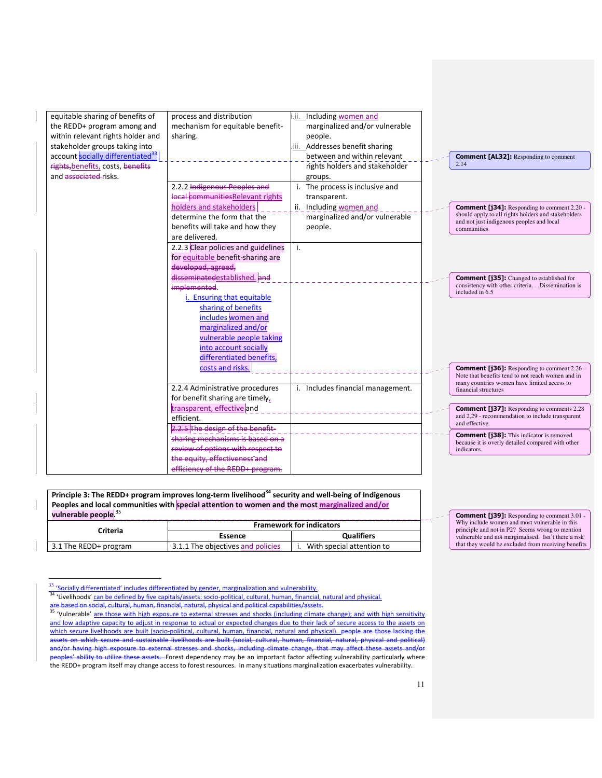| equitable sharing of benefits of<br>the REDD+ program among and<br>within relevant rights holder and<br>stakeholder groups taking into | process and distribution<br>mechanism for equitable benefit-<br>sharing.                                                                          | iн. | Including women and<br>marginalized and/or vulnerable<br>people.<br>iii. Addresses benefit sharing |                                                                                                                                                                       |
|----------------------------------------------------------------------------------------------------------------------------------------|---------------------------------------------------------------------------------------------------------------------------------------------------|-----|----------------------------------------------------------------------------------------------------|-----------------------------------------------------------------------------------------------------------------------------------------------------------------------|
| account socially differentiated <sup>33</sup><br>rights, benefits, costs, benefits                                                     |                                                                                                                                                   |     | between and within relevant<br>rights holders and stakeholder                                      | <b>Comment [AL32]:</b> Responding to comment<br>2.14                                                                                                                  |
| and associated risks.                                                                                                                  | 2.2.2 Indigenous Peoples and<br>local communitiesRelevant rights                                                                                  |     | groups.<br>i. The process is inclusive and<br>transparent.                                         |                                                                                                                                                                       |
|                                                                                                                                        | holders and stakeholders<br>determine the form that the<br>benefits will take and how they                                                        |     | ii. Including women and<br>marginalized and/or vulnerable<br>people.                               | <b>Comment [j34]:</b> Responding to comment 2.20 -<br>should apply to all rights holders and stakeholders<br>and not just indigenous peoples and local<br>communities |
|                                                                                                                                        | are delivered.<br>2.2.3 Clear policies and guidelines<br>for equitable benefit-sharing are<br>developed, agreed,                                  | i.  |                                                                                                    |                                                                                                                                                                       |
|                                                                                                                                        | disseminatedestablished. and<br>implemented.<br>i. Ensuring that equitable                                                                        |     |                                                                                                    | <b>Comment [j35]:</b> Changed to established for<br>consistency with other criteria. .Dissemination is<br>included in 6.5                                             |
|                                                                                                                                        | sharing of benefits<br>includes women and<br>marginalized and/or<br>vulnerable people taking<br>into account socially<br>differentiated benefits, |     |                                                                                                    |                                                                                                                                                                       |
|                                                                                                                                        | costs and risks.<br>2.2.4 Administrative procedures                                                                                               |     | i. Includes financial management.                                                                  | <b>Comment [j36]:</b> Responding to comment 2.26 –<br>Note that benefits tend to not reach women and in<br>many countries women have limited access to                |
|                                                                                                                                        | for benefit sharing are timely,<br>transparent, effective and                                                                                     |     |                                                                                                    | financial structures<br><b>Comment [j37]:</b> Responding to comments 2.28                                                                                             |
|                                                                                                                                        | efficient.<br>2.2.5 The design of the benefit-                                                                                                    |     |                                                                                                    | and 2,29 - recommendation to include transparent<br>and effective.                                                                                                    |
|                                                                                                                                        | sharing mechanisms is based on a<br>review of options with respect to                                                                             |     |                                                                                                    | <b>Comment [j38]:</b> This indicator is removed<br>because it is overly detailed compared with other<br>indicators.                                                   |
|                                                                                                                                        | the equity, effectiveness and<br>efficiency of the REDD+ program.                                                                                 |     |                                                                                                    |                                                                                                                                                                       |

Principle 3: The REDD+ program improves long-term livelihood<sup>34</sup> security and well-being of Indigenous Peoples and local communities with special attention to women and the most marginalized and/or vulnerable people.<sup>35</sup>

| Criteria              | <b>Framework for indicators</b>   |                           |  |  |  |  |
|-----------------------|-----------------------------------|---------------------------|--|--|--|--|
|                       | Essence                           | <b>Qualifiers</b>         |  |  |  |  |
| 3.1 The REDD+ program | 3.1.1 The objectives and policies | With special attention to |  |  |  |  |

 $33$  'Socially differentiated' includes differentiated by gender, marginalization and vulnerability.

 $\overline{a}$ 

Comment [j39]: Responding to comment 3.01 -Why include women and most vulnerable in this principle and not in P2? Seems wrong to mention vulnerable and not margimalised. Isn't there a risk that they would be excluded from receiving benefits

<sup>34 &#</sup>x27;Livelihoods' can be defined by five capitals/assets: socio-political, cultural, human, financial, natural and physical.<br>are based on social, cultural, human, financial, natural, physical and political capabilities/asse

<sup>&</sup>lt;del>are based on social, cultural, human, financial, natural, physical and political capabilities/assets.</del><br><sup>35</sup> 'Vulnerable' <u>are those with high exposure to external stresses and shocks (including climate change); and with h</u> and low adaptive capacity to adjust in response to actual or expected changes due to their lack of secure access to the assets on which secure livelihoods are built (socio-political, cultural, human, financial, natural and physical). people are those lacking the assets on which secure and sustainable livelihoods are built (social, cultural, human, financial, natural, physical and political) and/or having high exposure to external stresses and shocks, including climate change, that may affect these assets and/or i<del>ze these assets. F</del>orest dependency may be an important factor affecting vulnerability particularly where the REDD+ program itself may change access to forest resources. In many situations marginalization exacerbates vulnerability.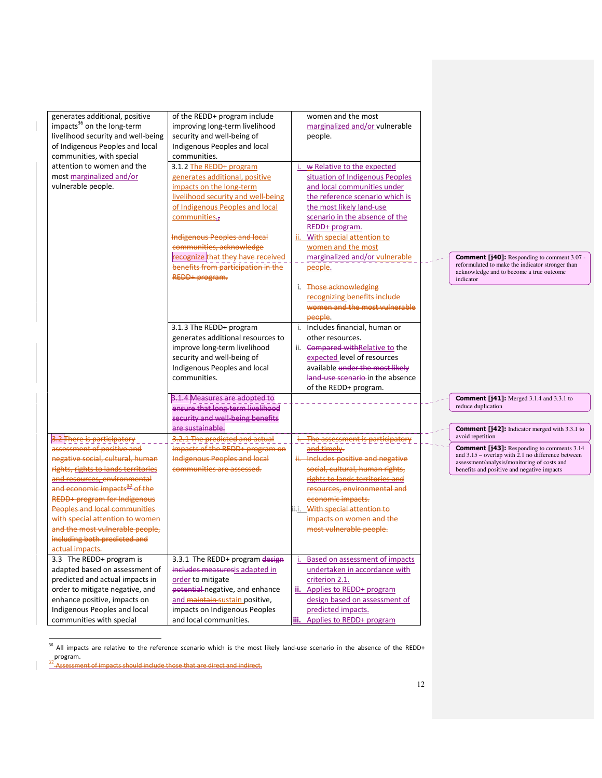| generates additional, positive            | of the REDD+ program include                                         |      | women and the most                 |  |                                                                                                          |
|-------------------------------------------|----------------------------------------------------------------------|------|------------------------------------|--|----------------------------------------------------------------------------------------------------------|
| impacts <sup>36</sup> on the long-term    | improving long-term livelihood                                       |      | marginalized and/or vulnerable     |  |                                                                                                          |
| livelihood security and well-being        | security and well-being of                                           |      | people.                            |  |                                                                                                          |
| of Indigenous Peoples and local           | Indigenous Peoples and local                                         |      |                                    |  |                                                                                                          |
| communities, with special                 | communities.                                                         |      |                                    |  |                                                                                                          |
| attention to women and the                | 3.1.2 The REDD+ program                                              |      | w Relative to the expected         |  |                                                                                                          |
| most marginalized and/or                  | generates additional, positive                                       |      | situation of Indigenous Peoples    |  |                                                                                                          |
| vulnerable people.                        | impacts on the long-term                                             |      | and local communities under        |  |                                                                                                          |
|                                           | livelihood security and well-being                                   |      | the reference scenario which is    |  |                                                                                                          |
|                                           | of Indigenous Peoples and local                                      |      | the most likely land-use           |  |                                                                                                          |
|                                           | communities.,                                                        |      | scenario in the absence of the     |  |                                                                                                          |
|                                           |                                                                      |      | REDD+ program.                     |  |                                                                                                          |
|                                           | <b>Indigenous Peoples and local</b>                                  | ii.  | With special attention to          |  |                                                                                                          |
|                                           | communities, acknowledge                                             |      | women and the most                 |  |                                                                                                          |
|                                           | recognize that they have received                                    |      | marginalized and/or vulnerable     |  | <b>Comment [j40]:</b> Responding to comment 3.07 -                                                       |
|                                           | benefits from participation in the                                   |      | people.                            |  | reformulated to make the indicator stronger than                                                         |
|                                           | REDD+ program.                                                       |      |                                    |  | acknowledge and to become a true outcome<br>indicator                                                    |
|                                           |                                                                      |      | i. Those acknowledging             |  |                                                                                                          |
|                                           |                                                                      |      | recognizing benefits include       |  |                                                                                                          |
|                                           |                                                                      |      | women and the most vulnerable      |  |                                                                                                          |
|                                           |                                                                      |      | people.                            |  |                                                                                                          |
|                                           | 3.1.3 The REDD+ program                                              |      | i. Includes financial, human or    |  |                                                                                                          |
|                                           | generates additional resources to                                    |      | other resources.                   |  |                                                                                                          |
|                                           | improve long-term livelihood                                         |      | ii. Compared with Relative to the  |  |                                                                                                          |
|                                           | security and well-being of                                           |      | expected level of resources        |  |                                                                                                          |
|                                           | Indigenous Peoples and local                                         |      | available under the most likely    |  |                                                                                                          |
|                                           | communities.                                                         |      | land-use scenario-in the absence   |  |                                                                                                          |
|                                           |                                                                      |      | of the REDD+ program.              |  |                                                                                                          |
|                                           | 3.1.4 Measures are adopted to                                        |      |                                    |  |                                                                                                          |
|                                           |                                                                      |      |                                    |  | <b>Comment [j41]:</b> Merged 3.1.4 and 3.3.1 to<br>reduce duplication                                    |
|                                           | ensure that long-term livelihood<br>security and well-being benefits |      |                                    |  |                                                                                                          |
|                                           | are sustainable.                                                     |      |                                    |  |                                                                                                          |
|                                           | 3.2.1 The predicted and actual                                       |      |                                    |  | <b>Comment [j42]:</b> Indicator merged with 3.3.1 to<br>avoid repetition                                 |
| 3.2 There is participatory                |                                                                      |      | The assessment is participatory    |  |                                                                                                          |
| assessment of positive and                | - - - - - - - -<br>impacts of the REDD+ program on                   |      | and timely.                        |  | <b>Comment [j43]:</b> Responding to comments 3.14<br>and $3.15$ – overlap with 2.1 no difference between |
| negative social, cultural, human          | Indigenous Peoples and local                                         |      | ii. Includes positive and negative |  | assessment/analysis/monitoring of costs and                                                              |
| rights, rights to lands territories       | communities are assessed.                                            |      | social, cultural, human rights,    |  | benefits and positive and negative impacts                                                               |
| and resources, environmental              |                                                                      |      | rights to lands territories and    |  |                                                                                                          |
| and economic impacts <sup>32</sup> of the |                                                                      |      | resources, environmental and       |  |                                                                                                          |
| REDD+ program for Indigenous              |                                                                      |      | economic impacts.                  |  |                                                                                                          |
| <b>Peoples and local communities</b>      |                                                                      | ii.i | With special attention to          |  |                                                                                                          |
| with special attention to women           |                                                                      |      | impacts on women and the           |  |                                                                                                          |
| and the most vulnerable people,           |                                                                      |      | most vulnerable people.            |  |                                                                                                          |
| including both predicted and              |                                                                      |      |                                    |  |                                                                                                          |
| actual impacts.                           |                                                                      |      |                                    |  |                                                                                                          |
| 3.3 The REDD+ program is                  | 3.3.1 The REDD+ program design                                       |      | Based on assessment of impacts     |  |                                                                                                          |
| adapted based on assessment of            | includes measuresis adapted in                                       |      | undertaken in accordance with      |  |                                                                                                          |
| predicted and actual impacts in           | order to mitigate                                                    |      | criterion 2.1.                     |  |                                                                                                          |
| order to mitigate negative, and           | potential-negative, and enhance                                      |      | ii. Applies to REDD+ program       |  |                                                                                                          |
| enhance positive, impacts on              | and maintain-sustain positive,                                       |      | design based on assessment of      |  |                                                                                                          |
| Indigenous Peoples and local              | impacts on Indigenous Peoples                                        |      | predicted impacts.                 |  |                                                                                                          |
| communities with special                  | and local communities.                                               |      | iii. Applies to REDD+ program      |  |                                                                                                          |

<sup>&</sup>lt;sup>36</sup> All impacts are relative to the reference scenario which is the most likely land-use scenario in the absence of the REDD+ program.

 $\overline{\phantom{0}}$ 

 $\mathbf{I}$ 

<sup>&</sup>lt;sup>37</sup>-Assessment of impacts should include those that are direct and indirect.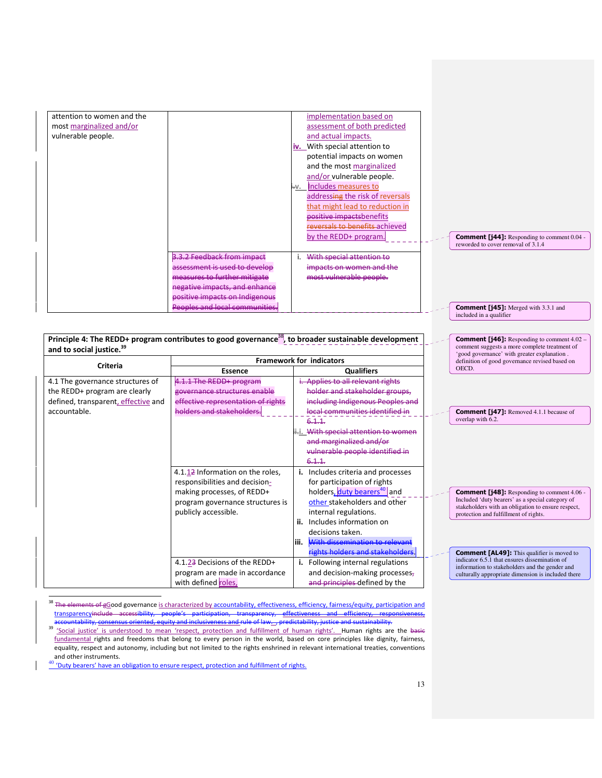| attention to women and the           |                                    | implementation based on                                                                                          |                                                                                              |
|--------------------------------------|------------------------------------|------------------------------------------------------------------------------------------------------------------|----------------------------------------------------------------------------------------------|
| most marginalized and/or             |                                    | assessment of both predicted                                                                                     |                                                                                              |
| vulnerable people.                   |                                    | and actual impacts.                                                                                              |                                                                                              |
|                                      |                                    | iv. With special attention to                                                                                    |                                                                                              |
|                                      |                                    | potential impacts on women                                                                                       |                                                                                              |
|                                      |                                    | and the most marginalized                                                                                        |                                                                                              |
|                                      |                                    | and/or vulnerable people.                                                                                        |                                                                                              |
|                                      |                                    | Includes measures to<br>i–v.                                                                                     |                                                                                              |
|                                      |                                    | addressing the risk of reversals                                                                                 |                                                                                              |
|                                      |                                    | that might lead to reduction in                                                                                  |                                                                                              |
|                                      |                                    | positive impactsbenefits                                                                                         |                                                                                              |
|                                      |                                    | reversals to benefits achieved                                                                                   |                                                                                              |
|                                      |                                    | by the REDD+ program.                                                                                            | <b>Comment [j44]:</b> Responding to comment 0.04 -                                           |
|                                      |                                    |                                                                                                                  | reworded to cover removal of 3.1.4                                                           |
|                                      | 3.3.2 Feedback from impact         | With special attention to                                                                                        |                                                                                              |
|                                      | assessment is used to develop      | impacts on women and the                                                                                         |                                                                                              |
|                                      | measures to further mitigate       | most vulnerable people.                                                                                          |                                                                                              |
|                                      | negative impacts, and enhance      |                                                                                                                  |                                                                                              |
|                                      | positive impacts on Indigenous     |                                                                                                                  |                                                                                              |
|                                      | Peoples and local communities.     |                                                                                                                  | <b>Comment [j45]:</b> Merged with 3.3.1 and<br>included in a qualifier                       |
|                                      |                                    |                                                                                                                  |                                                                                              |
|                                      |                                    | Principle 4: The REDD+ program contributes to good governance <sup>38</sup> , to broader sustainable development | <b>Comment [j46]:</b> Responding to comment 4.02 -                                           |
| and to social justice. <sup>39</sup> |                                    |                                                                                                                  | comment suggests a more complete treatment of<br>'good governance' with greater explanation. |
| <b>Criteria</b>                      |                                    | Framework for indicators                                                                                         | definition of good governance revised based on                                               |
|                                      | <b>Essence</b>                     | <b>Qualifiers</b>                                                                                                | OECD.                                                                                        |
| 4.1 The governance structures of     | 4.1.1 The REDD+ program            | i. Applies to all relevant rights                                                                                |                                                                                              |
| the REDD+ program are clearly        | governance structures enable       | holder and stakeholder groups.                                                                                   |                                                                                              |
| defined, transparent, effective and  | effective representation of rights | including Indigenous Peoples and                                                                                 |                                                                                              |
| accountable.                         | holders and stakeholders.          | local communities identified in                                                                                  | <b>Comment [j47]:</b> Removed 4.1.1 because of                                               |
|                                      |                                    | 6.1.1                                                                                                            | overlap with 6.2.                                                                            |
|                                      |                                    | ii-i. With special attention to women                                                                            |                                                                                              |
|                                      |                                    | and marginalized and/or                                                                                          |                                                                                              |
|                                      |                                    | vulnerable people identified in                                                                                  |                                                                                              |
|                                      |                                    | 6.1.1.                                                                                                           |                                                                                              |
|                                      | 4.1.12 Information on the roles,   | i. Includes criteria and processes                                                                               |                                                                                              |
|                                      | responsibilities and decision-     | for participation of rights                                                                                      |                                                                                              |

holders, duty bearers<sup>40</sup> and other stakeholders and other internal regulations. ii. Includes information on decisions taken.

iii. With dissemination to relevant ights holders and stakeholders

i. Following internal regulations and decision-making processes, and principles defined by the

<sup>38</sup> The elements of gGood governance is characterized by accountability, effectiveness, efficiency, fairness/equity, participation and transparencyinclude accessibility, people's participation, transparency, effectiveness and efficiency, responsiveness, accountability, consensus oriented, equity and inclusiveness and rule of law. , predictability, justice and sustainability.

making processes, of REDD+ program governance structures is

4.1.23 Decisions of the REDD+ program are made in accordance

publicly accessible.

with defined roles,

39 'Social justice' is understood to mean 'respect, protection and fulfillment of human rights'. Human rights are the basic fundamental rights and freedoms that belong to every person in the world, based on core principles like dignity, fairness, equality, respect and autonomy, including but not limited to the rights enshrined in relevant international treaties, conventions and other instruments.

<sup>40</sup> 'Duty bearers' have an obligation to ensure respect, protection and fulfillment of rights.

 $\overline{a}$ 

Comment [j48]: Responding to comment 4.06 - Included 'duty bearers' as a special category of stakeholders with an obligation to ensure respect, protection and fulfillment of rights.

**Comment [AL49]:** This qualifier is moved to indicator 6.5.1 that ensures dissemination of information to stakeholders and the gender and culturally appropriate dimension is included there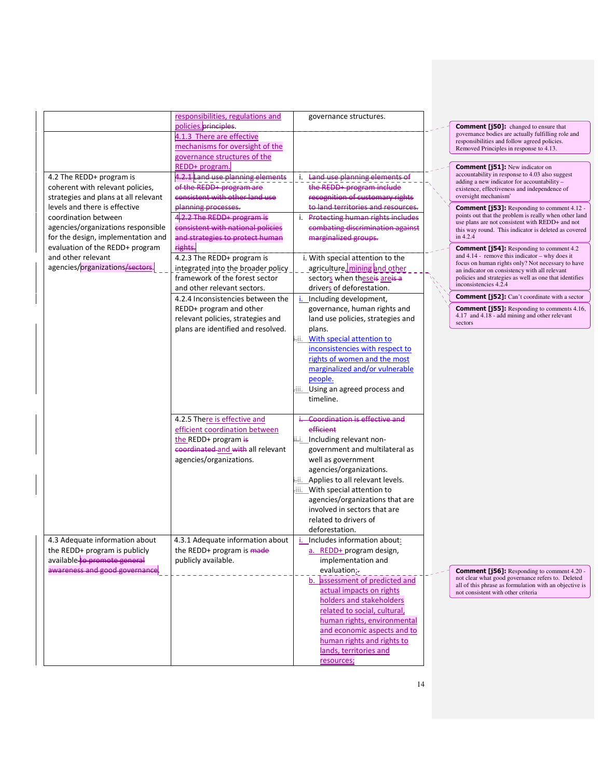|                                      | responsibilities, regulations and  | governance structures.                                     |  |
|--------------------------------------|------------------------------------|------------------------------------------------------------|--|
|                                      | policies. principles.              |                                                            |  |
|                                      | 4.1.3 There are effective          |                                                            |  |
|                                      | mechanisms for oversight of the    |                                                            |  |
|                                      | governance structures of the       |                                                            |  |
|                                      | REDD+ program.                     |                                                            |  |
| 4.2 The REDD+ program is             | 4.2.1 Land use planning elements   | i. Land use planning elements of                           |  |
| coherent with relevant policies,     | of the REDD+ program are           | the REDD+ program include                                  |  |
| strategies and plans at all relevant | consistent with other land use     | recognition of customary rights                            |  |
| levels and there is effective        | planning processes.                | to land territories and resources.                         |  |
| coordination between                 | $4.2.2$ The REDD+ program is       | i. Protecting human rights includes                        |  |
| agencies/organizations responsible   | consistent with national policies  | combating discrimination against                           |  |
| for the design, implementation and   | and strategies to protect human    | marginalized groups.                                       |  |
| evaluation of the REDD+ program      | rights.                            |                                                            |  |
| and other relevant                   | 4.2.3 The REDD+ program is         | i. With special attention to the                           |  |
| agencies/organizations/sectors.      | integrated into the broader policy | agriculture, mining and other                              |  |
|                                      | framework of the forest sector     | sectors when theseis areis a                               |  |
|                                      | and other relevant sectors.        | drivers of deforestation.                                  |  |
|                                      | 4.2.4 Inconsistencies between the  | i. Including development,                                  |  |
|                                      | REDD+ program and other            | governance, human rights and                               |  |
|                                      | relevant policies, strategies and  | land use policies, strategies and                          |  |
|                                      | plans are identified and resolved. | plans.                                                     |  |
|                                      |                                    | With special attention to<br>÷ii.                          |  |
|                                      |                                    | inconsistencies with respect to                            |  |
|                                      |                                    | rights of women and the most                               |  |
|                                      |                                    | marginalized and/or vulnerable                             |  |
|                                      |                                    | people.                                                    |  |
|                                      |                                    | iii. Using an agreed process and                           |  |
|                                      |                                    | timeline.                                                  |  |
|                                      |                                    |                                                            |  |
|                                      | 4.2.5 There is effective and       | Coordination is effective and                              |  |
|                                      | efficient coordination between     | efficient                                                  |  |
|                                      | the REDD+ program is               | ii Including relevant non-                                 |  |
|                                      | coordinated and with all relevant  | government and multilateral as                             |  |
|                                      | agencies/organizations.            | well as government                                         |  |
|                                      |                                    | agencies/organizations.                                    |  |
|                                      |                                    | i-ii. Applies to all relevant levels.                      |  |
|                                      |                                    | iii. With special attention to                             |  |
|                                      |                                    | agencies/organizations that are                            |  |
|                                      |                                    | involved in sectors that are                               |  |
|                                      |                                    | related to drivers of                                      |  |
|                                      |                                    | deforestation.                                             |  |
| 4.3 Adequate information about       | 4.3.1 Adequate information about   | i. Includes information about:                             |  |
| the REDD+ program is publicly        | the REDD+ program is made          | a. REDD+ program design,                                   |  |
| available to promote general         | publicly available.                | implementation and                                         |  |
| awareness and good governance.       |                                    | evaluation;-                                               |  |
|                                      |                                    | b. assessment of predicted and                             |  |
|                                      |                                    | actual impacts on rights                                   |  |
|                                      |                                    | holders and stakeholders                                   |  |
|                                      |                                    | related to social, cultural,                               |  |
|                                      |                                    |                                                            |  |
|                                      |                                    | human rights, environmental<br>and economic aspects and to |  |
|                                      |                                    | human rights and rights to                                 |  |
|                                      |                                    |                                                            |  |
|                                      |                                    | lands, territories and                                     |  |
|                                      |                                    | resources;                                                 |  |

### Comment [j50]: changed to ensure that governance bodies are actually fulfilling role and responsibilities and follow agreed policies. Removed Principles in response to 4.13.

**Comment [j51]:** New indicator on<br>accountability in response to 4.03 also suggest<br>adding a new indicator for accountability – existence, effectiveness and independence of oversight mechanism'

**Comment [j53]:** Responding to comment 4.12 points out that the problem is really when other land use plans are not consistent with REDD+ and not this way round. This indicator is deleted as covered in 4.2.4

**Comment [j54]:** Responding to comment 4.2 and 4.14 - remove this indicator – why does it focus on human rights only? Not necessary to have an indicator on consistency with all relevant policies and strategies as well as one that identifies inconsistencies 4.2.4

Comment [j52]: Can't coordinate with a sector

Comment [j55]: Responding to comments 4.16, 4.17 and 4.18 - add mining and other relevant sectors

**Comment [j56]:** Responding to comment 4.20 not clear what good governance refers to. Deleted all of this phrase as formulation with an objective is not consistent with other criteria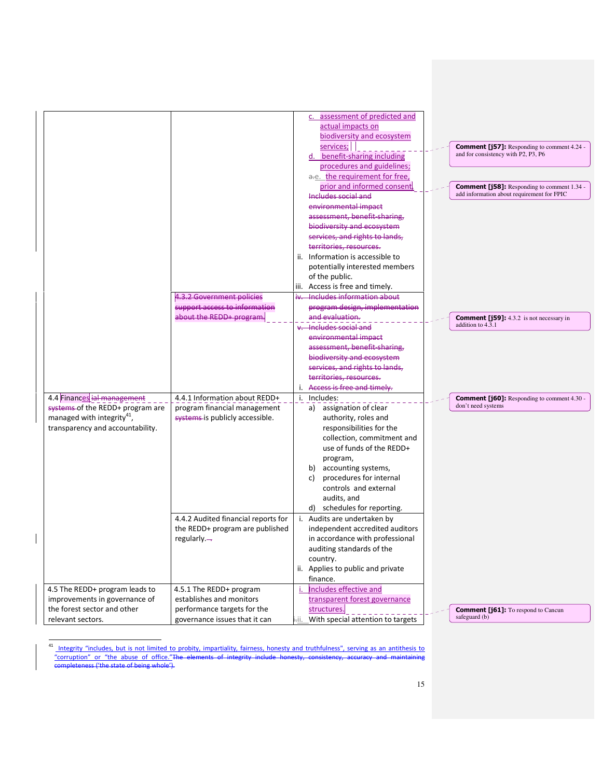|                                        |                                     |     | assessment of predicted and<br>c. |                                                    |
|----------------------------------------|-------------------------------------|-----|-----------------------------------|----------------------------------------------------|
|                                        |                                     |     | actual impacts on                 |                                                    |
|                                        |                                     |     | biodiversity and ecosystem        |                                                    |
|                                        |                                     |     | services;                         | <b>Comment [j57]:</b> Responding to comment 4.24 - |
|                                        |                                     |     | d. benefit-sharing including      | and for consistency with P2, P3, P6                |
|                                        |                                     |     | procedures and guidelines;        |                                                    |
|                                        |                                     |     | a.e. the requirement for free,    |                                                    |
|                                        |                                     |     | prior and informed consent.       | <b>Comment [j58]:</b> Responding to comment 1.34 - |
|                                        |                                     |     | Includes social and               | add information about requirement for FPIC         |
|                                        |                                     |     | environmental impact              |                                                    |
|                                        |                                     |     | assessment, benefit-sharing.      |                                                    |
|                                        |                                     |     | biodiversity and ecosystem        |                                                    |
|                                        |                                     |     | services, and rights to lands,    |                                                    |
|                                        |                                     |     | territories, resources.           |                                                    |
|                                        |                                     |     | ii. Information is accessible to  |                                                    |
|                                        |                                     |     | potentially interested members    |                                                    |
|                                        |                                     |     | of the public.                    |                                                    |
|                                        |                                     |     | iii. Access is free and timely.   |                                                    |
|                                        | 4.3.2 Government policies           |     | iv. Includes information about    |                                                    |
|                                        | support access to information       |     | program design, implementation    |                                                    |
|                                        | about the REDD+ program.            |     | and evaluation.                   | <b>Comment [j59]:</b> 4.3.2 is not necessary in    |
|                                        |                                     |     | v. Includes social and            | addition to 4.3.1                                  |
|                                        |                                     |     | environmental impact              |                                                    |
|                                        |                                     |     | assessment, benefit-sharing,      |                                                    |
|                                        |                                     |     | biodiversity and ecosystem        |                                                    |
|                                        |                                     |     | services, and rights to lands,    |                                                    |
|                                        |                                     |     | territories, resources,           |                                                    |
|                                        |                                     |     | i. Access is free and timely.     |                                                    |
| 4.4 Finances ial management            | 4.4.1 Information about REDD+       |     | i. Includes:                      | <b>Comment [j60]:</b> Responding to comment 4.30 - |
| systems of the REDD+ program are       | program financial management        |     | a) assignation of clear           | don't need systems                                 |
| managed with integrity <sup>41</sup> , | systems is publicly accessible.     |     | authority, roles and              |                                                    |
| transparency and accountability.       |                                     |     | responsibilities for the          |                                                    |
|                                        |                                     |     | collection, commitment and        |                                                    |
|                                        |                                     |     | use of funds of the REDD+         |                                                    |
|                                        |                                     |     | program,                          |                                                    |
|                                        |                                     |     | accounting systems,<br>b)         |                                                    |
|                                        |                                     |     | procedures for internal<br>c)     |                                                    |
|                                        |                                     |     | controls and external             |                                                    |
|                                        |                                     |     | audits, and                       |                                                    |
|                                        |                                     |     | d) schedules for reporting.       |                                                    |
|                                        | 4.4.2 Audited financial reports for |     | i. Audits are undertaken by       |                                                    |
|                                        | the REDD+ program are published     |     | independent accredited auditors   |                                                    |
|                                        | regularly. $\rightarrow$            |     | in accordance with professional   |                                                    |
|                                        |                                     |     | auditing standards of the         |                                                    |
|                                        |                                     |     | country.                          |                                                    |
|                                        |                                     |     | ii. Applies to public and private |                                                    |
|                                        |                                     |     | finance.                          |                                                    |
| 4.5 The REDD+ program leads to         | 4.5.1 The REDD+ program             | i.  | Includes effective and            |                                                    |
| improvements in governance of          | establishes and monitors            |     | transparent forest governance     |                                                    |
| the forest sector and other            | performance targets for the         |     | structures.                       | <b>Comment [j61]:</b> To respond to Cancun         |
| relevant sectors.                      | governance issues that it can       | Нi. | With special attention to targets | safeguard (b)                                      |

<sup>41</sup> Integrity "includes, but is not limited to probity, impartiality, fairness, honesty and truthfulness", serving as an antithesis to "corruption" or "the abuse of office."The elements of integrity include honesty, consistency, accuracy and maintaining completeness ('the state of being whole').

 $\overline{a}$ 

 $\mathbf{I}$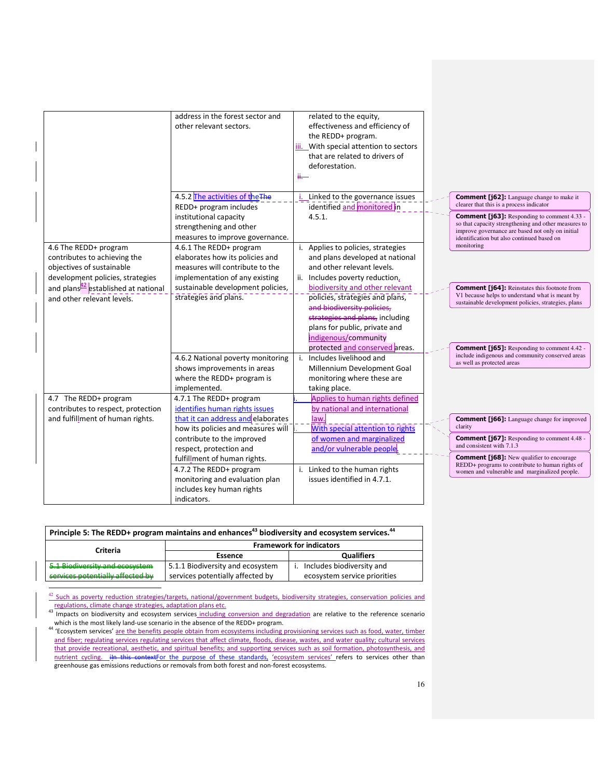|                                                 | address in the forest sector and<br>other relevant sectors. | related to the equity,<br>effectiveness and efficiency of |                                                                                                          |
|-------------------------------------------------|-------------------------------------------------------------|-----------------------------------------------------------|----------------------------------------------------------------------------------------------------------|
|                                                 |                                                             | the REDD+ program.                                        |                                                                                                          |
|                                                 |                                                             | iii. With special attention to sectors                    |                                                                                                          |
|                                                 |                                                             | that are related to drivers of                            |                                                                                                          |
|                                                 |                                                             | deforestation.                                            |                                                                                                          |
|                                                 |                                                             | <b>ii.</b>                                                |                                                                                                          |
|                                                 | 4.5.2 The activities of the The                             | Linked to the governance issues<br>i.                     | <b>Comment [j62]:</b> Language change to make it                                                         |
|                                                 | REDD+ program includes                                      | identified and monitored in                               | clearer that this is a process indicator                                                                 |
|                                                 | institutional capacity                                      | 4.5.1.                                                    | <b>Comment [j63]:</b> Responding to comment 4.33 -                                                       |
|                                                 | strengthening and other                                     |                                                           | so that capacity strengthening and other measures to<br>improve governance are based not only on initial |
|                                                 | measures to improve governance.                             |                                                           | identification but also continued based on                                                               |
| 4.6 The REDD+ program                           | 4.6.1 The REDD+ program                                     | Applies to policies, strategies<br>i.                     | monitoring                                                                                               |
| contributes to achieving the                    | elaborates how its policies and                             | and plans developed at national                           |                                                                                                          |
| objectives of sustainable                       | measures will contribute to the                             | and other relevant levels.                                |                                                                                                          |
| development policies, strategies                | implementation of any existing                              | ii.<br>Includes poverty reduction,                        |                                                                                                          |
| and plans <sup>42</sup> established at national | sustainable development policies,                           | biodiversity and other relevant                           | <b>Comment [j64]:</b> Reinstates this footnote from                                                      |
| and other relevant levels.                      | strategies and plans.                                       | policies, strategies and plans,                           | V1 because helps to understand what is meant by<br>sustainable development policies, strategies, plans   |
|                                                 |                                                             | and biodiversity policies,                                |                                                                                                          |
|                                                 |                                                             | strategies and plans, including                           |                                                                                                          |
|                                                 |                                                             | plans for public, private and                             |                                                                                                          |
|                                                 |                                                             | indigenous/community                                      |                                                                                                          |
|                                                 |                                                             | protected and conserved areas.                            | <b>Comment [j65]:</b> Responding to comment 4.42 -                                                       |
|                                                 | 4.6.2 National poverty monitoring                           | Includes livelihood and<br>j.                             | include indigenous and community conserved areas<br>as well as protected areas                           |
|                                                 | shows improvements in areas                                 | Millennium Development Goal                               |                                                                                                          |
|                                                 | where the REDD+ program is                                  | monitoring where these are                                |                                                                                                          |
|                                                 | implemented.                                                | taking place.                                             |                                                                                                          |
| 4.7 The REDD+ program                           | 4.7.1 The REDD+ program                                     | Applies to human rights defined                           |                                                                                                          |
| contributes to respect, protection              | identifies human rights issues                              | by national and international                             |                                                                                                          |
| and fulfillment of human rights.                | that it can address and elaborates                          | law.                                                      | <b>Comment [j66]:</b> Language change for improved                                                       |
|                                                 | how its policies and measures will                          | With special attention to rights                          | clarity                                                                                                  |
|                                                 | contribute to the improved                                  | of women and marginalized                                 | <b>Comment [j67]:</b> Responding to comment 4.48 -<br>and consistent with 7.1.3                          |
|                                                 | respect, protection and                                     | and/or vulnerable people.                                 |                                                                                                          |
|                                                 | fulfillment of human rights.                                |                                                           | <b>Comment [j68]:</b> New qualifier to encourage<br>REDD+ programs to contribute to human rights of      |
|                                                 | 4.7.2 The REDD+ program                                     | Linked to the human rights<br>i.                          | women and vulnerable and marginalized people.                                                            |
|                                                 | monitoring and evaluation plan                              | issues identified in 4.7.1.                               |                                                                                                          |
|                                                 | includes key human rights                                   |                                                           |                                                                                                          |
|                                                 | indicators.                                                 |                                                           |                                                                                                          |

|                                    | Principle 5: The REDD+ program maintains and enhances <sup>43</sup> biodiversity and ecosystem services. <sup>44</sup> |                                 |
|------------------------------------|------------------------------------------------------------------------------------------------------------------------|---------------------------------|
| Criteria                           |                                                                                                                        | <b>Framework for indicators</b> |
|                                    | Essence                                                                                                                | <b>Qualifiers</b>               |
| $E = 1$ Biodiversity and economism | 5.1.1 Biodiversity and ecosystem                                                                                       | Includes biodiversity and       |
| convices notantially affected by   | services potentially affected by                                                                                       | ecosystem service priorities    |

 $42$  Such as poverty reduction strategies/targets, national/government budgets, biodiversity strategies, conservation policies and

 $\overline{a}$ 

44 'Ecosystem services' are the benefits people obtain from ecosystems including provisioning services such as food, water, timber and fiber; regulating services regulating services that affect climate, floods, disease, wastes, and water quality; cultural services that provide recreational, aesthetic, and spiritual benefits; and supporting services such as soil formation, photosynthesis, and nutrient cycling. He this contextFor the purpose of these standards, 'ecosystem services' refers to services other than greenhouse gas emissions reductions or removals from both forest and non-forest ecosystems.

regulations, climate change strategies, adaptation plans etc.<br><sup>43</sup> Impacts on biodiversity and ecosystem services including conversion and degradation are relative to the reference scenario which is the most likely land-use scenario in the absence of the REDD+ program.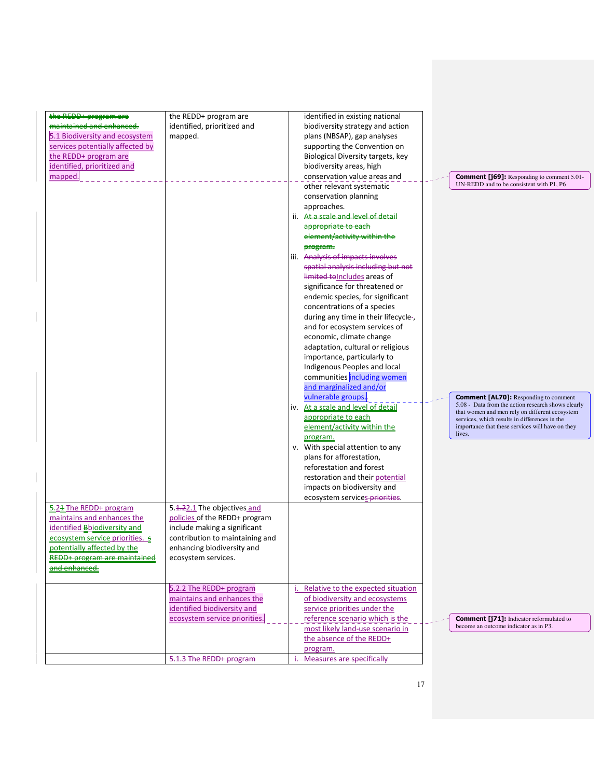| the REDD+ program are<br>maintained and enhanced<br>5.1 Biodiversity and ecosystem<br>services potentially affected by<br>the REDD+ program are<br>identified, prioritized and<br>mapped.<br>5.24 The REDD+ program<br>maintains and enhances the<br>identified <b>Bbiodiversity</b> and<br>ecosystem service priorities. 5<br>potentially affected by the | the REDD+ program are<br>identified, prioritized and<br>mapped.<br>5.4.22.1 The objectives and<br>policies of the REDD+ program<br>include making a significant<br>contribution to maintaining and<br>enhancing biodiversity and | identified in existing national<br>biodiversity strategy and action<br>plans (NBSAP), gap analyses<br>supporting the Convention on<br>Biological Diversity targets, key<br>biodiversity areas, high<br>conservation value areas and<br>other relevant systematic<br>conservation planning<br>approaches.<br>At a scale and level of detail<br>ii.<br>appropriate to each<br>element/activity within the<br>program.<br>Analysis of impacts involves<br>iii.<br>spatial analysis including but not<br>limited to Includes areas of<br>significance for threatened or<br>endemic species, for significant<br>concentrations of a species<br>during any time in their lifecycle-,<br>and for ecosystem services of<br>economic, climate change<br>adaptation, cultural or religious<br>importance, particularly to<br>Indigenous Peoples and local<br>communities including women<br>and marginalized and/or<br>vulnerable groups.<br>iv. At a scale and level of detail<br>appropriate to each<br>element/activity within the<br>program.<br>v. With special attention to any<br>plans for afforestation,<br>reforestation and forest<br>restoration and their potential<br>impacts on biodiversity and<br>ecosystem services-priorities. | <b>Comment [j69]:</b> Responding to comment 5.01-<br>UN-REDD and to be consistent with P1, P6<br><b>Comment [AL70]:</b> Responding to comment<br>5.08 - Data from the action research shows clearly<br>that women and men rely on different ecosystem<br>services, which results in differences in the<br>importance that these services will have on they<br>lives. |
|------------------------------------------------------------------------------------------------------------------------------------------------------------------------------------------------------------------------------------------------------------------------------------------------------------------------------------------------------------|----------------------------------------------------------------------------------------------------------------------------------------------------------------------------------------------------------------------------------|-----------------------------------------------------------------------------------------------------------------------------------------------------------------------------------------------------------------------------------------------------------------------------------------------------------------------------------------------------------------------------------------------------------------------------------------------------------------------------------------------------------------------------------------------------------------------------------------------------------------------------------------------------------------------------------------------------------------------------------------------------------------------------------------------------------------------------------------------------------------------------------------------------------------------------------------------------------------------------------------------------------------------------------------------------------------------------------------------------------------------------------------------------------------------------------------------------------------------------------------|----------------------------------------------------------------------------------------------------------------------------------------------------------------------------------------------------------------------------------------------------------------------------------------------------------------------------------------------------------------------|
| <b>REDD+</b> program are maintained<br>and enhanced.                                                                                                                                                                                                                                                                                                       | ecosystem services.                                                                                                                                                                                                              |                                                                                                                                                                                                                                                                                                                                                                                                                                                                                                                                                                                                                                                                                                                                                                                                                                                                                                                                                                                                                                                                                                                                                                                                                                         |                                                                                                                                                                                                                                                                                                                                                                      |
|                                                                                                                                                                                                                                                                                                                                                            | 5.2.2 The REDD+ program<br>maintains and enhances the<br>identified biodiversity and<br>ecosystem service priorities.                                                                                                            | Relative to the expected situation<br>of biodiversity and ecosystems<br>service priorities under the<br>reference scenario which is the<br>most likely land-use scenario in                                                                                                                                                                                                                                                                                                                                                                                                                                                                                                                                                                                                                                                                                                                                                                                                                                                                                                                                                                                                                                                             | <b>Comment [j71]:</b> Indicator reformulated to<br>become an outcome indicator as in P3.                                                                                                                                                                                                                                                                             |
|                                                                                                                                                                                                                                                                                                                                                            | 5.1.3 The REDD+ program                                                                                                                                                                                                          | the absence of the REDD+<br>program.<br><b>Measures are specifically</b>                                                                                                                                                                                                                                                                                                                                                                                                                                                                                                                                                                                                                                                                                                                                                                                                                                                                                                                                                                                                                                                                                                                                                                |                                                                                                                                                                                                                                                                                                                                                                      |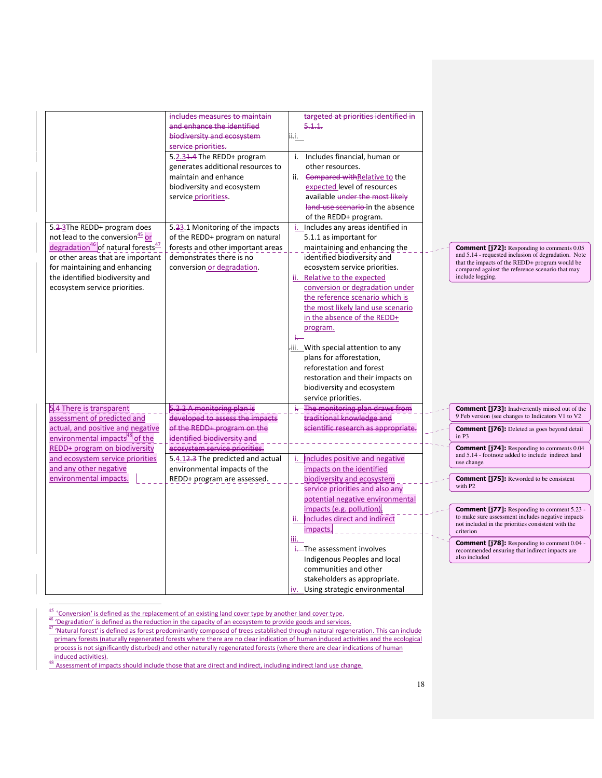|                                                                                                                                          | includes measures to maintain<br>and enhance the identified<br>biodiversity and ecosystem<br>service priorities.                              | targeted at priorities identified in<br>5.1.1.<br>ii⊹i.                                                                                                                                                                                                 |
|------------------------------------------------------------------------------------------------------------------------------------------|-----------------------------------------------------------------------------------------------------------------------------------------------|---------------------------------------------------------------------------------------------------------------------------------------------------------------------------------------------------------------------------------------------------------|
|                                                                                                                                          | 5.2.31.4 The REDD+ program<br>generates additional resources to<br>maintain and enhance<br>biodiversity and ecosystem<br>service prioritiess. | i. Includes financial, human or<br>other resources.<br>ii. Compared withRelative to the<br>expected level of resources<br>available under the most likely<br>land-use scenario-in the absence<br>of the REDD+ program.                                  |
| 5.2-3The REDD+ program does<br>not lead to the conversion <sup>45</sup> or<br>degradation <sup>46</sup> of natural forests <sup>47</sup> | 5.23.1 Monitoring of the impacts<br>of the REDD+ program on natural<br>forests and other important areas                                      | Includes any areas identified in<br>5.1.1 as important for<br>maintaining and enhancing the                                                                                                                                                             |
| or other areas that are important<br>for maintaining and enhancing<br>the identified biodiversity and<br>ecosystem service priorities.   | demonstrates there is no<br>conversion or degradation.                                                                                        | identified biodiversity and<br>ecosystem service priorities.<br>ii. Relative to the expected<br>conversion or degradation under<br>the reference scenario which is<br>the most likely land use scenario<br>in the absence of the REDD+<br>program.<br>÷ |
|                                                                                                                                          |                                                                                                                                               | iii. With special attention to any<br>plans for afforestation,<br>reforestation and forest<br>restoration and their impacts on<br>biodiversity and ecosystem<br>service priorities.                                                                     |
| 5.4 There is transparent<br>assessment of predicted and<br>actual, and positive and negative                                             | 5.2.2 A monitoring plan is<br>developed to assess the impacts<br>of the REDD+ program on the                                                  | i. The monitoring plan draws from<br>traditional knowledge and<br>scientific research as appropriate.                                                                                                                                                   |
| environmental impacts <sup>[48]</sup> of the<br>REDD+ program on biodiversity                                                            | identified biodiversity and<br>ecosystem service priorities.                                                                                  |                                                                                                                                                                                                                                                         |
| and ecosystem service priorities<br>and any other negative<br>environmental impacts.                                                     | 5.4.12.3 The predicted and actual<br>environmental impacts of the<br>REDD+ program are assessed.                                              | Includes positive and negative<br>impacts on the identified<br>biodiversity and ecosystem<br>service priorities and also any                                                                                                                            |
|                                                                                                                                          |                                                                                                                                               | potential negative environmental<br>impacts (e.g. pollution).<br>Includes direct and indirect<br>ii.<br>impacts.                                                                                                                                        |
|                                                                                                                                          |                                                                                                                                               | iii.<br>-The assessment involves<br>Indigenous Peoples and local<br>communities and other<br>stakeholders as appropriate.<br>iv. Using strategic environmental                                                                                          |

Comment [j72]: Responding to comments 0.05 and 5.14 - requested inclusion of degradation. Note that the impacts of the REDD+ program would be compared against the reference scenario that may include logging.

Comment [j74]: Responding to comments 0.04 and 5.14 - footnote added to include indirect land use change Comment [j76]: Deleted as goes beyond detail in P3

Comment [j73]: Inadvertently missed out of the 9 Feb version (see changes to Indicators V1 to V2

Comment [j75]: Reworded to be consistent with P2

**Comment [j77]:** Responding to comment 5.23 - to make sure assessment includes negative impacts not included in the priorities consistent with the criterion

Comment [j78]: Responding to comment 0.04 **recommended** ensuring that indirect impacts are also included

 $\overline{a}$  $45$  'Conversion' is defined as the replacement of an existing land cover type by another land cover type.

<sup>46 &#</sup>x27;Degradation' is defined as the reduction in the capacity of an ecosystem to provide goods and services.

**AT 'Natural forest' is defined as forest predominantly composed of trees established through natural regeneration. This can include** primary forests (naturally regenerated forests where there are no clear indication of human induced activities and the ecological process is not significantly disturbed) and other naturally regenerated forests (where there are clear indications of human induced activities).

<sup>48</sup> Assessment of impacts should include those that are direct and indirect, including indirect land use change.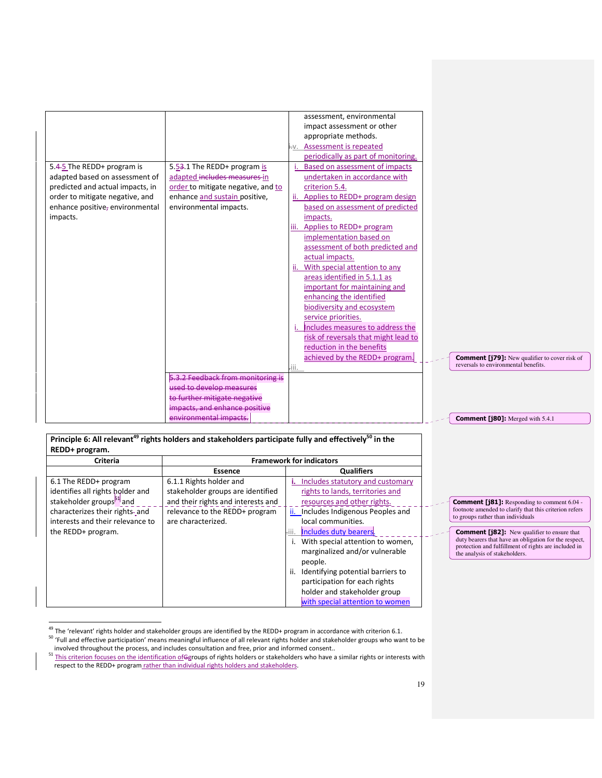|                                  |                                    | assessment, environmental                                                                                                      |
|----------------------------------|------------------------------------|--------------------------------------------------------------------------------------------------------------------------------|
|                                  |                                    | impact assessment or other                                                                                                     |
|                                  |                                    | appropriate methods.                                                                                                           |
|                                  |                                    | i.v. Assessment is repeated                                                                                                    |
|                                  |                                    | periodically as part of monitoring.                                                                                            |
| 5.4-5 The REDD+ program is       | 5.53.1 The REDD+ program is        | Based on assessment of impacts                                                                                                 |
| adapted based on assessment of   | adapted includes measures in       | undertaken in accordance with                                                                                                  |
| predicted and actual impacts, in | order to mitigate negative, and to | criterion 5.4.                                                                                                                 |
| order to mitigate negative, and  | enhance and sustain positive,      | Applies to REDD+ program design<br>ii.                                                                                         |
| enhance positive, environmental  | environmental impacts.             | based on assessment of predicted                                                                                               |
| impacts.                         |                                    | impacts.                                                                                                                       |
|                                  |                                    | Applies to REDD+ program<br>iii.                                                                                               |
|                                  |                                    | implementation based on                                                                                                        |
|                                  |                                    | assessment of both predicted and                                                                                               |
|                                  |                                    | actual impacts.                                                                                                                |
|                                  |                                    | With special attention to any<br>ii.                                                                                           |
|                                  |                                    | areas identified in 5.1.1 as                                                                                                   |
|                                  |                                    | important for maintaining and                                                                                                  |
|                                  |                                    | enhancing the identified                                                                                                       |
|                                  |                                    | biodiversity and ecosystem                                                                                                     |
|                                  |                                    | service priorities.                                                                                                            |
|                                  |                                    | Includes measures to address the                                                                                               |
|                                  |                                    | risk of reversals that might lead to                                                                                           |
|                                  |                                    | reduction in the benefits                                                                                                      |
|                                  |                                    | achieved by the REDD+ program.<br><b>Comment [179]:</b> New qualifier to cover risk of<br>reversals to environmental benefits. |
|                                  |                                    | -iii.                                                                                                                          |
|                                  | 2 Feedback from monitoring is      |                                                                                                                                |
|                                  | used to develop measures           |                                                                                                                                |
|                                  | to further mitigate negative       |                                                                                                                                |
|                                  | impacts, and enhance positive      |                                                                                                                                |
|                                  | environmental impacts.             | <b>Comment [j80]:</b> Merged with 5.4.1                                                                                        |

### Principle 6: All relevant<sup>49</sup> rights holders and stakeholders participate fully and effectively<sup>50</sup> in the REDD+ program.

| <b>Criteria</b>                      |                                    | <b>Framework for indicators</b>        |
|--------------------------------------|------------------------------------|----------------------------------------|
|                                      | <b>Essence</b>                     | <b>Qualifiers</b>                      |
| 6.1 The REDD+ program                | 6.1.1 Rights holder and            | Includes statutory and customary<br>۱. |
| identifies all rights holder and     | stakeholder groups are identified  | rights to lands, territories and       |
| stakeholder groups <sup>51</sup> and | and their rights and interests and | resources and other rights.            |
| characterizes their rights- and      | relevance to the REDD+ program     | ii. Includes Indigenous Peoples and    |
| interests and their relevance to     | are characterized.                 | local communities.                     |
| the REDD+ program.                   |                                    | Includes duty bearers.                 |
|                                      |                                    | i. With special attention to women,    |
|                                      |                                    | marginalized and/or vulnerable         |
|                                      |                                    | people.                                |
|                                      |                                    | Identifying potential barriers to      |
|                                      |                                    | participation for each rights          |
|                                      |                                    | holder and stakeholder group           |
|                                      |                                    | with special attention to women        |

 $\overline{a}$ <sup>49</sup> The 'relevant' rights holder and stakeholder groups are identified by the REDD+ program in accordance with criterion 6.1. <sup>50</sup> 'Full and effective participation' means meaningful influence of all relevant rights holder and stakeholder groups who want to be involved throughout the process, and includes consultation and free, prior and informed consent..

the analysis of stakeholders.

**Comment [j81]:** Responding to comment 6.04 - footnote amended to clarify that this criterion refers to groups rather than individuals

**Comment [j82]:** New qualifier to ensure that duty bearers that have an obligation for the respect, protection and fulfillment of rights are included in

<sup>51</sup> This criterion focuses on the identification ofGgroups of rights holders or stakeholders who have a similar rights or interests with respect to the REDD+ program rather than individual rights holders and stakeholders.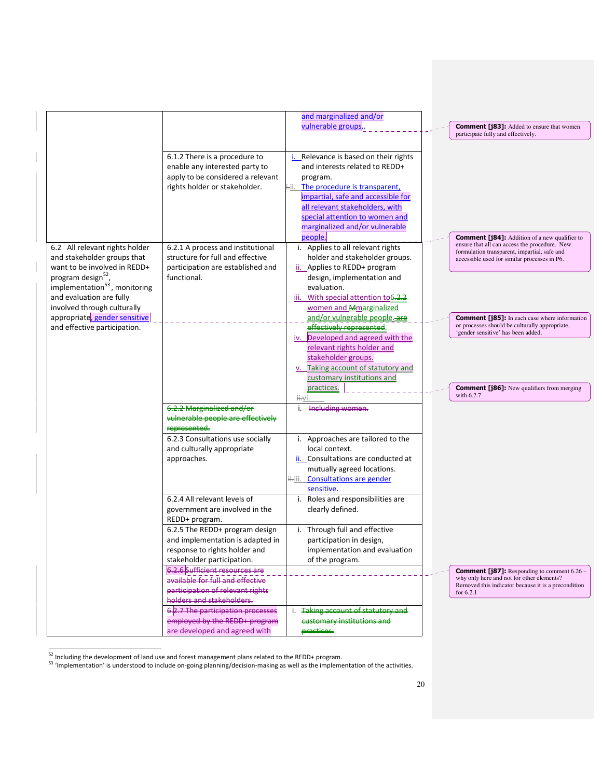|                                                                                                                                                             |                                                                                                                                                                       | and marginalized and/or<br>vulnerable groups.                                                                                                                                                                                                                                  | <b>Comment [j83]:</b> Added to ensure that women<br>participate fully and effectively.                                                                                                                |
|-------------------------------------------------------------------------------------------------------------------------------------------------------------|-----------------------------------------------------------------------------------------------------------------------------------------------------------------------|--------------------------------------------------------------------------------------------------------------------------------------------------------------------------------------------------------------------------------------------------------------------------------|-------------------------------------------------------------------------------------------------------------------------------------------------------------------------------------------------------|
|                                                                                                                                                             | 6.1.2 There is a procedure to<br>enable any interested party to<br>apply to be considered a relevant<br>rights holder or stakeholder.                                 | <i>i.</i> Relevance is based on their rights<br>and interests related to REDD+<br>program.<br>i-ii. The procedure is transparent,<br>impartial, safe and accessible for<br>all relevant stakeholders, with<br>special attention to women and<br>marginalized and/or vulnerable |                                                                                                                                                                                                       |
| 6.2 All relevant rights holder<br>and stakeholder groups that<br>want to be involved in REDD+<br>program design <sup>52</sup> ,                             | 6.2.1 A process and institutional<br>structure for full and effective<br>participation are established and<br>functional.                                             | people.<br>i. Applies to all relevant rights<br>holder and stakeholder groups.<br>ii. Applies to REDD+ program<br>design, implementation and                                                                                                                                   | <b>Comment [j84]:</b> Addition of a new qualifier to<br>ensure that all can access the procedure. New<br>formulation transparent, impartial, safe and<br>accessible used for similar processes in P6. |
| implementation $53$ , monitoring<br>and evaluation are fully<br>involved through culturally<br>appropriate gender sensitive<br>and effective participation. |                                                                                                                                                                       | evaluation.<br>iii. With special attention to 6.2.2<br>women and Mmarginalized<br>and/or vulnerable people.-are<br>effectively represented.                                                                                                                                    | <b>Comment [j85]:</b> In each case where information<br>or processes should be culturally appropriate,<br>'gender sensitive' has been added.                                                          |
|                                                                                                                                                             |                                                                                                                                                                       | iv. Developed and agreed with the<br>relevant rights holder and<br>stakeholder groups.<br>v. Taking account of statutory and<br>customary institutions and<br>practices.                                                                                                       | <b>Comment [j86]:</b> New qualifiers from merging                                                                                                                                                     |
|                                                                                                                                                             | <del>6.2.2 Marginalized and/or</del><br><del>vulnerable people are</del><br>represented.                                                                              | ii⊹vi.<br>i. Including women.                                                                                                                                                                                                                                                  | with $6.2.7$                                                                                                                                                                                          |
|                                                                                                                                                             | 6.2.3 Consultations use socially<br>and culturally appropriate<br>approaches.                                                                                         | i. Approaches are tailored to the<br>local context.<br>ii. Consultations are conducted at<br>mutually agreed locations.<br>iiii. Consultations are gender<br>sensitive.                                                                                                        |                                                                                                                                                                                                       |
|                                                                                                                                                             | 6.2.4 All relevant levels of<br>government are involved in the<br>REDD+ program.<br>6.2.5 The REDD+ program design                                                    | i. Roles and responsibilities are<br>clearly defined.<br>i. Through full and effective                                                                                                                                                                                         |                                                                                                                                                                                                       |
|                                                                                                                                                             | and implementation is adapted in<br>response to rights holder and<br>stakeholder participation.<br>6.2.6 Sufficient resources are<br>available for full and effective | participation in design,<br>implementation and evaluation<br>of the program.                                                                                                                                                                                                   | <b>Comment [187]:</b> Responding to comment $6.26$ –<br>why only here and not for other elements?<br>Removed this indicator because it is a precondition                                              |
|                                                                                                                                                             | participation of relevant rights<br>holders and stakeholders.<br>6.2.7 The participation processes<br>employed by the REDD+ program<br>are developed and agreed with  | <b>Taking account of statutory and</b><br>customary institutions and<br>practices.                                                                                                                                                                                             | for 6.2.1                                                                                                                                                                                             |

 $52$  Including the development of land use and forest management plans related to the REDD+ program.

 $\overline{a}$ 

<sup>53</sup> 'Implementation' is understood to include on-going planning/decision-making as well as the implementation of the activities.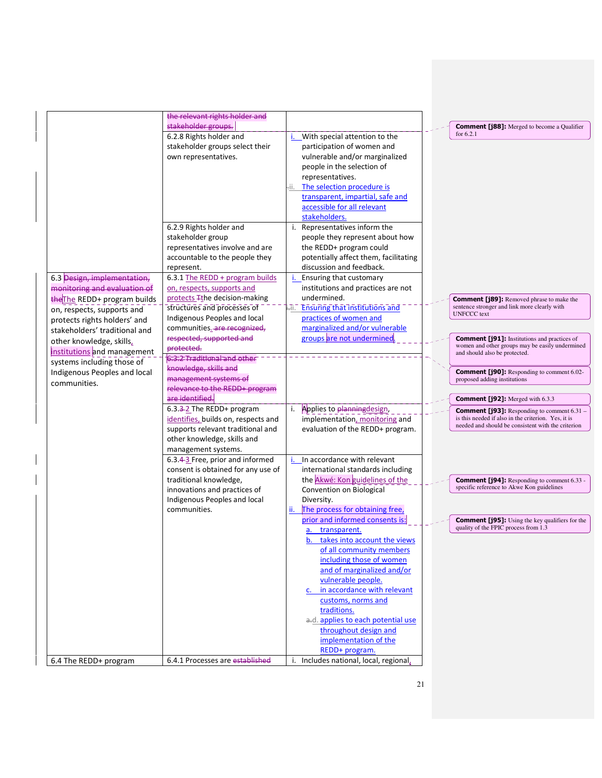| the relevant rights holder and<br>stakeholder groups.<br><b>Comment [j88]:</b> Merged to become a Qualifier<br>for 6.2.1<br>6.2.8 Rights holder and<br>With special attention to the<br>stakeholder groups select their<br>participation of women and<br>vulnerable and/or marginalized<br>own representatives.<br>people in the selection of<br>representatives.<br>The selection procedure is<br>transparent, impartial, safe and<br>accessible for all relevant<br>stakeholders.<br>6.2.9 Rights holder and<br>i. Representatives inform the<br>stakeholder group<br>people they represent about how<br>representatives involve and are<br>the REDD+ program could<br>potentially affect them, facilitating<br>accountable to the people they<br>discussion and feedback.<br>represent.<br>6.3 Design, implementation,<br>6.3.1 The REDD + program builds<br>Ensuring that customary<br>monitoring and evaluation of<br>on, respects, supports and<br>institutions and practices are not<br>protects Tthe decision-making<br>undermined.<br>the The REDD+ program builds<br><b>Comment [j89]:</b> Removed phrase to make the<br>sentence stronger and link more clearly with<br>structures and processes of<br><b>Ensuring that institutions and</b><br>on, respects, supports and<br><b>UNFCCC</b> text<br>Indigenous Peoples and local<br>practices of women and<br>protects rights holders' and<br>marginalized and/or vulnerable<br>communities.-are recognized,<br>stakeholders' traditional and<br>groups are not undermined<br>respected, supported and<br><b>Comment [j91]:</b> Institutions and practices of<br>other knowledge, skills,<br>women and other groups may be easily undermined<br>protected.<br>institutions and management<br>and should also be protected.<br>6-3-2 Traditional and other<br>systems including those of<br>knowledge, skills and<br>Indigenous Peoples and local<br><b>Comment [j90]:</b> Responding to comment 6.02-<br>management systems of<br>proposed adding institutions<br>communities.<br>relevance to the REDD+ program<br>are identified.<br><b>Comment [j92]:</b> Merged with 6.3.3<br>6.3.3-2 The REDD+ program<br>Applies to planningdesign,<br>i.<br><b>Comment [j93]:</b> Responding to comment 6.31<br>is this needed if also in the criterion. Yes, it is<br>identifies, builds on, respects and<br>implementation, monitoring and<br>needed and should be consistent with the criterion<br>supports relevant traditional and<br>evaluation of the REDD+ program.<br>other knowledge, skills and<br>management systems.<br>i. In accordance with relevant<br>6.3.4-3 Free, prior and informed<br>consent is obtained for any use of<br>international standards including<br>the Akwé: Kon guidelines of the<br>traditional knowledge,<br><b>Comment [j94]:</b> Responding to comment 6.33 -<br>specific reference to Akwe Kon guidelines<br>Convention on Biological<br>innovations and practices of<br>Indigenous Peoples and local<br>Diversity. |
|----------------------------------------------------------------------------------------------------------------------------------------------------------------------------------------------------------------------------------------------------------------------------------------------------------------------------------------------------------------------------------------------------------------------------------------------------------------------------------------------------------------------------------------------------------------------------------------------------------------------------------------------------------------------------------------------------------------------------------------------------------------------------------------------------------------------------------------------------------------------------------------------------------------------------------------------------------------------------------------------------------------------------------------------------------------------------------------------------------------------------------------------------------------------------------------------------------------------------------------------------------------------------------------------------------------------------------------------------------------------------------------------------------------------------------------------------------------------------------------------------------------------------------------------------------------------------------------------------------------------------------------------------------------------------------------------------------------------------------------------------------------------------------------------------------------------------------------------------------------------------------------------------------------------------------------------------------------------------------------------------------------------------------------------------------------------------------------------------------------------------------------------------------------------------------------------------------------------------------------------------------------------------------------------------------------------------------------------------------------------------------------------------------------------------------------------------------------------------------------------------------------------------------------------------------------------------------------------------------------------------------------------------------------------------------------------------------------------------------------------------------------------------------------------------------------------------------------------------------------------------------------------------------------------------------------------------------------------------------------------------------------|
|                                                                                                                                                                                                                                                                                                                                                                                                                                                                                                                                                                                                                                                                                                                                                                                                                                                                                                                                                                                                                                                                                                                                                                                                                                                                                                                                                                                                                                                                                                                                                                                                                                                                                                                                                                                                                                                                                                                                                                                                                                                                                                                                                                                                                                                                                                                                                                                                                                                                                                                                                                                                                                                                                                                                                                                                                                                                                                                                                                                                                |
|                                                                                                                                                                                                                                                                                                                                                                                                                                                                                                                                                                                                                                                                                                                                                                                                                                                                                                                                                                                                                                                                                                                                                                                                                                                                                                                                                                                                                                                                                                                                                                                                                                                                                                                                                                                                                                                                                                                                                                                                                                                                                                                                                                                                                                                                                                                                                                                                                                                                                                                                                                                                                                                                                                                                                                                                                                                                                                                                                                                                                |
|                                                                                                                                                                                                                                                                                                                                                                                                                                                                                                                                                                                                                                                                                                                                                                                                                                                                                                                                                                                                                                                                                                                                                                                                                                                                                                                                                                                                                                                                                                                                                                                                                                                                                                                                                                                                                                                                                                                                                                                                                                                                                                                                                                                                                                                                                                                                                                                                                                                                                                                                                                                                                                                                                                                                                                                                                                                                                                                                                                                                                |
|                                                                                                                                                                                                                                                                                                                                                                                                                                                                                                                                                                                                                                                                                                                                                                                                                                                                                                                                                                                                                                                                                                                                                                                                                                                                                                                                                                                                                                                                                                                                                                                                                                                                                                                                                                                                                                                                                                                                                                                                                                                                                                                                                                                                                                                                                                                                                                                                                                                                                                                                                                                                                                                                                                                                                                                                                                                                                                                                                                                                                |
|                                                                                                                                                                                                                                                                                                                                                                                                                                                                                                                                                                                                                                                                                                                                                                                                                                                                                                                                                                                                                                                                                                                                                                                                                                                                                                                                                                                                                                                                                                                                                                                                                                                                                                                                                                                                                                                                                                                                                                                                                                                                                                                                                                                                                                                                                                                                                                                                                                                                                                                                                                                                                                                                                                                                                                                                                                                                                                                                                                                                                |
|                                                                                                                                                                                                                                                                                                                                                                                                                                                                                                                                                                                                                                                                                                                                                                                                                                                                                                                                                                                                                                                                                                                                                                                                                                                                                                                                                                                                                                                                                                                                                                                                                                                                                                                                                                                                                                                                                                                                                                                                                                                                                                                                                                                                                                                                                                                                                                                                                                                                                                                                                                                                                                                                                                                                                                                                                                                                                                                                                                                                                |
|                                                                                                                                                                                                                                                                                                                                                                                                                                                                                                                                                                                                                                                                                                                                                                                                                                                                                                                                                                                                                                                                                                                                                                                                                                                                                                                                                                                                                                                                                                                                                                                                                                                                                                                                                                                                                                                                                                                                                                                                                                                                                                                                                                                                                                                                                                                                                                                                                                                                                                                                                                                                                                                                                                                                                                                                                                                                                                                                                                                                                |
|                                                                                                                                                                                                                                                                                                                                                                                                                                                                                                                                                                                                                                                                                                                                                                                                                                                                                                                                                                                                                                                                                                                                                                                                                                                                                                                                                                                                                                                                                                                                                                                                                                                                                                                                                                                                                                                                                                                                                                                                                                                                                                                                                                                                                                                                                                                                                                                                                                                                                                                                                                                                                                                                                                                                                                                                                                                                                                                                                                                                                |
|                                                                                                                                                                                                                                                                                                                                                                                                                                                                                                                                                                                                                                                                                                                                                                                                                                                                                                                                                                                                                                                                                                                                                                                                                                                                                                                                                                                                                                                                                                                                                                                                                                                                                                                                                                                                                                                                                                                                                                                                                                                                                                                                                                                                                                                                                                                                                                                                                                                                                                                                                                                                                                                                                                                                                                                                                                                                                                                                                                                                                |
|                                                                                                                                                                                                                                                                                                                                                                                                                                                                                                                                                                                                                                                                                                                                                                                                                                                                                                                                                                                                                                                                                                                                                                                                                                                                                                                                                                                                                                                                                                                                                                                                                                                                                                                                                                                                                                                                                                                                                                                                                                                                                                                                                                                                                                                                                                                                                                                                                                                                                                                                                                                                                                                                                                                                                                                                                                                                                                                                                                                                                |
|                                                                                                                                                                                                                                                                                                                                                                                                                                                                                                                                                                                                                                                                                                                                                                                                                                                                                                                                                                                                                                                                                                                                                                                                                                                                                                                                                                                                                                                                                                                                                                                                                                                                                                                                                                                                                                                                                                                                                                                                                                                                                                                                                                                                                                                                                                                                                                                                                                                                                                                                                                                                                                                                                                                                                                                                                                                                                                                                                                                                                |
|                                                                                                                                                                                                                                                                                                                                                                                                                                                                                                                                                                                                                                                                                                                                                                                                                                                                                                                                                                                                                                                                                                                                                                                                                                                                                                                                                                                                                                                                                                                                                                                                                                                                                                                                                                                                                                                                                                                                                                                                                                                                                                                                                                                                                                                                                                                                                                                                                                                                                                                                                                                                                                                                                                                                                                                                                                                                                                                                                                                                                |
|                                                                                                                                                                                                                                                                                                                                                                                                                                                                                                                                                                                                                                                                                                                                                                                                                                                                                                                                                                                                                                                                                                                                                                                                                                                                                                                                                                                                                                                                                                                                                                                                                                                                                                                                                                                                                                                                                                                                                                                                                                                                                                                                                                                                                                                                                                                                                                                                                                                                                                                                                                                                                                                                                                                                                                                                                                                                                                                                                                                                                |
|                                                                                                                                                                                                                                                                                                                                                                                                                                                                                                                                                                                                                                                                                                                                                                                                                                                                                                                                                                                                                                                                                                                                                                                                                                                                                                                                                                                                                                                                                                                                                                                                                                                                                                                                                                                                                                                                                                                                                                                                                                                                                                                                                                                                                                                                                                                                                                                                                                                                                                                                                                                                                                                                                                                                                                                                                                                                                                                                                                                                                |
|                                                                                                                                                                                                                                                                                                                                                                                                                                                                                                                                                                                                                                                                                                                                                                                                                                                                                                                                                                                                                                                                                                                                                                                                                                                                                                                                                                                                                                                                                                                                                                                                                                                                                                                                                                                                                                                                                                                                                                                                                                                                                                                                                                                                                                                                                                                                                                                                                                                                                                                                                                                                                                                                                                                                                                                                                                                                                                                                                                                                                |
|                                                                                                                                                                                                                                                                                                                                                                                                                                                                                                                                                                                                                                                                                                                                                                                                                                                                                                                                                                                                                                                                                                                                                                                                                                                                                                                                                                                                                                                                                                                                                                                                                                                                                                                                                                                                                                                                                                                                                                                                                                                                                                                                                                                                                                                                                                                                                                                                                                                                                                                                                                                                                                                                                                                                                                                                                                                                                                                                                                                                                |
|                                                                                                                                                                                                                                                                                                                                                                                                                                                                                                                                                                                                                                                                                                                                                                                                                                                                                                                                                                                                                                                                                                                                                                                                                                                                                                                                                                                                                                                                                                                                                                                                                                                                                                                                                                                                                                                                                                                                                                                                                                                                                                                                                                                                                                                                                                                                                                                                                                                                                                                                                                                                                                                                                                                                                                                                                                                                                                                                                                                                                |
|                                                                                                                                                                                                                                                                                                                                                                                                                                                                                                                                                                                                                                                                                                                                                                                                                                                                                                                                                                                                                                                                                                                                                                                                                                                                                                                                                                                                                                                                                                                                                                                                                                                                                                                                                                                                                                                                                                                                                                                                                                                                                                                                                                                                                                                                                                                                                                                                                                                                                                                                                                                                                                                                                                                                                                                                                                                                                                                                                                                                                |
|                                                                                                                                                                                                                                                                                                                                                                                                                                                                                                                                                                                                                                                                                                                                                                                                                                                                                                                                                                                                                                                                                                                                                                                                                                                                                                                                                                                                                                                                                                                                                                                                                                                                                                                                                                                                                                                                                                                                                                                                                                                                                                                                                                                                                                                                                                                                                                                                                                                                                                                                                                                                                                                                                                                                                                                                                                                                                                                                                                                                                |
|                                                                                                                                                                                                                                                                                                                                                                                                                                                                                                                                                                                                                                                                                                                                                                                                                                                                                                                                                                                                                                                                                                                                                                                                                                                                                                                                                                                                                                                                                                                                                                                                                                                                                                                                                                                                                                                                                                                                                                                                                                                                                                                                                                                                                                                                                                                                                                                                                                                                                                                                                                                                                                                                                                                                                                                                                                                                                                                                                                                                                |
|                                                                                                                                                                                                                                                                                                                                                                                                                                                                                                                                                                                                                                                                                                                                                                                                                                                                                                                                                                                                                                                                                                                                                                                                                                                                                                                                                                                                                                                                                                                                                                                                                                                                                                                                                                                                                                                                                                                                                                                                                                                                                                                                                                                                                                                                                                                                                                                                                                                                                                                                                                                                                                                                                                                                                                                                                                                                                                                                                                                                                |
|                                                                                                                                                                                                                                                                                                                                                                                                                                                                                                                                                                                                                                                                                                                                                                                                                                                                                                                                                                                                                                                                                                                                                                                                                                                                                                                                                                                                                                                                                                                                                                                                                                                                                                                                                                                                                                                                                                                                                                                                                                                                                                                                                                                                                                                                                                                                                                                                                                                                                                                                                                                                                                                                                                                                                                                                                                                                                                                                                                                                                |
|                                                                                                                                                                                                                                                                                                                                                                                                                                                                                                                                                                                                                                                                                                                                                                                                                                                                                                                                                                                                                                                                                                                                                                                                                                                                                                                                                                                                                                                                                                                                                                                                                                                                                                                                                                                                                                                                                                                                                                                                                                                                                                                                                                                                                                                                                                                                                                                                                                                                                                                                                                                                                                                                                                                                                                                                                                                                                                                                                                                                                |
|                                                                                                                                                                                                                                                                                                                                                                                                                                                                                                                                                                                                                                                                                                                                                                                                                                                                                                                                                                                                                                                                                                                                                                                                                                                                                                                                                                                                                                                                                                                                                                                                                                                                                                                                                                                                                                                                                                                                                                                                                                                                                                                                                                                                                                                                                                                                                                                                                                                                                                                                                                                                                                                                                                                                                                                                                                                                                                                                                                                                                |
|                                                                                                                                                                                                                                                                                                                                                                                                                                                                                                                                                                                                                                                                                                                                                                                                                                                                                                                                                                                                                                                                                                                                                                                                                                                                                                                                                                                                                                                                                                                                                                                                                                                                                                                                                                                                                                                                                                                                                                                                                                                                                                                                                                                                                                                                                                                                                                                                                                                                                                                                                                                                                                                                                                                                                                                                                                                                                                                                                                                                                |
|                                                                                                                                                                                                                                                                                                                                                                                                                                                                                                                                                                                                                                                                                                                                                                                                                                                                                                                                                                                                                                                                                                                                                                                                                                                                                                                                                                                                                                                                                                                                                                                                                                                                                                                                                                                                                                                                                                                                                                                                                                                                                                                                                                                                                                                                                                                                                                                                                                                                                                                                                                                                                                                                                                                                                                                                                                                                                                                                                                                                                |
|                                                                                                                                                                                                                                                                                                                                                                                                                                                                                                                                                                                                                                                                                                                                                                                                                                                                                                                                                                                                                                                                                                                                                                                                                                                                                                                                                                                                                                                                                                                                                                                                                                                                                                                                                                                                                                                                                                                                                                                                                                                                                                                                                                                                                                                                                                                                                                                                                                                                                                                                                                                                                                                                                                                                                                                                                                                                                                                                                                                                                |
|                                                                                                                                                                                                                                                                                                                                                                                                                                                                                                                                                                                                                                                                                                                                                                                                                                                                                                                                                                                                                                                                                                                                                                                                                                                                                                                                                                                                                                                                                                                                                                                                                                                                                                                                                                                                                                                                                                                                                                                                                                                                                                                                                                                                                                                                                                                                                                                                                                                                                                                                                                                                                                                                                                                                                                                                                                                                                                                                                                                                                |
|                                                                                                                                                                                                                                                                                                                                                                                                                                                                                                                                                                                                                                                                                                                                                                                                                                                                                                                                                                                                                                                                                                                                                                                                                                                                                                                                                                                                                                                                                                                                                                                                                                                                                                                                                                                                                                                                                                                                                                                                                                                                                                                                                                                                                                                                                                                                                                                                                                                                                                                                                                                                                                                                                                                                                                                                                                                                                                                                                                                                                |
|                                                                                                                                                                                                                                                                                                                                                                                                                                                                                                                                                                                                                                                                                                                                                                                                                                                                                                                                                                                                                                                                                                                                                                                                                                                                                                                                                                                                                                                                                                                                                                                                                                                                                                                                                                                                                                                                                                                                                                                                                                                                                                                                                                                                                                                                                                                                                                                                                                                                                                                                                                                                                                                                                                                                                                                                                                                                                                                                                                                                                |
|                                                                                                                                                                                                                                                                                                                                                                                                                                                                                                                                                                                                                                                                                                                                                                                                                                                                                                                                                                                                                                                                                                                                                                                                                                                                                                                                                                                                                                                                                                                                                                                                                                                                                                                                                                                                                                                                                                                                                                                                                                                                                                                                                                                                                                                                                                                                                                                                                                                                                                                                                                                                                                                                                                                                                                                                                                                                                                                                                                                                                |
|                                                                                                                                                                                                                                                                                                                                                                                                                                                                                                                                                                                                                                                                                                                                                                                                                                                                                                                                                                                                                                                                                                                                                                                                                                                                                                                                                                                                                                                                                                                                                                                                                                                                                                                                                                                                                                                                                                                                                                                                                                                                                                                                                                                                                                                                                                                                                                                                                                                                                                                                                                                                                                                                                                                                                                                                                                                                                                                                                                                                                |
|                                                                                                                                                                                                                                                                                                                                                                                                                                                                                                                                                                                                                                                                                                                                                                                                                                                                                                                                                                                                                                                                                                                                                                                                                                                                                                                                                                                                                                                                                                                                                                                                                                                                                                                                                                                                                                                                                                                                                                                                                                                                                                                                                                                                                                                                                                                                                                                                                                                                                                                                                                                                                                                                                                                                                                                                                                                                                                                                                                                                                |
|                                                                                                                                                                                                                                                                                                                                                                                                                                                                                                                                                                                                                                                                                                                                                                                                                                                                                                                                                                                                                                                                                                                                                                                                                                                                                                                                                                                                                                                                                                                                                                                                                                                                                                                                                                                                                                                                                                                                                                                                                                                                                                                                                                                                                                                                                                                                                                                                                                                                                                                                                                                                                                                                                                                                                                                                                                                                                                                                                                                                                |
|                                                                                                                                                                                                                                                                                                                                                                                                                                                                                                                                                                                                                                                                                                                                                                                                                                                                                                                                                                                                                                                                                                                                                                                                                                                                                                                                                                                                                                                                                                                                                                                                                                                                                                                                                                                                                                                                                                                                                                                                                                                                                                                                                                                                                                                                                                                                                                                                                                                                                                                                                                                                                                                                                                                                                                                                                                                                                                                                                                                                                |
|                                                                                                                                                                                                                                                                                                                                                                                                                                                                                                                                                                                                                                                                                                                                                                                                                                                                                                                                                                                                                                                                                                                                                                                                                                                                                                                                                                                                                                                                                                                                                                                                                                                                                                                                                                                                                                                                                                                                                                                                                                                                                                                                                                                                                                                                                                                                                                                                                                                                                                                                                                                                                                                                                                                                                                                                                                                                                                                                                                                                                |
|                                                                                                                                                                                                                                                                                                                                                                                                                                                                                                                                                                                                                                                                                                                                                                                                                                                                                                                                                                                                                                                                                                                                                                                                                                                                                                                                                                                                                                                                                                                                                                                                                                                                                                                                                                                                                                                                                                                                                                                                                                                                                                                                                                                                                                                                                                                                                                                                                                                                                                                                                                                                                                                                                                                                                                                                                                                                                                                                                                                                                |
|                                                                                                                                                                                                                                                                                                                                                                                                                                                                                                                                                                                                                                                                                                                                                                                                                                                                                                                                                                                                                                                                                                                                                                                                                                                                                                                                                                                                                                                                                                                                                                                                                                                                                                                                                                                                                                                                                                                                                                                                                                                                                                                                                                                                                                                                                                                                                                                                                                                                                                                                                                                                                                                                                                                                                                                                                                                                                                                                                                                                                |
| The process for obtaining free,<br>communities.<br>ii.                                                                                                                                                                                                                                                                                                                                                                                                                                                                                                                                                                                                                                                                                                                                                                                                                                                                                                                                                                                                                                                                                                                                                                                                                                                                                                                                                                                                                                                                                                                                                                                                                                                                                                                                                                                                                                                                                                                                                                                                                                                                                                                                                                                                                                                                                                                                                                                                                                                                                                                                                                                                                                                                                                                                                                                                                                                                                                                                                         |
| prior and informed consents is:<br><b>Comment [j95]:</b> Using the key qualifiers for the                                                                                                                                                                                                                                                                                                                                                                                                                                                                                                                                                                                                                                                                                                                                                                                                                                                                                                                                                                                                                                                                                                                                                                                                                                                                                                                                                                                                                                                                                                                                                                                                                                                                                                                                                                                                                                                                                                                                                                                                                                                                                                                                                                                                                                                                                                                                                                                                                                                                                                                                                                                                                                                                                                                                                                                                                                                                                                                      |
| quality of the FPIC process from 1.3<br>a. transparent.                                                                                                                                                                                                                                                                                                                                                                                                                                                                                                                                                                                                                                                                                                                                                                                                                                                                                                                                                                                                                                                                                                                                                                                                                                                                                                                                                                                                                                                                                                                                                                                                                                                                                                                                                                                                                                                                                                                                                                                                                                                                                                                                                                                                                                                                                                                                                                                                                                                                                                                                                                                                                                                                                                                                                                                                                                                                                                                                                        |
| b. takes into account the views                                                                                                                                                                                                                                                                                                                                                                                                                                                                                                                                                                                                                                                                                                                                                                                                                                                                                                                                                                                                                                                                                                                                                                                                                                                                                                                                                                                                                                                                                                                                                                                                                                                                                                                                                                                                                                                                                                                                                                                                                                                                                                                                                                                                                                                                                                                                                                                                                                                                                                                                                                                                                                                                                                                                                                                                                                                                                                                                                                                |
| of all community members                                                                                                                                                                                                                                                                                                                                                                                                                                                                                                                                                                                                                                                                                                                                                                                                                                                                                                                                                                                                                                                                                                                                                                                                                                                                                                                                                                                                                                                                                                                                                                                                                                                                                                                                                                                                                                                                                                                                                                                                                                                                                                                                                                                                                                                                                                                                                                                                                                                                                                                                                                                                                                                                                                                                                                                                                                                                                                                                                                                       |
| including those of women                                                                                                                                                                                                                                                                                                                                                                                                                                                                                                                                                                                                                                                                                                                                                                                                                                                                                                                                                                                                                                                                                                                                                                                                                                                                                                                                                                                                                                                                                                                                                                                                                                                                                                                                                                                                                                                                                                                                                                                                                                                                                                                                                                                                                                                                                                                                                                                                                                                                                                                                                                                                                                                                                                                                                                                                                                                                                                                                                                                       |
| and of marginalized and/or                                                                                                                                                                                                                                                                                                                                                                                                                                                                                                                                                                                                                                                                                                                                                                                                                                                                                                                                                                                                                                                                                                                                                                                                                                                                                                                                                                                                                                                                                                                                                                                                                                                                                                                                                                                                                                                                                                                                                                                                                                                                                                                                                                                                                                                                                                                                                                                                                                                                                                                                                                                                                                                                                                                                                                                                                                                                                                                                                                                     |
| vulnerable people.<br>in accordance with relevant                                                                                                                                                                                                                                                                                                                                                                                                                                                                                                                                                                                                                                                                                                                                                                                                                                                                                                                                                                                                                                                                                                                                                                                                                                                                                                                                                                                                                                                                                                                                                                                                                                                                                                                                                                                                                                                                                                                                                                                                                                                                                                                                                                                                                                                                                                                                                                                                                                                                                                                                                                                                                                                                                                                                                                                                                                                                                                                                                              |
| customs, norms and                                                                                                                                                                                                                                                                                                                                                                                                                                                                                                                                                                                                                                                                                                                                                                                                                                                                                                                                                                                                                                                                                                                                                                                                                                                                                                                                                                                                                                                                                                                                                                                                                                                                                                                                                                                                                                                                                                                                                                                                                                                                                                                                                                                                                                                                                                                                                                                                                                                                                                                                                                                                                                                                                                                                                                                                                                                                                                                                                                                             |
| traditions.                                                                                                                                                                                                                                                                                                                                                                                                                                                                                                                                                                                                                                                                                                                                                                                                                                                                                                                                                                                                                                                                                                                                                                                                                                                                                                                                                                                                                                                                                                                                                                                                                                                                                                                                                                                                                                                                                                                                                                                                                                                                                                                                                                                                                                                                                                                                                                                                                                                                                                                                                                                                                                                                                                                                                                                                                                                                                                                                                                                                    |
| a.d. applies to each potential use                                                                                                                                                                                                                                                                                                                                                                                                                                                                                                                                                                                                                                                                                                                                                                                                                                                                                                                                                                                                                                                                                                                                                                                                                                                                                                                                                                                                                                                                                                                                                                                                                                                                                                                                                                                                                                                                                                                                                                                                                                                                                                                                                                                                                                                                                                                                                                                                                                                                                                                                                                                                                                                                                                                                                                                                                                                                                                                                                                             |
|                                                                                                                                                                                                                                                                                                                                                                                                                                                                                                                                                                                                                                                                                                                                                                                                                                                                                                                                                                                                                                                                                                                                                                                                                                                                                                                                                                                                                                                                                                                                                                                                                                                                                                                                                                                                                                                                                                                                                                                                                                                                                                                                                                                                                                                                                                                                                                                                                                                                                                                                                                                                                                                                                                                                                                                                                                                                                                                                                                                                                |
|                                                                                                                                                                                                                                                                                                                                                                                                                                                                                                                                                                                                                                                                                                                                                                                                                                                                                                                                                                                                                                                                                                                                                                                                                                                                                                                                                                                                                                                                                                                                                                                                                                                                                                                                                                                                                                                                                                                                                                                                                                                                                                                                                                                                                                                                                                                                                                                                                                                                                                                                                                                                                                                                                                                                                                                                                                                                                                                                                                                                                |
| throughout design and                                                                                                                                                                                                                                                                                                                                                                                                                                                                                                                                                                                                                                                                                                                                                                                                                                                                                                                                                                                                                                                                                                                                                                                                                                                                                                                                                                                                                                                                                                                                                                                                                                                                                                                                                                                                                                                                                                                                                                                                                                                                                                                                                                                                                                                                                                                                                                                                                                                                                                                                                                                                                                                                                                                                                                                                                                                                                                                                                                                          |
| implementation of the<br>REDD+ program.                                                                                                                                                                                                                                                                                                                                                                                                                                                                                                                                                                                                                                                                                                                                                                                                                                                                                                                                                                                                                                                                                                                                                                                                                                                                                                                                                                                                                                                                                                                                                                                                                                                                                                                                                                                                                                                                                                                                                                                                                                                                                                                                                                                                                                                                                                                                                                                                                                                                                                                                                                                                                                                                                                                                                                                                                                                                                                                                                                        |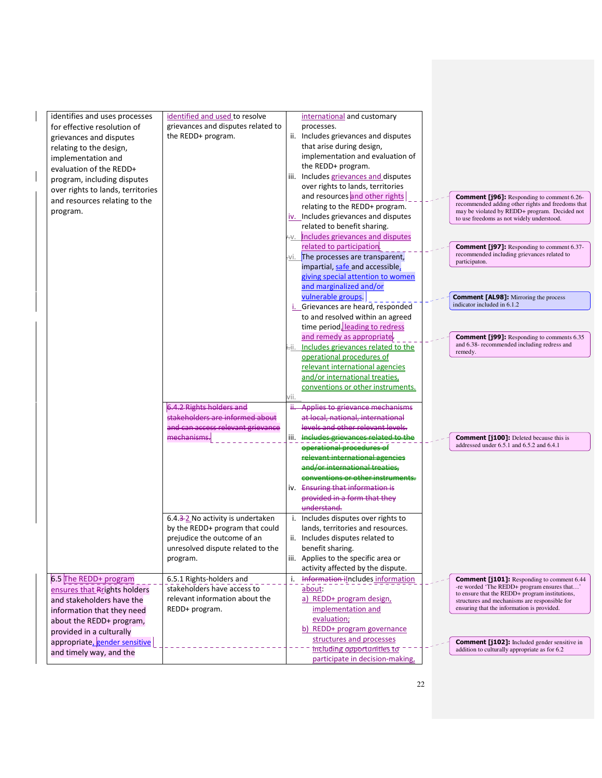| identifies and uses processes                             | identified and used to resolve                                | international and customary                                                                                                                                  |
|-----------------------------------------------------------|---------------------------------------------------------------|--------------------------------------------------------------------------------------------------------------------------------------------------------------|
| for effective resolution of                               | grievances and disputes related to                            | processes.                                                                                                                                                   |
| grievances and disputes                                   | the REDD+ program.                                            | ii. Includes grievances and disputes                                                                                                                         |
| relating to the design,                                   |                                                               | that arise during design,                                                                                                                                    |
| implementation and                                        |                                                               | implementation and evaluation of                                                                                                                             |
| evaluation of the REDD+                                   |                                                               | the REDD+ program.                                                                                                                                           |
| program, including disputes                               |                                                               | iii. Includes grievances and disputes                                                                                                                        |
| over rights to lands, territories                         |                                                               | over rights to lands, territories                                                                                                                            |
| and resources relating to the                             |                                                               | and resources and other rights<br><b>Comment [j96]:</b> Responding to comment 6.26-                                                                          |
| program.                                                  |                                                               | recommended adding other rights and freedoms that<br>relating to the REDD+ program.<br>may be violated by REDD+ program. Decided not                         |
|                                                           |                                                               | iv. Includes grievances and disputes<br>to use freedoms as not widely understood.                                                                            |
|                                                           |                                                               | related to benefit sharing.                                                                                                                                  |
|                                                           |                                                               | AV. Includes grievances and disputes                                                                                                                         |
|                                                           |                                                               | related to participation<br><b>Comment [j97]:</b> Responding to comment 6.37-<br>recommended including grievances related to                                 |
|                                                           |                                                               | -vi. The processes are transparent,<br>participaton.<br>impartial, safe and accessible,                                                                      |
|                                                           |                                                               | giving special attention to women                                                                                                                            |
|                                                           |                                                               | and marginalized and/or                                                                                                                                      |
|                                                           |                                                               | vulnerable groups.<br><b>Comment [AL98]:</b> Mirroring the process                                                                                           |
|                                                           |                                                               | indicator included in 6.1.2<br>i. Grievances are heard, responded                                                                                            |
|                                                           |                                                               | to and resolved within an agreed                                                                                                                             |
|                                                           |                                                               | time period, leading to redress                                                                                                                              |
|                                                           |                                                               | and remedy as appropriate-<br><b>Comment [j99]:</b> Responding to comments 6.35                                                                              |
|                                                           |                                                               | and 6.38- recommended including redress and<br>Includes grievances related to the                                                                            |
|                                                           |                                                               | remedy.<br>operational procedures of                                                                                                                         |
|                                                           |                                                               | relevant international agencies                                                                                                                              |
|                                                           |                                                               | and/or international treaties,                                                                                                                               |
|                                                           |                                                               | conventions or other instruments.                                                                                                                            |
|                                                           |                                                               | vii.                                                                                                                                                         |
|                                                           | 6.4.2 Rights holders and                                      | Ĥ.<br>Applies to grievance mechanisms                                                                                                                        |
|                                                           | stakeholders are informed about                               | at local, national, international                                                                                                                            |
|                                                           | and can access relevant grievance<br>mechanisms.              | levels and other relevant levels.<br>iii. Includes grievances related to the                                                                                 |
|                                                           |                                                               | <b>Comment [j100]:</b> Deleted because this is<br>_____________________<br><del>operational procedures of</del><br>addressed under 6.5.1 and 6.5.2 and 6.4.1 |
|                                                           |                                                               | <del>vant international age</del>                                                                                                                            |
|                                                           |                                                               | <u>ar international treaties</u>                                                                                                                             |
|                                                           |                                                               | conventions or other instruments.                                                                                                                            |
|                                                           |                                                               | iv. Ensuring that information is                                                                                                                             |
|                                                           |                                                               | provided in a form that they                                                                                                                                 |
|                                                           |                                                               | understand.                                                                                                                                                  |
|                                                           | 6.4.3-2 No activity is undertaken                             | i. Includes disputes over rights to                                                                                                                          |
|                                                           | by the REDD+ program that could                               | lands, territories and resources.                                                                                                                            |
|                                                           | prejudice the outcome of an                                   | ii. Includes disputes related to                                                                                                                             |
|                                                           | unresolved dispute related to the                             | benefit sharing.                                                                                                                                             |
|                                                           | program.                                                      | iii. Applies to the specific area or                                                                                                                         |
|                                                           |                                                               | activity affected by the dispute.                                                                                                                            |
| 6.5 The REDD+ program                                     | 6.5.1 Rights-holders and                                      | Information includes information<br>i.<br><b>Comment [j101]:</b> Responding to comment 6.44<br>-re worded 'The REDD+ program ensures that'                   |
| ensures that Rrights holders                              | stakeholders have access to<br>relevant information about the | about:<br>to ensure that the REDD+ program institutions,                                                                                                     |
| and stakeholders have the                                 | REDD+ program.                                                | a) REDD+ program design,<br>structures and mechanisms are responsible for<br>ensuring that the information is provided.<br>implementation and                |
| information that they need                                |                                                               | evaluation;                                                                                                                                                  |
| about the REDD+ program,                                  |                                                               | b) REDD+ program governance                                                                                                                                  |
| provided in a culturally<br>appropriate, gender sensitive |                                                               | structures and processes                                                                                                                                     |
| and timely way, and the                                   |                                                               | <b>Comment [j102]:</b> Included gender sensitive in<br>including opportunities to<br>addition to culturally appropriate as for 6.2                           |
|                                                           |                                                               | participate in decision-making,                                                                                                                              |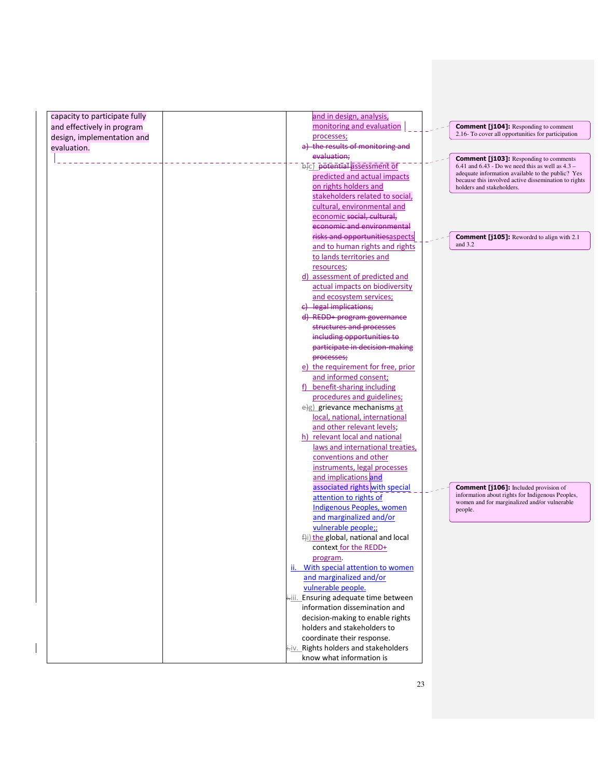| capacity to participate fully | and in design, analysis,                         |  |                                                                                                           |
|-------------------------------|--------------------------------------------------|--|-----------------------------------------------------------------------------------------------------------|
| and effectively in program    | monitoring and evaluation                        |  | <b>Comment [j104]:</b> Responding to comment                                                              |
| design, implementation and    | processes;                                       |  | 2.16- To cover all opportunities for participation                                                        |
| evaluation.                   | a) the results of monitoring and                 |  |                                                                                                           |
|                               | evaluation;                                      |  | <b>Comment [j103]:</b> Responding to comments                                                             |
|                               | b)c) potential assessment of                     |  | $6.41$ and $6.43$ - Do we need this as well as $4.3$ -                                                    |
|                               | predicted and actual impacts                     |  | adequate information available to the public? Yes<br>because this involved active dissemination to rights |
|                               | on rights holders and                            |  | holders and stakeholders.                                                                                 |
|                               | stakeholders related to social,                  |  |                                                                                                           |
|                               | cultural, environmental and                      |  |                                                                                                           |
|                               | economic social, cultural,                       |  |                                                                                                           |
|                               | economic and environmental                       |  |                                                                                                           |
|                               | risks and opportunitiesaspects                   |  | <b>Comment [j105]:</b> Rewordrd to align with 2.1                                                         |
|                               | and to human rights and rights                   |  | and $3.2$                                                                                                 |
|                               | to lands territories and                         |  |                                                                                                           |
|                               | resources;                                       |  |                                                                                                           |
|                               | d) assessment of predicted and                   |  |                                                                                                           |
|                               | actual impacts on biodiversity                   |  |                                                                                                           |
|                               | and ecosystem services;                          |  |                                                                                                           |
|                               | e) legal implications;                           |  |                                                                                                           |
|                               | d) REDD+ program governance                      |  |                                                                                                           |
|                               | structures and processes                         |  |                                                                                                           |
|                               | including opportunities to                       |  |                                                                                                           |
|                               | participate in decision-making                   |  |                                                                                                           |
|                               | processes;<br>e) the requirement for free, prior |  |                                                                                                           |
|                               | and informed consent;                            |  |                                                                                                           |
|                               | f) benefit-sharing including                     |  |                                                                                                           |
|                               | procedures and guidelines;                       |  |                                                                                                           |
|                               | e)g) grievance mechanisms at                     |  |                                                                                                           |
|                               | local, national, international                   |  |                                                                                                           |
|                               | and other relevant levels;                       |  |                                                                                                           |
|                               | h) relevant local and national                   |  |                                                                                                           |
|                               | laws and international treaties,                 |  |                                                                                                           |
|                               | conventions and other                            |  |                                                                                                           |
|                               | instruments, legal processes                     |  |                                                                                                           |
|                               | and implications and                             |  |                                                                                                           |
|                               | associated rights with special                   |  | <b>Comment [j106]:</b> Included provision of                                                              |
|                               | attention to rights of                           |  | information about rights for Indigenous Peoples,<br>women and for marginalized and/or vulnerable          |
|                               | <b>Indigenous Peoples, women</b>                 |  | people.                                                                                                   |
|                               | and marginalized and/or                          |  |                                                                                                           |
|                               | vulnerable people;;                              |  |                                                                                                           |
|                               | f)i) the global, national and local              |  |                                                                                                           |
|                               | context for the REDD+                            |  |                                                                                                           |
|                               | program.<br>ii. With special attention to women  |  |                                                                                                           |
|                               | and marginalized and/or                          |  |                                                                                                           |
|                               | vulnerable people.                               |  |                                                                                                           |
|                               | i-iii. Ensuring adequate time between            |  |                                                                                                           |
|                               | information dissemination and                    |  |                                                                                                           |
|                               | decision-making to enable rights                 |  |                                                                                                           |
|                               | holders and stakeholders to                      |  |                                                                                                           |
|                               | coordinate their response.                       |  |                                                                                                           |
|                               | i-iv. Rights holders and stakeholders            |  |                                                                                                           |
|                               | know what information is                         |  |                                                                                                           |
|                               |                                                  |  |                                                                                                           |

 $\mathbf{I}$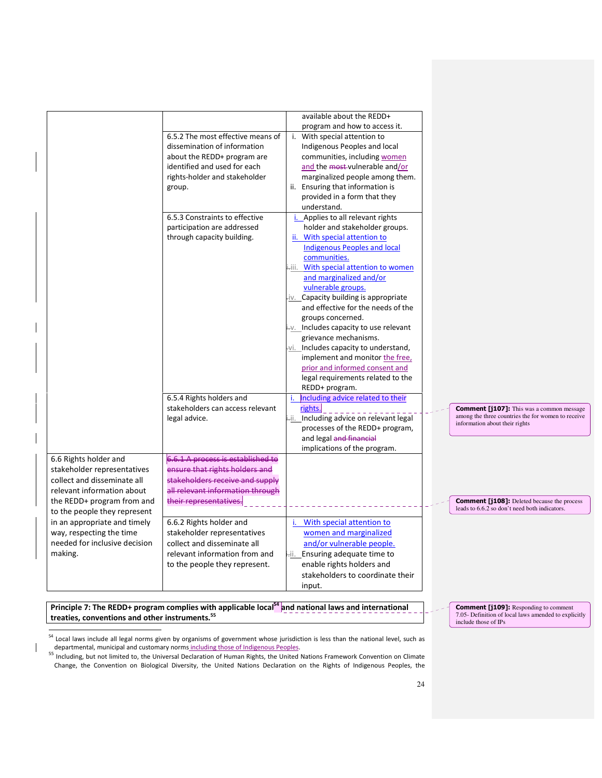|                                                                                                                                                                                 | 6.5.2 The most effective means of                                                                                                                                    | available about the REDD+<br>program and how to access it.<br>i. With special attention to                                                                                                                                                                                                                                                                                                                                                                                                                                                                                                |                                                                                                                                          |
|---------------------------------------------------------------------------------------------------------------------------------------------------------------------------------|----------------------------------------------------------------------------------------------------------------------------------------------------------------------|-------------------------------------------------------------------------------------------------------------------------------------------------------------------------------------------------------------------------------------------------------------------------------------------------------------------------------------------------------------------------------------------------------------------------------------------------------------------------------------------------------------------------------------------------------------------------------------------|------------------------------------------------------------------------------------------------------------------------------------------|
|                                                                                                                                                                                 | dissemination of information<br>about the REDD+ program are<br>identified and used for each<br>rights-holder and stakeholder<br>group.                               | Indigenous Peoples and local<br>communities, including women<br>and the most-vulnerable and/or<br>marginalized people among them.<br>ii. Ensuring that information is<br>provided in a form that they                                                                                                                                                                                                                                                                                                                                                                                     |                                                                                                                                          |
|                                                                                                                                                                                 | 6.5.3 Constraints to effective<br>participation are addressed<br>through capacity building.                                                                          | understand.<br>Applies to all relevant rights<br>holder and stakeholder groups.<br>ii. With special attention to<br><b>Indigenous Peoples and local</b><br>communities.<br>ilii. With special attention to women<br>and marginalized and/or<br>vulnerable groups.<br>iv. Capacity building is appropriate<br>and effective for the needs of the<br>groups concerned.<br>i-v. Includes capacity to use relevant<br>grievance mechanisms.<br>vi. Includes capacity to understand,<br>implement and monitor the free,<br>prior and informed consent and<br>legal requirements related to the |                                                                                                                                          |
|                                                                                                                                                                                 | 6.5.4 Rights holders and<br>stakeholders can access relevant<br>legal advice.                                                                                        | REDD+ program.<br>Including advice related to their<br>i.<br>rights.<br>i-ii. Including advice on relevant legal<br>processes of the REDD+ program,<br>and legal and financial                                                                                                                                                                                                                                                                                                                                                                                                            | <b>Comment [j107]:</b> This was a common message<br>among the three countries the for women to receive<br>information about their rights |
| 6.6 Rights holder and<br>stakeholder representatives<br>collect and disseminate all<br>relevant information about<br>the REDD+ program from and<br>to the people they represent | 6.6.1 A process is established to<br>ensure that rights holders and<br>stakeholders receive and supply<br>all relevant information through<br>their representatives. | implications of the program.                                                                                                                                                                                                                                                                                                                                                                                                                                                                                                                                                              | <b>Comment [j108]:</b> Deleted because the process<br>leads to 6.6.2 so don't need both indicators.                                      |
| in an appropriate and timely<br>way, respecting the time<br>needed for inclusive decision<br>making.                                                                            | 6.6.2 Rights holder and<br>stakeholder representatives<br>collect and disseminate all<br>relevant information from and<br>to the people they represent.              | i. With special attention to<br>women and marginalized<br>and/or vulnerable people.<br>Hii. Ensuring adequate time to<br>enable rights holders and<br>stakeholders to coordinate their<br>input.                                                                                                                                                                                                                                                                                                                                                                                          |                                                                                                                                          |

Principle 7: The REDD+ program complies with applicable local<sup>54</sup> and national laws and international treaties, conventions and other instruments.<sup>55</sup>

 $\overline{a}$ 

 $\mathsf{l}$ 

<sup>54</sup> Local laws include all legal norms given by organisms of government whose jurisdiction is less than the national level, such as departmental, municipal and customary norms including those of Indigenous Peoples.<br><sup>55</sup> Including, but not limited to, the Universal Declaration of Human Rights, the United Nations Framework Convention on Climate

Change, the Convention on Biological Diversity, the United Nations Declaration on the Rights of Indigenous Peoples, the

**Comment [j109]:** Responding to comment 7.05- Definition of local laws amended to explicitly include those of IPs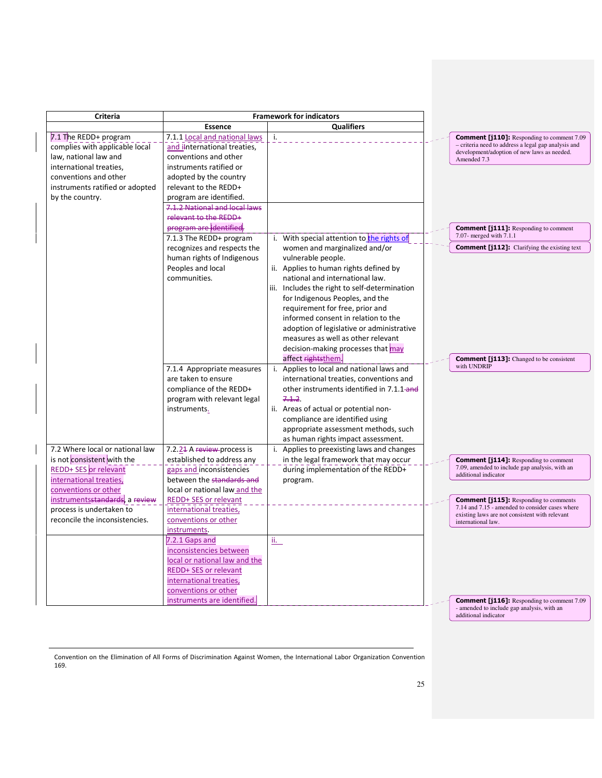| <b>Criteria</b>                                                                                                                                                                                               |                                                                                                                                                                                                                                                                                                       | <b>Framework for indicators</b>                                                                                                                                                                                                                                                                                                                                                                                         |                                                                                                                                                                                                                                                                                                    |
|---------------------------------------------------------------------------------------------------------------------------------------------------------------------------------------------------------------|-------------------------------------------------------------------------------------------------------------------------------------------------------------------------------------------------------------------------------------------------------------------------------------------------------|-------------------------------------------------------------------------------------------------------------------------------------------------------------------------------------------------------------------------------------------------------------------------------------------------------------------------------------------------------------------------------------------------------------------------|----------------------------------------------------------------------------------------------------------------------------------------------------------------------------------------------------------------------------------------------------------------------------------------------------|
|                                                                                                                                                                                                               | <b>Essence</b>                                                                                                                                                                                                                                                                                        | <b>Qualifiers</b>                                                                                                                                                                                                                                                                                                                                                                                                       |                                                                                                                                                                                                                                                                                                    |
| 7.1 The REDD+ program<br>complies with applicable local<br>law, national law and<br>international treaties,<br>conventions and other<br>instruments ratified or adopted                                       | 7.1.1 Local and national laws<br>and ilnternational treaties,<br>conventions and other<br>instruments ratified or<br>adopted by the country<br>relevant to the REDD+                                                                                                                                  | i.                                                                                                                                                                                                                                                                                                                                                                                                                      | <b>Comment [j110]:</b> Responding to comment 7.09<br>- criteria need to address a legal gap analysis and<br>development/adoption of new laws as needed.<br>Amended 7.3                                                                                                                             |
| by the country.                                                                                                                                                                                               | program are identified.<br>7.1.2 National and local laws<br>relevant to the REDD+<br>program are identified.<br>7.1.3 The REDD+ program                                                                                                                                                               | i. With special attention to the rights of                                                                                                                                                                                                                                                                                                                                                                              | <b>Comment [j111]:</b> Responding to comment<br>7.07- merged with 7.1.1<br><b>Comment [j112]:</b> Clarifying the existing text                                                                                                                                                                     |
|                                                                                                                                                                                                               | recognizes and respects the<br>human rights of Indigenous<br>Peoples and local<br>communities.                                                                                                                                                                                                        | women and marginalized and/or<br>vulnerable people.<br>ii. Applies to human rights defined by<br>national and international law.<br>iii. Includes the right to self-determination<br>for Indigenous Peoples, and the<br>requirement for free, prior and<br>informed consent in relation to the<br>adoption of legislative or administrative<br>measures as well as other relevant<br>decision-making processes that may |                                                                                                                                                                                                                                                                                                    |
| 7.2 Where local or national law                                                                                                                                                                               | 7.1.4 Appropriate measures<br>are taken to ensure<br>compliance of the REDD+<br>program with relevant legal<br>instruments.<br>7.2.24 A review-process is                                                                                                                                             | affect rightsthem<br>Applies to local and national laws and<br>i.<br>international treaties, conventions and<br>other instruments identified in 7.1.1-and<br>7.1.2<br>ii. Areas of actual or potential non-<br>compliance are identified using<br>appropriate assessment methods, such<br>as human rights impact assessment.<br>i. Applies to preexisting laws and changes                                              | <b>Comment [j113]:</b> Changed to be consistent<br>with UNDRIP                                                                                                                                                                                                                                     |
| is not consistent with the<br><b>REDD+ SES</b> or relevant<br>international treaties,<br>conventions or other<br>instrumentsstandards, a review<br>process is undertaken to<br>reconcile the inconsistencies. | established to address any<br>gaps and inconsistencies<br>between the standards and<br>local or national law and the<br>REDD+ SES or relevant<br>international treaties,<br>conventions or other<br>instruments.<br><u>7.2.1 Gaps and</u><br>inconsistencies between<br>local or national law and the | in the legal framework that may occur<br>during implementation of the REDD+<br>program.<br><u>іі. —</u>                                                                                                                                                                                                                                                                                                                 | <b>Comment [j114]:</b> Responding to comment<br>7.09, amended to include gap analysis, with an<br>additional indicator<br><b>Comment [j115]:</b> Responding to comments<br>7.14 and 7.15 - amended to consider cases where<br>existing laws are not consistent with relevant<br>international law. |
|                                                                                                                                                                                                               | <b>REDD+ SES or relevant</b><br>international treaties,<br>conventions or other<br>instruments are identified.                                                                                                                                                                                        |                                                                                                                                                                                                                                                                                                                                                                                                                         | <b>Comment [j116]:</b> Responding to comment 7.09<br>- amended to include gap analysis, with an<br>additional indicator                                                                                                                                                                            |

Convention on the Elimination of All Forms of Discrimination Against Women, the International Labor Organization Convention 169.

 $\overline{a}$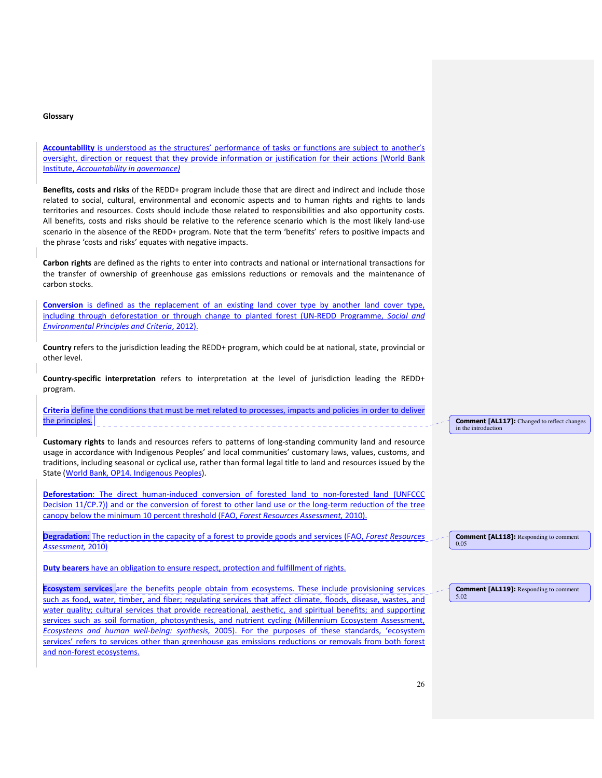#### Glossary

Accountability is understood as the structures' performance of tasks or functions are subject to another's oversight, direction or request that they provide information or justification for their actions (World Bank Institute, Accountability in governance)

Benefits, costs and risks of the REDD+ program include those that are direct and indirect and include those related to social, cultural, environmental and economic aspects and to human rights and rights to lands territories and resources. Costs should include those related to responsibilities and also opportunity costs. All benefits, costs and risks should be relative to the reference scenario which is the most likely land-use scenario in the absence of the REDD+ program. Note that the term 'benefits' refers to positive impacts and the phrase 'costs and risks' equates with negative impacts.

Carbon rights are defined as the rights to enter into contracts and national or international transactions for the transfer of ownership of greenhouse gas emissions reductions or removals and the maintenance of carbon stocks.

Conversion is defined as the replacement of an existing land cover type by another land cover type, including through deforestation or through change to planted forest (UN-REDD Programme, Social and Environmental Principles and Criteria, 2012).

Country refers to the jurisdiction leading the REDD+ program, which could be at national, state, provincial or other level.

Country-specific interpretation refers to interpretation at the level of jurisdiction leading the REDD+ program.

|                 | Criteria define the conditions that must be met related to processes, impacts and policies in order to deliver |  |  |  |  |  |
|-----------------|----------------------------------------------------------------------------------------------------------------|--|--|--|--|--|
| the principles. |                                                                                                                |  |  |  |  |  |

Customary rights to lands and resources refers to patterns of long-standing community land and resource usage in accordance with Indigenous Peoples' and local communities' customary laws, values, customs, and traditions, including seasonal or cyclical use, rather than formal legal title to land and resources issued by the State (World Bank, OP14. Indigenous Peoples).

Deforestation: The direct human-induced conversion of forested land to non-forested land (UNFCCC Decision 11/CP.7)) and or the conversion of forest to other land use or the long-term reduction of the tree canopy below the minimum 10 percent threshold (FAO, Forest Resources Assessment, 2010).

Degradation: The reduction in the capacity of a forest to provide goods and services (FAO, Forest Resources Assessment, 2010)

Duty bearers have an obligation to ensure respect, protection and fulfillment of rights.

Ecosystem services are the benefits people obtain from ecosystems. These include provisioning services such as food, water, timber, and fiber; regulating services that affect climate, floods, disease, wastes, and water quality; cultural services that provide recreational, aesthetic, and spiritual benefits; and supporting services such as soil formation, photosynthesis, and nutrient cycling (Millennium Ecosystem Assessment, Ecosystems and human well-being: synthesis, 2005). For the purposes of these standards, 'ecosystem services' refers to services other than greenhouse gas emissions reductions or removals from both forest and non-forest ecosystems.

Comment [AL117]: Changed to reflect changes in the introduction

Comment [AL118]: Responding to comment 0.05

Comment [AL119]: Responding to comment 5.02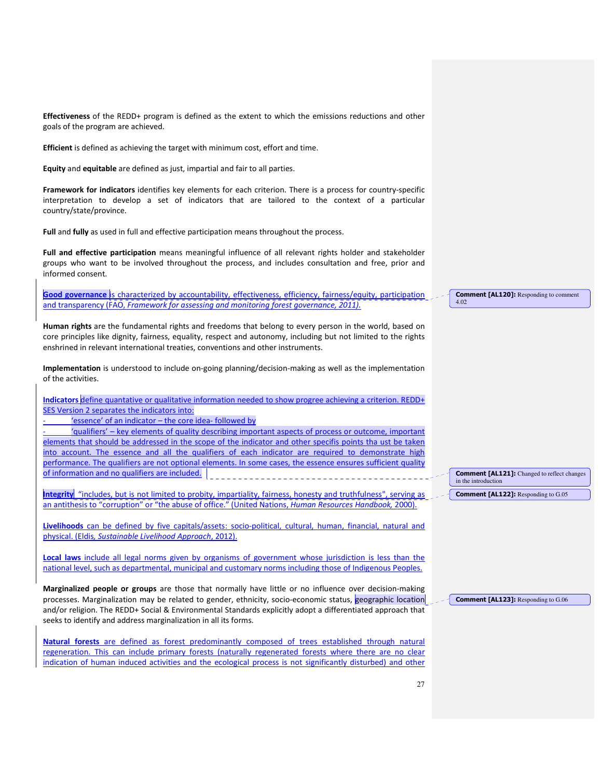Effectiveness of the REDD+ program is defined as the extent to which the emissions reductions and other goals of the program are achieved.

Efficient is defined as achieving the target with minimum cost, effort and time.

Equity and equitable are defined as just, impartial and fair to all parties.

Framework for indicators identifies key elements for each criterion. There is a process for country-specific interpretation to develop a set of indicators that are tailored to the context of a particular country/state/province.

Full and fully as used in full and effective participation means throughout the process.

Full and effective participation means meaningful influence of all relevant rights holder and stakeholder groups who want to be involved throughout the process, and includes consultation and free, prior and informed consent.

Good governance is characterized by accountability, effectiveness, efficiency, fairness/equity, participation and transparency (FAO, Framework for assessing and monitoring forest governance, 2011).

Human rights are the fundamental rights and freedoms that belong to every person in the world, based on core principles like dignity, fairness, equality, respect and autonomy, including but not limited to the rights enshrined in relevant international treaties, conventions and other instruments.

Implementation is understood to include on-going planning/decision-making as well as the implementation of the activities.

Indicators define quantative or qualitative information needed to show progree achieving a criterion. REDD+ SES Version 2 separates the indicators into:

'essence' of an indicator - the core idea- followed by

- 'qualifiers' – key elements of quality describing important aspects of process or outcome, important elements that should be addressed in the scope of the indicator and other specifis points tha ust be taken into account. The essence and all the qualifiers of each indicator are required to demonstrate high performance. The qualifiers are not optional elements. In some cases, the essence ensures sufficient quality of information and no qualifiers are included.

Integrity "includes, but is not limited to probity, impartiality, fairness, honesty and truthfulness", serving as an antithesis to "corruption" or "the abuse of office." (United Nations, Human Resources Handbook, 2000).

Livelihoods can be defined by five capitals/assets: socio-political, cultural, human, financial, natural and physical. (Eldis, Sustainable Livelihood Approach, 2012).

Local laws include all legal norms given by organisms of government whose jurisdiction is less than the national level, such as departmental, municipal and customary norms including those of Indigenous Peoples.

Marginalized people or groups are those that normally have little or no influence over decision-making processes. Marginalization may be related to gender, ethnicity, socio-economic status, geographic location and/or religion. The REDD+ Social & Environmental Standards explicitly adopt a differentiated approach that seeks to identify and address marginalization in all its forms.

Natural forests are defined as forest predominantly composed of trees established through natural regeneration. This can include primary forests (naturally regenerated forests where there are no clear indication of human induced activities and the ecological process is not significantly disturbed) and other

Comment [AL120]: Responding to comment 4.02

Comment [AL121]: Changed to reflect changes in the introduction

Comment [AL122]: Responding to G.05

Comment [AL123]: Responding to G.06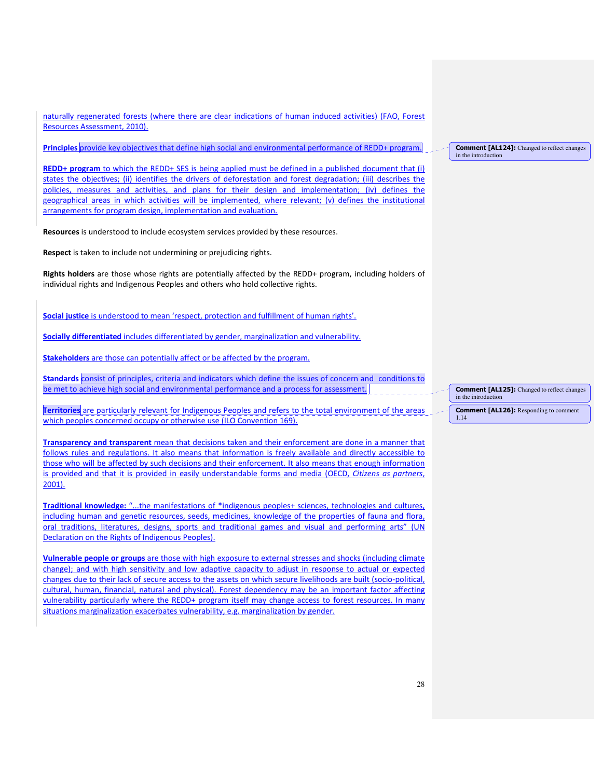naturally regenerated forests (where there are clear indications of human induced activities) (FAO, Forest Resources Assessment, 2010).

Principles provide key objectives that define high social and environmental performance of REDD+ program.

REDD+ program to which the REDD+ SES is being applied must be defined in a published document that (i) states the objectives; (ii) identifies the drivers of deforestation and forest degradation; (iii) describes the policies, measures and activities, and plans for their design and implementation; (iv) defines the geographical areas in which activities will be implemented, where relevant; (v) defines the institutional arrangements for program design, implementation and evaluation.

Resources is understood to include ecosystem services provided by these resources.

Respect is taken to include not undermining or prejudicing rights.

Rights holders are those whose rights are potentially affected by the REDD+ program, including holders of individual rights and Indigenous Peoples and others who hold collective rights.

Social justice is understood to mean 'respect, protection and fulfillment of human rights'.

Socially differentiated includes differentiated by gender, marginalization and vulnerability.

Stakeholders are those can potentially affect or be affected by the program.

Standards consist of principles, criteria and indicators which define the issues of concern and conditions to be met to achieve high social and environmental performance and a process for assessment.

Territories are particularly relevant for Indigenous Peoples and refers to the total environment of the areas which peoples concerned occupy or otherwise use (ILO Convention 169).

Transparency and transparent mean that decisions taken and their enforcement are done in a manner that follows rules and regulations. It also means that information is freely available and directly accessible to those who will be affected by such decisions and their enforcement. It also means that enough information is provided and that it is provided in easily understandable forms and media (OECD, Citizens as partners, 2001).

Traditional knowledge: "...the manifestations of \*indigenous peoples+ sciences, technologies and cultures, including human and genetic resources, seeds, medicines, knowledge of the properties of fauna and flora, oral traditions, literatures, designs, sports and traditional games and visual and performing arts" (UN Declaration on the Rights of Indigenous Peoples).

Vulnerable people or groups are those with high exposure to external stresses and shocks (including climate change); and with high sensitivity and low adaptive capacity to adjust in response to actual or expected changes due to their lack of secure access to the assets on which secure livelihoods are built (socio-political, cultural, human, financial, natural and physical). Forest dependency may be an important factor affecting vulnerability particularly where the REDD+ program itself may change access to forest resources. In many situations marginalization exacerbates vulnerability, e.g. marginalization by gender.

#### Comment [AL124]: Changed to reflect changes in the introdu

Comment [AL125]: Changed to reflect changes in the introduction

Comment [AL126]: Responding to comment 1.14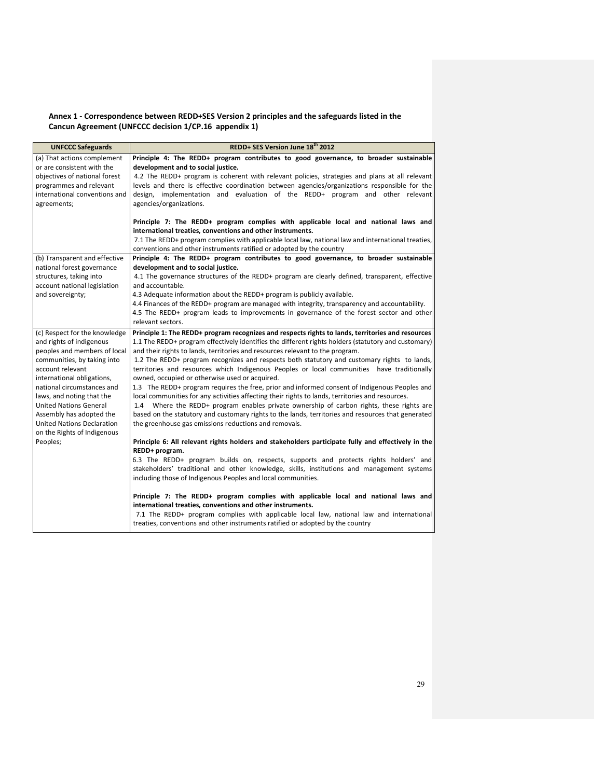## Annex 1 - Correspondence between REDD+SES Version 2 principles and the safeguards listed in the Cancun Agreement (UNFCCC decision 1/CP.16 appendix 1)

| <b>UNFCCC Safeguards</b>                                                                                                                                                                                                                                                                                                                                               | REDD+ SES Version June 18 <sup>th</sup> 2012                                                                                                                                                                                                                                                                                                                                                                                                                                                                                                                                                                                                                                                                                                                                                                                                                                                                                                                                                             |
|------------------------------------------------------------------------------------------------------------------------------------------------------------------------------------------------------------------------------------------------------------------------------------------------------------------------------------------------------------------------|----------------------------------------------------------------------------------------------------------------------------------------------------------------------------------------------------------------------------------------------------------------------------------------------------------------------------------------------------------------------------------------------------------------------------------------------------------------------------------------------------------------------------------------------------------------------------------------------------------------------------------------------------------------------------------------------------------------------------------------------------------------------------------------------------------------------------------------------------------------------------------------------------------------------------------------------------------------------------------------------------------|
| (a) That actions complement<br>or are consistent with the<br>objectives of national forest<br>programmes and relevant<br>international conventions and<br>agreements;                                                                                                                                                                                                  | Principle 4: The REDD+ program contributes to good governance, to broader sustainable<br>development and to social justice.<br>4.2 The REDD+ program is coherent with relevant policies, strategies and plans at all relevant<br>levels and there is effective coordination between agencies/organizations responsible for the<br>design, implementation and evaluation of the REDD+ program and other relevant<br>agencies/organizations.                                                                                                                                                                                                                                                                                                                                                                                                                                                                                                                                                               |
|                                                                                                                                                                                                                                                                                                                                                                        | Principle 7: The REDD+ program complies with applicable local and national laws and<br>international treaties, conventions and other instruments.<br>7.1 The REDD+ program complies with applicable local law, national law and international treaties,<br>conventions and other instruments ratified or adopted by the country                                                                                                                                                                                                                                                                                                                                                                                                                                                                                                                                                                                                                                                                          |
| (b) Transparent and effective<br>national forest governance<br>structures, taking into<br>account national legislation<br>and sovereignty;                                                                                                                                                                                                                             | Principle 4: The REDD+ program contributes to good governance, to broader sustainable<br>development and to social justice.<br>4.1 The governance structures of the REDD+ program are clearly defined, transparent, effective<br>and accountable.<br>4.3 Adequate information about the REDD+ program is publicly available.<br>4.4 Finances of the REDD+ program are managed with integrity, transparency and accountability.<br>4.5 The REDD+ program leads to improvements in governance of the forest sector and other<br>relevant sectors.                                                                                                                                                                                                                                                                                                                                                                                                                                                          |
| (c) Respect for the knowledge<br>and rights of indigenous<br>peoples and members of local<br>communities, by taking into<br>account relevant<br>international obligations,<br>national circumstances and<br>laws, and noting that the<br><b>United Nations General</b><br>Assembly has adopted the<br><b>United Nations Declaration</b><br>on the Rights of Indigenous | Principle 1: The REDD+ program recognizes and respects rights to lands, territories and resources<br>1.1 The REDD+ program effectively identifies the different rights holders (statutory and customary)<br>and their rights to lands, territories and resources relevant to the program.<br>1.2 The REDD+ program recognizes and respects both statutory and customary rights to lands,<br>territories and resources which Indigenous Peoples or local communities have traditionally<br>owned, occupied or otherwise used or acquired.<br>1.3 The REDD+ program requires the free, prior and informed consent of Indigenous Peoples and<br>local communities for any activities affecting their rights to lands, territories and resources.<br>1.4 Where the REDD+ program enables private ownership of carbon rights, these rights are<br>based on the statutory and customary rights to the lands, territories and resources that generated<br>the greenhouse gas emissions reductions and removals. |
| Peoples;                                                                                                                                                                                                                                                                                                                                                               | Principle 6: All relevant rights holders and stakeholders participate fully and effectively in the<br>REDD+ program.<br>6.3 The REDD+ program builds on, respects, supports and protects rights holders' and<br>stakeholders' traditional and other knowledge, skills, institutions and management systems<br>including those of Indigenous Peoples and local communities.<br>Principle 7: The REDD+ program complies with applicable local and national laws and<br>international treaties, conventions and other instruments.<br>7.1 The REDD+ program complies with applicable local law, national law and international<br>treaties, conventions and other instruments ratified or adopted by the country                                                                                                                                                                                                                                                                                            |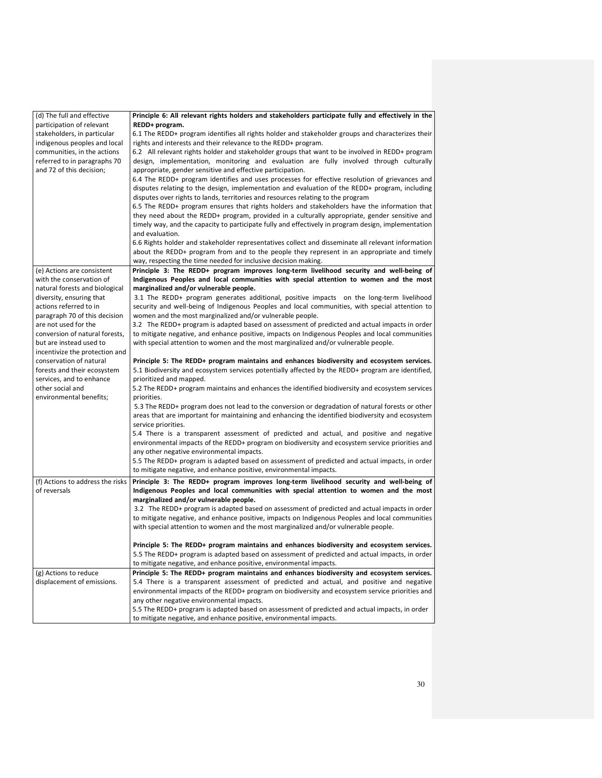| participation of relevant<br>REDD+ program.<br>stakeholders, in particular<br>6.1 The REDD+ program identifies all rights holder and stakeholder groups and characterizes their<br>rights and interests and their relevance to the REDD+ program.<br>indigenous peoples and local<br>6.2 All relevant rights holder and stakeholder groups that want to be involved in REDD+ program<br>communities, in the actions<br>design, implementation, monitoring and evaluation are fully involved through culturally<br>referred to in paragraphs 70<br>and 72 of this decision;<br>appropriate, gender sensitive and effective participation.<br>6.4 The REDD+ program identifies and uses processes for effective resolution of grievances and<br>disputes relating to the design, implementation and evaluation of the REDD+ program, including<br>disputes over rights to lands, territories and resources relating to the program<br>6.5 The REDD+ program ensures that rights holders and stakeholders have the information that<br>they need about the REDD+ program, provided in a culturally appropriate, gender sensitive and<br>timely way, and the capacity to participate fully and effectively in program design, implementation<br>and evaluation.<br>6.6 Rights holder and stakeholder representatives collect and disseminate all relevant information<br>about the REDD+ program from and to the people they represent in an appropriate and timely<br>way, respecting the time needed for inclusive decision making.<br>Principle 3: The REDD+ program improves long-term livelihood security and well-being of<br>(e) Actions are consistent<br>Indigenous Peoples and local communities with special attention to women and the most<br>with the conservation of<br>natural forests and biological<br>marginalized and/or vulnerable people.<br>diversity, ensuring that<br>3.1 The REDD+ program generates additional, positive impacts on the long-term livelihood<br>actions referred to in<br>security and well-being of Indigenous Peoples and local communities, with special attention to<br>women and the most marginalized and/or vulnerable people.<br>paragraph 70 of this decision<br>3.2 The REDD+ program is adapted based on assessment of predicted and actual impacts in order<br>are not used for the<br>conversion of natural forests,<br>to mitigate negative, and enhance positive, impacts on Indigenous Peoples and local communities<br>with special attention to women and the most marginalized and/or vulnerable people.<br>but are instead used to<br>incentivize the protection and<br>conservation of natural<br>Principle 5: The REDD+ program maintains and enhances biodiversity and ecosystem services.<br>5.1 Biodiversity and ecosystem services potentially affected by the REDD+ program are identified,<br>forests and their ecosystem<br>services, and to enhance<br>prioritized and mapped.<br>5.2 The REDD+ program maintains and enhances the identified biodiversity and ecosystem services<br>other social and<br>environmental benefits;<br>priorities.<br>5.3 The REDD+ program does not lead to the conversion or degradation of natural forests or other<br>areas that are important for maintaining and enhancing the identified biodiversity and ecosystem<br>service priorities.<br>5.4 There is a transparent assessment of predicted and actual, and positive and negative<br>environmental impacts of the REDD+ program on biodiversity and ecosystem service priorities and<br>any other negative environmental impacts.<br>5.5 The REDD+ program is adapted based on assessment of predicted and actual impacts, in order<br>to mitigate negative, and enhance positive, environmental impacts.<br>(f) Actions to address the risks<br>Principle 3: The REDD+ program improves long-term livelihood security and well-being of<br>of reversals<br>Indigenous Peoples and local communities with special attention to women and the most<br>marginalized and/or vulnerable people.<br>3.2 The REDD+ program is adapted based on assessment of predicted and actual impacts in order<br>to mitigate negative, and enhance positive, impacts on Indigenous Peoples and local communities<br>with special attention to women and the most marginalized and/or vulnerable people.<br>Principle 5: The REDD+ program maintains and enhances biodiversity and ecosystem services.<br>5.5 The REDD+ program is adapted based on assessment of predicted and actual impacts, in order<br>to mitigate negative, and enhance positive, environmental impacts.<br>(g) Actions to reduce<br>Principle 5: The REDD+ program maintains and enhances biodiversity and ecosystem services.<br>displacement of emissions.<br>5.4 There is a transparent assessment of predicted and actual, and positive and negative<br>environmental impacts of the REDD+ program on biodiversity and ecosystem service priorities and<br>any other negative environmental impacts. | (d) The full and effective | Principle 6: All relevant rights holders and stakeholders participate fully and effectively in the |
|-----------------------------------------------------------------------------------------------------------------------------------------------------------------------------------------------------------------------------------------------------------------------------------------------------------------------------------------------------------------------------------------------------------------------------------------------------------------------------------------------------------------------------------------------------------------------------------------------------------------------------------------------------------------------------------------------------------------------------------------------------------------------------------------------------------------------------------------------------------------------------------------------------------------------------------------------------------------------------------------------------------------------------------------------------------------------------------------------------------------------------------------------------------------------------------------------------------------------------------------------------------------------------------------------------------------------------------------------------------------------------------------------------------------------------------------------------------------------------------------------------------------------------------------------------------------------------------------------------------------------------------------------------------------------------------------------------------------------------------------------------------------------------------------------------------------------------------------------------------------------------------------------------------------------------------------------------------------------------------------------------------------------------------------------------------------------------------------------------------------------------------------------------------------------------------------------------------------------------------------------------------------------------------------------------------------------------------------------------------------------------------------------------------------------------------------------------------------------------------------------------------------------------------------------------------------------------------------------------------------------------------------------------------------------------------------------------------------------------------------------------------------------------------------------------------------------------------------------------------------------------------------------------------------------------------------------------------------------------------------------------------------------------------------------------------------------------------------------------------------------------------------------------------------------------------------------------------------------------------------------------------------------------------------------------------------------------------------------------------------------------------------------------------------------------------------------------------------------------------------------------------------------------------------------------------------------------------------------------------------------------------------------------------------------------------------------------------------------------------------------------------------------------------------------------------------------------------------------------------------------------------------------------------------------------------------------------------------------------------------------------------------------------------------------------------------------------------------------------------------------------------------------------------------------------------------------------------------------------------------------------------------------------------------------------------------------------------------------------------------------------------------------------------------------------------------------------------------------------------------------------------------------------------------------------------------------------------------------------------------------------------------------------------------------------------------------------------------------------------------------------------------------------------------------------------------------------------------------------------------------------------------------------------------------------------------------------------------------------------------------------------------------------|----------------------------|----------------------------------------------------------------------------------------------------|
|                                                                                                                                                                                                                                                                                                                                                                                                                                                                                                                                                                                                                                                                                                                                                                                                                                                                                                                                                                                                                                                                                                                                                                                                                                                                                                                                                                                                                                                                                                                                                                                                                                                                                                                                                                                                                                                                                                                                                                                                                                                                                                                                                                                                                                                                                                                                                                                                                                                                                                                                                                                                                                                                                                                                                                                                                                                                                                                                                                                                                                                                                                                                                                                                                                                                                                                                                                                                                                                                                                                                                                                                                                                                                                                                                                                                                                                                                                                                                                                                                                                                                                                                                                                                                                                                                                                                                                                                                                                                                                                                                                                                                                                                                                                                                                                                                                                                                                                                                                                                                             |                            |                                                                                                    |
|                                                                                                                                                                                                                                                                                                                                                                                                                                                                                                                                                                                                                                                                                                                                                                                                                                                                                                                                                                                                                                                                                                                                                                                                                                                                                                                                                                                                                                                                                                                                                                                                                                                                                                                                                                                                                                                                                                                                                                                                                                                                                                                                                                                                                                                                                                                                                                                                                                                                                                                                                                                                                                                                                                                                                                                                                                                                                                                                                                                                                                                                                                                                                                                                                                                                                                                                                                                                                                                                                                                                                                                                                                                                                                                                                                                                                                                                                                                                                                                                                                                                                                                                                                                                                                                                                                                                                                                                                                                                                                                                                                                                                                                                                                                                                                                                                                                                                                                                                                                                                             |                            |                                                                                                    |
|                                                                                                                                                                                                                                                                                                                                                                                                                                                                                                                                                                                                                                                                                                                                                                                                                                                                                                                                                                                                                                                                                                                                                                                                                                                                                                                                                                                                                                                                                                                                                                                                                                                                                                                                                                                                                                                                                                                                                                                                                                                                                                                                                                                                                                                                                                                                                                                                                                                                                                                                                                                                                                                                                                                                                                                                                                                                                                                                                                                                                                                                                                                                                                                                                                                                                                                                                                                                                                                                                                                                                                                                                                                                                                                                                                                                                                                                                                                                                                                                                                                                                                                                                                                                                                                                                                                                                                                                                                                                                                                                                                                                                                                                                                                                                                                                                                                                                                                                                                                                                             |                            |                                                                                                    |
|                                                                                                                                                                                                                                                                                                                                                                                                                                                                                                                                                                                                                                                                                                                                                                                                                                                                                                                                                                                                                                                                                                                                                                                                                                                                                                                                                                                                                                                                                                                                                                                                                                                                                                                                                                                                                                                                                                                                                                                                                                                                                                                                                                                                                                                                                                                                                                                                                                                                                                                                                                                                                                                                                                                                                                                                                                                                                                                                                                                                                                                                                                                                                                                                                                                                                                                                                                                                                                                                                                                                                                                                                                                                                                                                                                                                                                                                                                                                                                                                                                                                                                                                                                                                                                                                                                                                                                                                                                                                                                                                                                                                                                                                                                                                                                                                                                                                                                                                                                                                                             |                            |                                                                                                    |
|                                                                                                                                                                                                                                                                                                                                                                                                                                                                                                                                                                                                                                                                                                                                                                                                                                                                                                                                                                                                                                                                                                                                                                                                                                                                                                                                                                                                                                                                                                                                                                                                                                                                                                                                                                                                                                                                                                                                                                                                                                                                                                                                                                                                                                                                                                                                                                                                                                                                                                                                                                                                                                                                                                                                                                                                                                                                                                                                                                                                                                                                                                                                                                                                                                                                                                                                                                                                                                                                                                                                                                                                                                                                                                                                                                                                                                                                                                                                                                                                                                                                                                                                                                                                                                                                                                                                                                                                                                                                                                                                                                                                                                                                                                                                                                                                                                                                                                                                                                                                                             |                            |                                                                                                    |
|                                                                                                                                                                                                                                                                                                                                                                                                                                                                                                                                                                                                                                                                                                                                                                                                                                                                                                                                                                                                                                                                                                                                                                                                                                                                                                                                                                                                                                                                                                                                                                                                                                                                                                                                                                                                                                                                                                                                                                                                                                                                                                                                                                                                                                                                                                                                                                                                                                                                                                                                                                                                                                                                                                                                                                                                                                                                                                                                                                                                                                                                                                                                                                                                                                                                                                                                                                                                                                                                                                                                                                                                                                                                                                                                                                                                                                                                                                                                                                                                                                                                                                                                                                                                                                                                                                                                                                                                                                                                                                                                                                                                                                                                                                                                                                                                                                                                                                                                                                                                                             |                            |                                                                                                    |
|                                                                                                                                                                                                                                                                                                                                                                                                                                                                                                                                                                                                                                                                                                                                                                                                                                                                                                                                                                                                                                                                                                                                                                                                                                                                                                                                                                                                                                                                                                                                                                                                                                                                                                                                                                                                                                                                                                                                                                                                                                                                                                                                                                                                                                                                                                                                                                                                                                                                                                                                                                                                                                                                                                                                                                                                                                                                                                                                                                                                                                                                                                                                                                                                                                                                                                                                                                                                                                                                                                                                                                                                                                                                                                                                                                                                                                                                                                                                                                                                                                                                                                                                                                                                                                                                                                                                                                                                                                                                                                                                                                                                                                                                                                                                                                                                                                                                                                                                                                                                                             |                            |                                                                                                    |
|                                                                                                                                                                                                                                                                                                                                                                                                                                                                                                                                                                                                                                                                                                                                                                                                                                                                                                                                                                                                                                                                                                                                                                                                                                                                                                                                                                                                                                                                                                                                                                                                                                                                                                                                                                                                                                                                                                                                                                                                                                                                                                                                                                                                                                                                                                                                                                                                                                                                                                                                                                                                                                                                                                                                                                                                                                                                                                                                                                                                                                                                                                                                                                                                                                                                                                                                                                                                                                                                                                                                                                                                                                                                                                                                                                                                                                                                                                                                                                                                                                                                                                                                                                                                                                                                                                                                                                                                                                                                                                                                                                                                                                                                                                                                                                                                                                                                                                                                                                                                                             |                            |                                                                                                    |
|                                                                                                                                                                                                                                                                                                                                                                                                                                                                                                                                                                                                                                                                                                                                                                                                                                                                                                                                                                                                                                                                                                                                                                                                                                                                                                                                                                                                                                                                                                                                                                                                                                                                                                                                                                                                                                                                                                                                                                                                                                                                                                                                                                                                                                                                                                                                                                                                                                                                                                                                                                                                                                                                                                                                                                                                                                                                                                                                                                                                                                                                                                                                                                                                                                                                                                                                                                                                                                                                                                                                                                                                                                                                                                                                                                                                                                                                                                                                                                                                                                                                                                                                                                                                                                                                                                                                                                                                                                                                                                                                                                                                                                                                                                                                                                                                                                                                                                                                                                                                                             |                            |                                                                                                    |
|                                                                                                                                                                                                                                                                                                                                                                                                                                                                                                                                                                                                                                                                                                                                                                                                                                                                                                                                                                                                                                                                                                                                                                                                                                                                                                                                                                                                                                                                                                                                                                                                                                                                                                                                                                                                                                                                                                                                                                                                                                                                                                                                                                                                                                                                                                                                                                                                                                                                                                                                                                                                                                                                                                                                                                                                                                                                                                                                                                                                                                                                                                                                                                                                                                                                                                                                                                                                                                                                                                                                                                                                                                                                                                                                                                                                                                                                                                                                                                                                                                                                                                                                                                                                                                                                                                                                                                                                                                                                                                                                                                                                                                                                                                                                                                                                                                                                                                                                                                                                                             |                            |                                                                                                    |
|                                                                                                                                                                                                                                                                                                                                                                                                                                                                                                                                                                                                                                                                                                                                                                                                                                                                                                                                                                                                                                                                                                                                                                                                                                                                                                                                                                                                                                                                                                                                                                                                                                                                                                                                                                                                                                                                                                                                                                                                                                                                                                                                                                                                                                                                                                                                                                                                                                                                                                                                                                                                                                                                                                                                                                                                                                                                                                                                                                                                                                                                                                                                                                                                                                                                                                                                                                                                                                                                                                                                                                                                                                                                                                                                                                                                                                                                                                                                                                                                                                                                                                                                                                                                                                                                                                                                                                                                                                                                                                                                                                                                                                                                                                                                                                                                                                                                                                                                                                                                                             |                            |                                                                                                    |
|                                                                                                                                                                                                                                                                                                                                                                                                                                                                                                                                                                                                                                                                                                                                                                                                                                                                                                                                                                                                                                                                                                                                                                                                                                                                                                                                                                                                                                                                                                                                                                                                                                                                                                                                                                                                                                                                                                                                                                                                                                                                                                                                                                                                                                                                                                                                                                                                                                                                                                                                                                                                                                                                                                                                                                                                                                                                                                                                                                                                                                                                                                                                                                                                                                                                                                                                                                                                                                                                                                                                                                                                                                                                                                                                                                                                                                                                                                                                                                                                                                                                                                                                                                                                                                                                                                                                                                                                                                                                                                                                                                                                                                                                                                                                                                                                                                                                                                                                                                                                                             |                            |                                                                                                    |
|                                                                                                                                                                                                                                                                                                                                                                                                                                                                                                                                                                                                                                                                                                                                                                                                                                                                                                                                                                                                                                                                                                                                                                                                                                                                                                                                                                                                                                                                                                                                                                                                                                                                                                                                                                                                                                                                                                                                                                                                                                                                                                                                                                                                                                                                                                                                                                                                                                                                                                                                                                                                                                                                                                                                                                                                                                                                                                                                                                                                                                                                                                                                                                                                                                                                                                                                                                                                                                                                                                                                                                                                                                                                                                                                                                                                                                                                                                                                                                                                                                                                                                                                                                                                                                                                                                                                                                                                                                                                                                                                                                                                                                                                                                                                                                                                                                                                                                                                                                                                                             |                            |                                                                                                    |
|                                                                                                                                                                                                                                                                                                                                                                                                                                                                                                                                                                                                                                                                                                                                                                                                                                                                                                                                                                                                                                                                                                                                                                                                                                                                                                                                                                                                                                                                                                                                                                                                                                                                                                                                                                                                                                                                                                                                                                                                                                                                                                                                                                                                                                                                                                                                                                                                                                                                                                                                                                                                                                                                                                                                                                                                                                                                                                                                                                                                                                                                                                                                                                                                                                                                                                                                                                                                                                                                                                                                                                                                                                                                                                                                                                                                                                                                                                                                                                                                                                                                                                                                                                                                                                                                                                                                                                                                                                                                                                                                                                                                                                                                                                                                                                                                                                                                                                                                                                                                                             |                            |                                                                                                    |
|                                                                                                                                                                                                                                                                                                                                                                                                                                                                                                                                                                                                                                                                                                                                                                                                                                                                                                                                                                                                                                                                                                                                                                                                                                                                                                                                                                                                                                                                                                                                                                                                                                                                                                                                                                                                                                                                                                                                                                                                                                                                                                                                                                                                                                                                                                                                                                                                                                                                                                                                                                                                                                                                                                                                                                                                                                                                                                                                                                                                                                                                                                                                                                                                                                                                                                                                                                                                                                                                                                                                                                                                                                                                                                                                                                                                                                                                                                                                                                                                                                                                                                                                                                                                                                                                                                                                                                                                                                                                                                                                                                                                                                                                                                                                                                                                                                                                                                                                                                                                                             |                            |                                                                                                    |
|                                                                                                                                                                                                                                                                                                                                                                                                                                                                                                                                                                                                                                                                                                                                                                                                                                                                                                                                                                                                                                                                                                                                                                                                                                                                                                                                                                                                                                                                                                                                                                                                                                                                                                                                                                                                                                                                                                                                                                                                                                                                                                                                                                                                                                                                                                                                                                                                                                                                                                                                                                                                                                                                                                                                                                                                                                                                                                                                                                                                                                                                                                                                                                                                                                                                                                                                                                                                                                                                                                                                                                                                                                                                                                                                                                                                                                                                                                                                                                                                                                                                                                                                                                                                                                                                                                                                                                                                                                                                                                                                                                                                                                                                                                                                                                                                                                                                                                                                                                                                                             |                            |                                                                                                    |
|                                                                                                                                                                                                                                                                                                                                                                                                                                                                                                                                                                                                                                                                                                                                                                                                                                                                                                                                                                                                                                                                                                                                                                                                                                                                                                                                                                                                                                                                                                                                                                                                                                                                                                                                                                                                                                                                                                                                                                                                                                                                                                                                                                                                                                                                                                                                                                                                                                                                                                                                                                                                                                                                                                                                                                                                                                                                                                                                                                                                                                                                                                                                                                                                                                                                                                                                                                                                                                                                                                                                                                                                                                                                                                                                                                                                                                                                                                                                                                                                                                                                                                                                                                                                                                                                                                                                                                                                                                                                                                                                                                                                                                                                                                                                                                                                                                                                                                                                                                                                                             |                            |                                                                                                    |
|                                                                                                                                                                                                                                                                                                                                                                                                                                                                                                                                                                                                                                                                                                                                                                                                                                                                                                                                                                                                                                                                                                                                                                                                                                                                                                                                                                                                                                                                                                                                                                                                                                                                                                                                                                                                                                                                                                                                                                                                                                                                                                                                                                                                                                                                                                                                                                                                                                                                                                                                                                                                                                                                                                                                                                                                                                                                                                                                                                                                                                                                                                                                                                                                                                                                                                                                                                                                                                                                                                                                                                                                                                                                                                                                                                                                                                                                                                                                                                                                                                                                                                                                                                                                                                                                                                                                                                                                                                                                                                                                                                                                                                                                                                                                                                                                                                                                                                                                                                                                                             |                            |                                                                                                    |
|                                                                                                                                                                                                                                                                                                                                                                                                                                                                                                                                                                                                                                                                                                                                                                                                                                                                                                                                                                                                                                                                                                                                                                                                                                                                                                                                                                                                                                                                                                                                                                                                                                                                                                                                                                                                                                                                                                                                                                                                                                                                                                                                                                                                                                                                                                                                                                                                                                                                                                                                                                                                                                                                                                                                                                                                                                                                                                                                                                                                                                                                                                                                                                                                                                                                                                                                                                                                                                                                                                                                                                                                                                                                                                                                                                                                                                                                                                                                                                                                                                                                                                                                                                                                                                                                                                                                                                                                                                                                                                                                                                                                                                                                                                                                                                                                                                                                                                                                                                                                                             |                            |                                                                                                    |
|                                                                                                                                                                                                                                                                                                                                                                                                                                                                                                                                                                                                                                                                                                                                                                                                                                                                                                                                                                                                                                                                                                                                                                                                                                                                                                                                                                                                                                                                                                                                                                                                                                                                                                                                                                                                                                                                                                                                                                                                                                                                                                                                                                                                                                                                                                                                                                                                                                                                                                                                                                                                                                                                                                                                                                                                                                                                                                                                                                                                                                                                                                                                                                                                                                                                                                                                                                                                                                                                                                                                                                                                                                                                                                                                                                                                                                                                                                                                                                                                                                                                                                                                                                                                                                                                                                                                                                                                                                                                                                                                                                                                                                                                                                                                                                                                                                                                                                                                                                                                                             |                            |                                                                                                    |
|                                                                                                                                                                                                                                                                                                                                                                                                                                                                                                                                                                                                                                                                                                                                                                                                                                                                                                                                                                                                                                                                                                                                                                                                                                                                                                                                                                                                                                                                                                                                                                                                                                                                                                                                                                                                                                                                                                                                                                                                                                                                                                                                                                                                                                                                                                                                                                                                                                                                                                                                                                                                                                                                                                                                                                                                                                                                                                                                                                                                                                                                                                                                                                                                                                                                                                                                                                                                                                                                                                                                                                                                                                                                                                                                                                                                                                                                                                                                                                                                                                                                                                                                                                                                                                                                                                                                                                                                                                                                                                                                                                                                                                                                                                                                                                                                                                                                                                                                                                                                                             |                            |                                                                                                    |
|                                                                                                                                                                                                                                                                                                                                                                                                                                                                                                                                                                                                                                                                                                                                                                                                                                                                                                                                                                                                                                                                                                                                                                                                                                                                                                                                                                                                                                                                                                                                                                                                                                                                                                                                                                                                                                                                                                                                                                                                                                                                                                                                                                                                                                                                                                                                                                                                                                                                                                                                                                                                                                                                                                                                                                                                                                                                                                                                                                                                                                                                                                                                                                                                                                                                                                                                                                                                                                                                                                                                                                                                                                                                                                                                                                                                                                                                                                                                                                                                                                                                                                                                                                                                                                                                                                                                                                                                                                                                                                                                                                                                                                                                                                                                                                                                                                                                                                                                                                                                                             |                            |                                                                                                    |
|                                                                                                                                                                                                                                                                                                                                                                                                                                                                                                                                                                                                                                                                                                                                                                                                                                                                                                                                                                                                                                                                                                                                                                                                                                                                                                                                                                                                                                                                                                                                                                                                                                                                                                                                                                                                                                                                                                                                                                                                                                                                                                                                                                                                                                                                                                                                                                                                                                                                                                                                                                                                                                                                                                                                                                                                                                                                                                                                                                                                                                                                                                                                                                                                                                                                                                                                                                                                                                                                                                                                                                                                                                                                                                                                                                                                                                                                                                                                                                                                                                                                                                                                                                                                                                                                                                                                                                                                                                                                                                                                                                                                                                                                                                                                                                                                                                                                                                                                                                                                                             |                            |                                                                                                    |
|                                                                                                                                                                                                                                                                                                                                                                                                                                                                                                                                                                                                                                                                                                                                                                                                                                                                                                                                                                                                                                                                                                                                                                                                                                                                                                                                                                                                                                                                                                                                                                                                                                                                                                                                                                                                                                                                                                                                                                                                                                                                                                                                                                                                                                                                                                                                                                                                                                                                                                                                                                                                                                                                                                                                                                                                                                                                                                                                                                                                                                                                                                                                                                                                                                                                                                                                                                                                                                                                                                                                                                                                                                                                                                                                                                                                                                                                                                                                                                                                                                                                                                                                                                                                                                                                                                                                                                                                                                                                                                                                                                                                                                                                                                                                                                                                                                                                                                                                                                                                                             |                            |                                                                                                    |
|                                                                                                                                                                                                                                                                                                                                                                                                                                                                                                                                                                                                                                                                                                                                                                                                                                                                                                                                                                                                                                                                                                                                                                                                                                                                                                                                                                                                                                                                                                                                                                                                                                                                                                                                                                                                                                                                                                                                                                                                                                                                                                                                                                                                                                                                                                                                                                                                                                                                                                                                                                                                                                                                                                                                                                                                                                                                                                                                                                                                                                                                                                                                                                                                                                                                                                                                                                                                                                                                                                                                                                                                                                                                                                                                                                                                                                                                                                                                                                                                                                                                                                                                                                                                                                                                                                                                                                                                                                                                                                                                                                                                                                                                                                                                                                                                                                                                                                                                                                                                                             |                            |                                                                                                    |
|                                                                                                                                                                                                                                                                                                                                                                                                                                                                                                                                                                                                                                                                                                                                                                                                                                                                                                                                                                                                                                                                                                                                                                                                                                                                                                                                                                                                                                                                                                                                                                                                                                                                                                                                                                                                                                                                                                                                                                                                                                                                                                                                                                                                                                                                                                                                                                                                                                                                                                                                                                                                                                                                                                                                                                                                                                                                                                                                                                                                                                                                                                                                                                                                                                                                                                                                                                                                                                                                                                                                                                                                                                                                                                                                                                                                                                                                                                                                                                                                                                                                                                                                                                                                                                                                                                                                                                                                                                                                                                                                                                                                                                                                                                                                                                                                                                                                                                                                                                                                                             |                            |                                                                                                    |
|                                                                                                                                                                                                                                                                                                                                                                                                                                                                                                                                                                                                                                                                                                                                                                                                                                                                                                                                                                                                                                                                                                                                                                                                                                                                                                                                                                                                                                                                                                                                                                                                                                                                                                                                                                                                                                                                                                                                                                                                                                                                                                                                                                                                                                                                                                                                                                                                                                                                                                                                                                                                                                                                                                                                                                                                                                                                                                                                                                                                                                                                                                                                                                                                                                                                                                                                                                                                                                                                                                                                                                                                                                                                                                                                                                                                                                                                                                                                                                                                                                                                                                                                                                                                                                                                                                                                                                                                                                                                                                                                                                                                                                                                                                                                                                                                                                                                                                                                                                                                                             |                            |                                                                                                    |
|                                                                                                                                                                                                                                                                                                                                                                                                                                                                                                                                                                                                                                                                                                                                                                                                                                                                                                                                                                                                                                                                                                                                                                                                                                                                                                                                                                                                                                                                                                                                                                                                                                                                                                                                                                                                                                                                                                                                                                                                                                                                                                                                                                                                                                                                                                                                                                                                                                                                                                                                                                                                                                                                                                                                                                                                                                                                                                                                                                                                                                                                                                                                                                                                                                                                                                                                                                                                                                                                                                                                                                                                                                                                                                                                                                                                                                                                                                                                                                                                                                                                                                                                                                                                                                                                                                                                                                                                                                                                                                                                                                                                                                                                                                                                                                                                                                                                                                                                                                                                                             |                            |                                                                                                    |
|                                                                                                                                                                                                                                                                                                                                                                                                                                                                                                                                                                                                                                                                                                                                                                                                                                                                                                                                                                                                                                                                                                                                                                                                                                                                                                                                                                                                                                                                                                                                                                                                                                                                                                                                                                                                                                                                                                                                                                                                                                                                                                                                                                                                                                                                                                                                                                                                                                                                                                                                                                                                                                                                                                                                                                                                                                                                                                                                                                                                                                                                                                                                                                                                                                                                                                                                                                                                                                                                                                                                                                                                                                                                                                                                                                                                                                                                                                                                                                                                                                                                                                                                                                                                                                                                                                                                                                                                                                                                                                                                                                                                                                                                                                                                                                                                                                                                                                                                                                                                                             |                            |                                                                                                    |
|                                                                                                                                                                                                                                                                                                                                                                                                                                                                                                                                                                                                                                                                                                                                                                                                                                                                                                                                                                                                                                                                                                                                                                                                                                                                                                                                                                                                                                                                                                                                                                                                                                                                                                                                                                                                                                                                                                                                                                                                                                                                                                                                                                                                                                                                                                                                                                                                                                                                                                                                                                                                                                                                                                                                                                                                                                                                                                                                                                                                                                                                                                                                                                                                                                                                                                                                                                                                                                                                                                                                                                                                                                                                                                                                                                                                                                                                                                                                                                                                                                                                                                                                                                                                                                                                                                                                                                                                                                                                                                                                                                                                                                                                                                                                                                                                                                                                                                                                                                                                                             |                            |                                                                                                    |
|                                                                                                                                                                                                                                                                                                                                                                                                                                                                                                                                                                                                                                                                                                                                                                                                                                                                                                                                                                                                                                                                                                                                                                                                                                                                                                                                                                                                                                                                                                                                                                                                                                                                                                                                                                                                                                                                                                                                                                                                                                                                                                                                                                                                                                                                                                                                                                                                                                                                                                                                                                                                                                                                                                                                                                                                                                                                                                                                                                                                                                                                                                                                                                                                                                                                                                                                                                                                                                                                                                                                                                                                                                                                                                                                                                                                                                                                                                                                                                                                                                                                                                                                                                                                                                                                                                                                                                                                                                                                                                                                                                                                                                                                                                                                                                                                                                                                                                                                                                                                                             |                            |                                                                                                    |
|                                                                                                                                                                                                                                                                                                                                                                                                                                                                                                                                                                                                                                                                                                                                                                                                                                                                                                                                                                                                                                                                                                                                                                                                                                                                                                                                                                                                                                                                                                                                                                                                                                                                                                                                                                                                                                                                                                                                                                                                                                                                                                                                                                                                                                                                                                                                                                                                                                                                                                                                                                                                                                                                                                                                                                                                                                                                                                                                                                                                                                                                                                                                                                                                                                                                                                                                                                                                                                                                                                                                                                                                                                                                                                                                                                                                                                                                                                                                                                                                                                                                                                                                                                                                                                                                                                                                                                                                                                                                                                                                                                                                                                                                                                                                                                                                                                                                                                                                                                                                                             |                            |                                                                                                    |
|                                                                                                                                                                                                                                                                                                                                                                                                                                                                                                                                                                                                                                                                                                                                                                                                                                                                                                                                                                                                                                                                                                                                                                                                                                                                                                                                                                                                                                                                                                                                                                                                                                                                                                                                                                                                                                                                                                                                                                                                                                                                                                                                                                                                                                                                                                                                                                                                                                                                                                                                                                                                                                                                                                                                                                                                                                                                                                                                                                                                                                                                                                                                                                                                                                                                                                                                                                                                                                                                                                                                                                                                                                                                                                                                                                                                                                                                                                                                                                                                                                                                                                                                                                                                                                                                                                                                                                                                                                                                                                                                                                                                                                                                                                                                                                                                                                                                                                                                                                                                                             |                            |                                                                                                    |
|                                                                                                                                                                                                                                                                                                                                                                                                                                                                                                                                                                                                                                                                                                                                                                                                                                                                                                                                                                                                                                                                                                                                                                                                                                                                                                                                                                                                                                                                                                                                                                                                                                                                                                                                                                                                                                                                                                                                                                                                                                                                                                                                                                                                                                                                                                                                                                                                                                                                                                                                                                                                                                                                                                                                                                                                                                                                                                                                                                                                                                                                                                                                                                                                                                                                                                                                                                                                                                                                                                                                                                                                                                                                                                                                                                                                                                                                                                                                                                                                                                                                                                                                                                                                                                                                                                                                                                                                                                                                                                                                                                                                                                                                                                                                                                                                                                                                                                                                                                                                                             |                            |                                                                                                    |
|                                                                                                                                                                                                                                                                                                                                                                                                                                                                                                                                                                                                                                                                                                                                                                                                                                                                                                                                                                                                                                                                                                                                                                                                                                                                                                                                                                                                                                                                                                                                                                                                                                                                                                                                                                                                                                                                                                                                                                                                                                                                                                                                                                                                                                                                                                                                                                                                                                                                                                                                                                                                                                                                                                                                                                                                                                                                                                                                                                                                                                                                                                                                                                                                                                                                                                                                                                                                                                                                                                                                                                                                                                                                                                                                                                                                                                                                                                                                                                                                                                                                                                                                                                                                                                                                                                                                                                                                                                                                                                                                                                                                                                                                                                                                                                                                                                                                                                                                                                                                                             |                            |                                                                                                    |
|                                                                                                                                                                                                                                                                                                                                                                                                                                                                                                                                                                                                                                                                                                                                                                                                                                                                                                                                                                                                                                                                                                                                                                                                                                                                                                                                                                                                                                                                                                                                                                                                                                                                                                                                                                                                                                                                                                                                                                                                                                                                                                                                                                                                                                                                                                                                                                                                                                                                                                                                                                                                                                                                                                                                                                                                                                                                                                                                                                                                                                                                                                                                                                                                                                                                                                                                                                                                                                                                                                                                                                                                                                                                                                                                                                                                                                                                                                                                                                                                                                                                                                                                                                                                                                                                                                                                                                                                                                                                                                                                                                                                                                                                                                                                                                                                                                                                                                                                                                                                                             |                            |                                                                                                    |
|                                                                                                                                                                                                                                                                                                                                                                                                                                                                                                                                                                                                                                                                                                                                                                                                                                                                                                                                                                                                                                                                                                                                                                                                                                                                                                                                                                                                                                                                                                                                                                                                                                                                                                                                                                                                                                                                                                                                                                                                                                                                                                                                                                                                                                                                                                                                                                                                                                                                                                                                                                                                                                                                                                                                                                                                                                                                                                                                                                                                                                                                                                                                                                                                                                                                                                                                                                                                                                                                                                                                                                                                                                                                                                                                                                                                                                                                                                                                                                                                                                                                                                                                                                                                                                                                                                                                                                                                                                                                                                                                                                                                                                                                                                                                                                                                                                                                                                                                                                                                                             |                            |                                                                                                    |
|                                                                                                                                                                                                                                                                                                                                                                                                                                                                                                                                                                                                                                                                                                                                                                                                                                                                                                                                                                                                                                                                                                                                                                                                                                                                                                                                                                                                                                                                                                                                                                                                                                                                                                                                                                                                                                                                                                                                                                                                                                                                                                                                                                                                                                                                                                                                                                                                                                                                                                                                                                                                                                                                                                                                                                                                                                                                                                                                                                                                                                                                                                                                                                                                                                                                                                                                                                                                                                                                                                                                                                                                                                                                                                                                                                                                                                                                                                                                                                                                                                                                                                                                                                                                                                                                                                                                                                                                                                                                                                                                                                                                                                                                                                                                                                                                                                                                                                                                                                                                                             |                            |                                                                                                    |
|                                                                                                                                                                                                                                                                                                                                                                                                                                                                                                                                                                                                                                                                                                                                                                                                                                                                                                                                                                                                                                                                                                                                                                                                                                                                                                                                                                                                                                                                                                                                                                                                                                                                                                                                                                                                                                                                                                                                                                                                                                                                                                                                                                                                                                                                                                                                                                                                                                                                                                                                                                                                                                                                                                                                                                                                                                                                                                                                                                                                                                                                                                                                                                                                                                                                                                                                                                                                                                                                                                                                                                                                                                                                                                                                                                                                                                                                                                                                                                                                                                                                                                                                                                                                                                                                                                                                                                                                                                                                                                                                                                                                                                                                                                                                                                                                                                                                                                                                                                                                                             |                            |                                                                                                    |
|                                                                                                                                                                                                                                                                                                                                                                                                                                                                                                                                                                                                                                                                                                                                                                                                                                                                                                                                                                                                                                                                                                                                                                                                                                                                                                                                                                                                                                                                                                                                                                                                                                                                                                                                                                                                                                                                                                                                                                                                                                                                                                                                                                                                                                                                                                                                                                                                                                                                                                                                                                                                                                                                                                                                                                                                                                                                                                                                                                                                                                                                                                                                                                                                                                                                                                                                                                                                                                                                                                                                                                                                                                                                                                                                                                                                                                                                                                                                                                                                                                                                                                                                                                                                                                                                                                                                                                                                                                                                                                                                                                                                                                                                                                                                                                                                                                                                                                                                                                                                                             |                            |                                                                                                    |
|                                                                                                                                                                                                                                                                                                                                                                                                                                                                                                                                                                                                                                                                                                                                                                                                                                                                                                                                                                                                                                                                                                                                                                                                                                                                                                                                                                                                                                                                                                                                                                                                                                                                                                                                                                                                                                                                                                                                                                                                                                                                                                                                                                                                                                                                                                                                                                                                                                                                                                                                                                                                                                                                                                                                                                                                                                                                                                                                                                                                                                                                                                                                                                                                                                                                                                                                                                                                                                                                                                                                                                                                                                                                                                                                                                                                                                                                                                                                                                                                                                                                                                                                                                                                                                                                                                                                                                                                                                                                                                                                                                                                                                                                                                                                                                                                                                                                                                                                                                                                                             |                            |                                                                                                    |
|                                                                                                                                                                                                                                                                                                                                                                                                                                                                                                                                                                                                                                                                                                                                                                                                                                                                                                                                                                                                                                                                                                                                                                                                                                                                                                                                                                                                                                                                                                                                                                                                                                                                                                                                                                                                                                                                                                                                                                                                                                                                                                                                                                                                                                                                                                                                                                                                                                                                                                                                                                                                                                                                                                                                                                                                                                                                                                                                                                                                                                                                                                                                                                                                                                                                                                                                                                                                                                                                                                                                                                                                                                                                                                                                                                                                                                                                                                                                                                                                                                                                                                                                                                                                                                                                                                                                                                                                                                                                                                                                                                                                                                                                                                                                                                                                                                                                                                                                                                                                                             |                            |                                                                                                    |
|                                                                                                                                                                                                                                                                                                                                                                                                                                                                                                                                                                                                                                                                                                                                                                                                                                                                                                                                                                                                                                                                                                                                                                                                                                                                                                                                                                                                                                                                                                                                                                                                                                                                                                                                                                                                                                                                                                                                                                                                                                                                                                                                                                                                                                                                                                                                                                                                                                                                                                                                                                                                                                                                                                                                                                                                                                                                                                                                                                                                                                                                                                                                                                                                                                                                                                                                                                                                                                                                                                                                                                                                                                                                                                                                                                                                                                                                                                                                                                                                                                                                                                                                                                                                                                                                                                                                                                                                                                                                                                                                                                                                                                                                                                                                                                                                                                                                                                                                                                                                                             |                            |                                                                                                    |
|                                                                                                                                                                                                                                                                                                                                                                                                                                                                                                                                                                                                                                                                                                                                                                                                                                                                                                                                                                                                                                                                                                                                                                                                                                                                                                                                                                                                                                                                                                                                                                                                                                                                                                                                                                                                                                                                                                                                                                                                                                                                                                                                                                                                                                                                                                                                                                                                                                                                                                                                                                                                                                                                                                                                                                                                                                                                                                                                                                                                                                                                                                                                                                                                                                                                                                                                                                                                                                                                                                                                                                                                                                                                                                                                                                                                                                                                                                                                                                                                                                                                                                                                                                                                                                                                                                                                                                                                                                                                                                                                                                                                                                                                                                                                                                                                                                                                                                                                                                                                                             |                            |                                                                                                    |
|                                                                                                                                                                                                                                                                                                                                                                                                                                                                                                                                                                                                                                                                                                                                                                                                                                                                                                                                                                                                                                                                                                                                                                                                                                                                                                                                                                                                                                                                                                                                                                                                                                                                                                                                                                                                                                                                                                                                                                                                                                                                                                                                                                                                                                                                                                                                                                                                                                                                                                                                                                                                                                                                                                                                                                                                                                                                                                                                                                                                                                                                                                                                                                                                                                                                                                                                                                                                                                                                                                                                                                                                                                                                                                                                                                                                                                                                                                                                                                                                                                                                                                                                                                                                                                                                                                                                                                                                                                                                                                                                                                                                                                                                                                                                                                                                                                                                                                                                                                                                                             |                            |                                                                                                    |
|                                                                                                                                                                                                                                                                                                                                                                                                                                                                                                                                                                                                                                                                                                                                                                                                                                                                                                                                                                                                                                                                                                                                                                                                                                                                                                                                                                                                                                                                                                                                                                                                                                                                                                                                                                                                                                                                                                                                                                                                                                                                                                                                                                                                                                                                                                                                                                                                                                                                                                                                                                                                                                                                                                                                                                                                                                                                                                                                                                                                                                                                                                                                                                                                                                                                                                                                                                                                                                                                                                                                                                                                                                                                                                                                                                                                                                                                                                                                                                                                                                                                                                                                                                                                                                                                                                                                                                                                                                                                                                                                                                                                                                                                                                                                                                                                                                                                                                                                                                                                                             |                            |                                                                                                    |
|                                                                                                                                                                                                                                                                                                                                                                                                                                                                                                                                                                                                                                                                                                                                                                                                                                                                                                                                                                                                                                                                                                                                                                                                                                                                                                                                                                                                                                                                                                                                                                                                                                                                                                                                                                                                                                                                                                                                                                                                                                                                                                                                                                                                                                                                                                                                                                                                                                                                                                                                                                                                                                                                                                                                                                                                                                                                                                                                                                                                                                                                                                                                                                                                                                                                                                                                                                                                                                                                                                                                                                                                                                                                                                                                                                                                                                                                                                                                                                                                                                                                                                                                                                                                                                                                                                                                                                                                                                                                                                                                                                                                                                                                                                                                                                                                                                                                                                                                                                                                                             |                            |                                                                                                    |
|                                                                                                                                                                                                                                                                                                                                                                                                                                                                                                                                                                                                                                                                                                                                                                                                                                                                                                                                                                                                                                                                                                                                                                                                                                                                                                                                                                                                                                                                                                                                                                                                                                                                                                                                                                                                                                                                                                                                                                                                                                                                                                                                                                                                                                                                                                                                                                                                                                                                                                                                                                                                                                                                                                                                                                                                                                                                                                                                                                                                                                                                                                                                                                                                                                                                                                                                                                                                                                                                                                                                                                                                                                                                                                                                                                                                                                                                                                                                                                                                                                                                                                                                                                                                                                                                                                                                                                                                                                                                                                                                                                                                                                                                                                                                                                                                                                                                                                                                                                                                                             |                            |                                                                                                    |
|                                                                                                                                                                                                                                                                                                                                                                                                                                                                                                                                                                                                                                                                                                                                                                                                                                                                                                                                                                                                                                                                                                                                                                                                                                                                                                                                                                                                                                                                                                                                                                                                                                                                                                                                                                                                                                                                                                                                                                                                                                                                                                                                                                                                                                                                                                                                                                                                                                                                                                                                                                                                                                                                                                                                                                                                                                                                                                                                                                                                                                                                                                                                                                                                                                                                                                                                                                                                                                                                                                                                                                                                                                                                                                                                                                                                                                                                                                                                                                                                                                                                                                                                                                                                                                                                                                                                                                                                                                                                                                                                                                                                                                                                                                                                                                                                                                                                                                                                                                                                                             |                            |                                                                                                    |
| 5.5 The REDD+ program is adapted based on assessment of predicted and actual impacts, in order                                                                                                                                                                                                                                                                                                                                                                                                                                                                                                                                                                                                                                                                                                                                                                                                                                                                                                                                                                                                                                                                                                                                                                                                                                                                                                                                                                                                                                                                                                                                                                                                                                                                                                                                                                                                                                                                                                                                                                                                                                                                                                                                                                                                                                                                                                                                                                                                                                                                                                                                                                                                                                                                                                                                                                                                                                                                                                                                                                                                                                                                                                                                                                                                                                                                                                                                                                                                                                                                                                                                                                                                                                                                                                                                                                                                                                                                                                                                                                                                                                                                                                                                                                                                                                                                                                                                                                                                                                                                                                                                                                                                                                                                                                                                                                                                                                                                                                                              |                            |                                                                                                    |
| to mitigate negative, and enhance positive, environmental impacts.                                                                                                                                                                                                                                                                                                                                                                                                                                                                                                                                                                                                                                                                                                                                                                                                                                                                                                                                                                                                                                                                                                                                                                                                                                                                                                                                                                                                                                                                                                                                                                                                                                                                                                                                                                                                                                                                                                                                                                                                                                                                                                                                                                                                                                                                                                                                                                                                                                                                                                                                                                                                                                                                                                                                                                                                                                                                                                                                                                                                                                                                                                                                                                                                                                                                                                                                                                                                                                                                                                                                                                                                                                                                                                                                                                                                                                                                                                                                                                                                                                                                                                                                                                                                                                                                                                                                                                                                                                                                                                                                                                                                                                                                                                                                                                                                                                                                                                                                                          |                            |                                                                                                    |